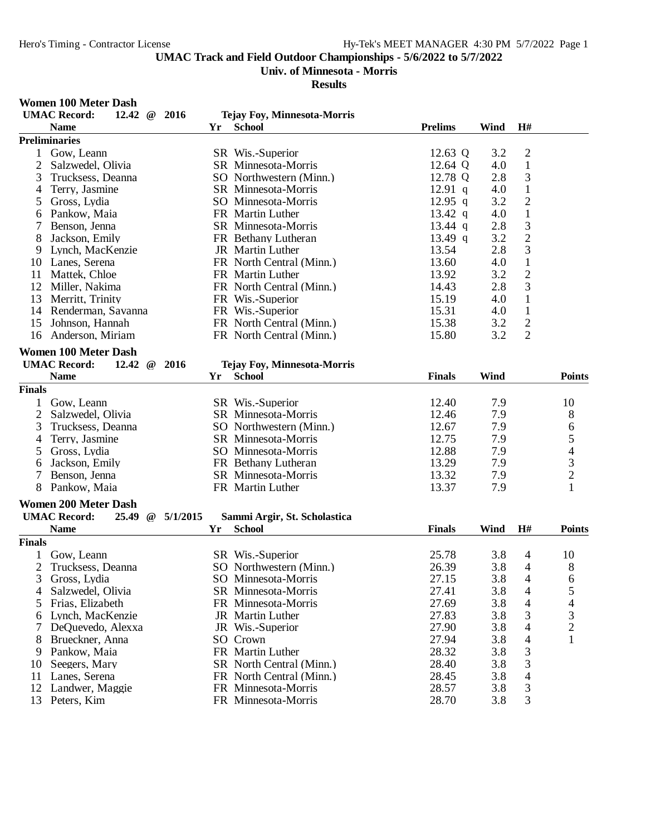# **Univ. of Minnesota - Morris**

#### **Results**

#### **Women 100 Meter Dash**

| <b>School</b><br><b>Prelims</b><br>Wind<br>H#<br><b>Name</b><br>Yr<br><b>Preliminaries</b><br>$\overline{c}$<br>SR Wis.-Superior<br>12.63 Q<br>1<br>Gow, Leann<br>3.2<br>$\mathfrak{2}$<br>$\mathbf{1}$<br>Salzwedel, Olivia<br>12.64 Q<br>4.0<br>SR Minnesota-Morris<br>$\mathfrak{Z}$<br>3<br>12.78 Q<br>2.8<br>Trucksess, Deanna<br>SO Northwestern (Minn.)<br>4.0<br>$\mathbf{1}$<br>Terry, Jasmine<br>SR Minnesota-Morris<br>$12.91$ q<br>4<br>$\mathfrak{2}$<br>3.2<br>Gross, Lydia<br>SO Minnesota-Morris<br>12.95 q<br>5<br>$\mathbf{1}$<br>FR Martin Luther<br>4.0<br>Pankow, Maia<br>13.42 $q$<br>6<br>$\mathfrak{Z}$<br>2.8<br>7<br>Benson, Jenna<br>SR Minnesota-Morris<br>13.44 q<br>$\overline{c}$<br>3.2<br>8<br>Jackson, Emily<br>FR Bethany Lutheran<br>13.49 q<br>3<br>2.8<br>JR Martin Luther<br>13.54<br>9<br>Lynch, MacKenzie<br>$\mathbf 1$<br>4.0<br>Lanes, Serena<br>FR North Central (Minn.)<br>13.60<br>10<br>$\mathbf{2}$<br>3.2<br>13.92<br>11<br>Mattek, Chloe<br>FR Martin Luther<br>$\mathfrak{Z}$<br>2.8<br>12<br>Miller, Nakima<br>FR North Central (Minn.)<br>14.43<br>$\mathbf{1}$<br>13<br>Merritt, Trinity<br>FR Wis.-Superior<br>15.19<br>4.0<br>15.31<br>4.0<br>$\mathbf{1}$<br>14<br>Renderman, Savanna<br>FR Wis.-Superior<br>$\sqrt{2}$<br>3.2<br>15.38<br>15<br>Johnson, Hannah<br>FR North Central (Minn.)<br>$\overline{2}$<br>15.80<br>3.2<br>16<br>Anderson, Miriam<br>FR North Central (Minn.)<br><b>Women 100 Meter Dash</b><br><b>UMAC Record:</b><br>2016<br>12.42<br>$\omega$<br><b>Tejay Foy, Minnesota-Morris</b><br>Wind<br><b>Name</b><br><b>School</b><br><b>Finals</b><br><b>Points</b><br>Yr<br><b>Finals</b><br>12.40<br>7.9<br>10<br>Gow, Leann<br>SR Wis.-Superior<br>1<br>$\mathbf{2}$<br>8<br>SR Minnesota-Morris<br>12.46<br>7.9<br>Salzwedel, Olivia<br>3<br>12.67<br>7.9<br>6<br>Trucksess, Deanna<br>SO Northwestern (Minn.)<br>5<br>12.75<br>7.9<br>Terry, Jasmine<br>SR Minnesota-Morris<br>4<br>$\overline{\mathcal{A}}$<br>12.88<br>7.9<br>Gross, Lydia<br>SO Minnesota-Morris<br>5<br>3<br>Jackson, Emily<br>13.29<br>7.9<br>FR Bethany Lutheran<br>6<br>$\overline{c}$<br>7<br>13.32<br>7.9<br>Benson, Jenna<br>SR Minnesota-Morris<br>$\mathbf{1}$<br>Pankow, Maia<br>13.37<br>7.9<br>8<br>FR Martin Luther<br><b>Women 200 Meter Dash</b><br><b>UMAC Record:</b><br>5/1/2015<br>25.49<br>$\omega$<br>Sammi Argir, St. Scholastica<br><b>Name</b><br><b>School</b><br><b>Finals</b><br>Wind<br>H#<br>Yr<br><b>Points</b><br><b>Finals</b><br>25.78<br>3.8<br>Gow, Leann<br>SR Wis.-Superior<br>10<br>4<br>$\overline{2}$<br>3.8<br>$\overline{4}$<br>8<br>Trucksess, Deanna<br>SO Northwestern (Minn.)<br>26.39<br>3<br>3.8<br>$\overline{4}$<br>6<br>SO Minnesota-Morris<br>27.15<br>Gross, Lydia<br>27.41<br>3.8<br>5<br>Salzwedel, Olivia<br>SR Minnesota-Morris<br>$\overline{4}$<br>4<br>3.8<br>Frias, Elizabeth<br>27.69<br>4<br>FR Minnesota-Morris<br>4<br>5<br>3<br>27.83<br>3<br>Lynch, MacKenzie<br>JR Martin Luther<br>3.8<br>6<br>$\overline{c}$<br>27.90<br>3.8<br>7<br>DeQuevedo, Alexxa<br>JR Wis.-Superior<br>4<br>27.94<br>3.8<br>1<br>8<br>Brueckner, Anna<br>SO Crown<br>$\overline{4}$<br>FR Martin Luther<br>28.32<br>3.8<br>3<br>Pankow, Maia<br>9<br>3<br>SR North Central (Minn.)<br>28.40<br>3.8<br>Seegers, Mary<br>10<br>3.8<br>11<br>Lanes, Serena<br>FR North Central (Minn.)<br>28.45<br>4<br>3<br>28.57<br>3.8<br>12<br>Landwer, Maggie<br>FR Minnesota-Morris<br>3<br>13<br>FR Minnesota-Morris<br>28.70<br>3.8<br>Peters, Kim | <b>UMAC Record:</b> | 12.42 @ 2016 | <b>Tejay Foy, Minnesota-Morris</b> |  |  |
|--------------------------------------------------------------------------------------------------------------------------------------------------------------------------------------------------------------------------------------------------------------------------------------------------------------------------------------------------------------------------------------------------------------------------------------------------------------------------------------------------------------------------------------------------------------------------------------------------------------------------------------------------------------------------------------------------------------------------------------------------------------------------------------------------------------------------------------------------------------------------------------------------------------------------------------------------------------------------------------------------------------------------------------------------------------------------------------------------------------------------------------------------------------------------------------------------------------------------------------------------------------------------------------------------------------------------------------------------------------------------------------------------------------------------------------------------------------------------------------------------------------------------------------------------------------------------------------------------------------------------------------------------------------------------------------------------------------------------------------------------------------------------------------------------------------------------------------------------------------------------------------------------------------------------------------------------------------------------------------------------------------------------------------------------------------------------------------------------------------------------------------------------------------------------------------------------------------------------------------------------------------------------------------------------------------------------------------------------------------------------------------------------------------------------------------------------------------------------------------------------------------------------------------------------------------------------------------------------------------------------------------------------------------------------------------------------------------------------------------------------------------------------------------------------------------------------------------------------------------------------------------------------------------------------------------------------------------------------------------------------------------------------------------------------------------------------------------------------------------------------------------------------------------------------------------------------------------------------------------------------------------------------------------------------------------------------------------------------------------------------------------------------------------------------------------------------------------------------------------------------------------------------------------------|---------------------|--------------|------------------------------------|--|--|
|                                                                                                                                                                                                                                                                                                                                                                                                                                                                                                                                                                                                                                                                                                                                                                                                                                                                                                                                                                                                                                                                                                                                                                                                                                                                                                                                                                                                                                                                                                                                                                                                                                                                                                                                                                                                                                                                                                                                                                                                                                                                                                                                                                                                                                                                                                                                                                                                                                                                                                                                                                                                                                                                                                                                                                                                                                                                                                                                                                                                                                                                                                                                                                                                                                                                                                                                                                                                                                                                                                                                            |                     |              |                                    |  |  |
|                                                                                                                                                                                                                                                                                                                                                                                                                                                                                                                                                                                                                                                                                                                                                                                                                                                                                                                                                                                                                                                                                                                                                                                                                                                                                                                                                                                                                                                                                                                                                                                                                                                                                                                                                                                                                                                                                                                                                                                                                                                                                                                                                                                                                                                                                                                                                                                                                                                                                                                                                                                                                                                                                                                                                                                                                                                                                                                                                                                                                                                                                                                                                                                                                                                                                                                                                                                                                                                                                                                                            |                     |              |                                    |  |  |
|                                                                                                                                                                                                                                                                                                                                                                                                                                                                                                                                                                                                                                                                                                                                                                                                                                                                                                                                                                                                                                                                                                                                                                                                                                                                                                                                                                                                                                                                                                                                                                                                                                                                                                                                                                                                                                                                                                                                                                                                                                                                                                                                                                                                                                                                                                                                                                                                                                                                                                                                                                                                                                                                                                                                                                                                                                                                                                                                                                                                                                                                                                                                                                                                                                                                                                                                                                                                                                                                                                                                            |                     |              |                                    |  |  |
|                                                                                                                                                                                                                                                                                                                                                                                                                                                                                                                                                                                                                                                                                                                                                                                                                                                                                                                                                                                                                                                                                                                                                                                                                                                                                                                                                                                                                                                                                                                                                                                                                                                                                                                                                                                                                                                                                                                                                                                                                                                                                                                                                                                                                                                                                                                                                                                                                                                                                                                                                                                                                                                                                                                                                                                                                                                                                                                                                                                                                                                                                                                                                                                                                                                                                                                                                                                                                                                                                                                                            |                     |              |                                    |  |  |
|                                                                                                                                                                                                                                                                                                                                                                                                                                                                                                                                                                                                                                                                                                                                                                                                                                                                                                                                                                                                                                                                                                                                                                                                                                                                                                                                                                                                                                                                                                                                                                                                                                                                                                                                                                                                                                                                                                                                                                                                                                                                                                                                                                                                                                                                                                                                                                                                                                                                                                                                                                                                                                                                                                                                                                                                                                                                                                                                                                                                                                                                                                                                                                                                                                                                                                                                                                                                                                                                                                                                            |                     |              |                                    |  |  |
|                                                                                                                                                                                                                                                                                                                                                                                                                                                                                                                                                                                                                                                                                                                                                                                                                                                                                                                                                                                                                                                                                                                                                                                                                                                                                                                                                                                                                                                                                                                                                                                                                                                                                                                                                                                                                                                                                                                                                                                                                                                                                                                                                                                                                                                                                                                                                                                                                                                                                                                                                                                                                                                                                                                                                                                                                                                                                                                                                                                                                                                                                                                                                                                                                                                                                                                                                                                                                                                                                                                                            |                     |              |                                    |  |  |
|                                                                                                                                                                                                                                                                                                                                                                                                                                                                                                                                                                                                                                                                                                                                                                                                                                                                                                                                                                                                                                                                                                                                                                                                                                                                                                                                                                                                                                                                                                                                                                                                                                                                                                                                                                                                                                                                                                                                                                                                                                                                                                                                                                                                                                                                                                                                                                                                                                                                                                                                                                                                                                                                                                                                                                                                                                                                                                                                                                                                                                                                                                                                                                                                                                                                                                                                                                                                                                                                                                                                            |                     |              |                                    |  |  |
|                                                                                                                                                                                                                                                                                                                                                                                                                                                                                                                                                                                                                                                                                                                                                                                                                                                                                                                                                                                                                                                                                                                                                                                                                                                                                                                                                                                                                                                                                                                                                                                                                                                                                                                                                                                                                                                                                                                                                                                                                                                                                                                                                                                                                                                                                                                                                                                                                                                                                                                                                                                                                                                                                                                                                                                                                                                                                                                                                                                                                                                                                                                                                                                                                                                                                                                                                                                                                                                                                                                                            |                     |              |                                    |  |  |
|                                                                                                                                                                                                                                                                                                                                                                                                                                                                                                                                                                                                                                                                                                                                                                                                                                                                                                                                                                                                                                                                                                                                                                                                                                                                                                                                                                                                                                                                                                                                                                                                                                                                                                                                                                                                                                                                                                                                                                                                                                                                                                                                                                                                                                                                                                                                                                                                                                                                                                                                                                                                                                                                                                                                                                                                                                                                                                                                                                                                                                                                                                                                                                                                                                                                                                                                                                                                                                                                                                                                            |                     |              |                                    |  |  |
|                                                                                                                                                                                                                                                                                                                                                                                                                                                                                                                                                                                                                                                                                                                                                                                                                                                                                                                                                                                                                                                                                                                                                                                                                                                                                                                                                                                                                                                                                                                                                                                                                                                                                                                                                                                                                                                                                                                                                                                                                                                                                                                                                                                                                                                                                                                                                                                                                                                                                                                                                                                                                                                                                                                                                                                                                                                                                                                                                                                                                                                                                                                                                                                                                                                                                                                                                                                                                                                                                                                                            |                     |              |                                    |  |  |
|                                                                                                                                                                                                                                                                                                                                                                                                                                                                                                                                                                                                                                                                                                                                                                                                                                                                                                                                                                                                                                                                                                                                                                                                                                                                                                                                                                                                                                                                                                                                                                                                                                                                                                                                                                                                                                                                                                                                                                                                                                                                                                                                                                                                                                                                                                                                                                                                                                                                                                                                                                                                                                                                                                                                                                                                                                                                                                                                                                                                                                                                                                                                                                                                                                                                                                                                                                                                                                                                                                                                            |                     |              |                                    |  |  |
|                                                                                                                                                                                                                                                                                                                                                                                                                                                                                                                                                                                                                                                                                                                                                                                                                                                                                                                                                                                                                                                                                                                                                                                                                                                                                                                                                                                                                                                                                                                                                                                                                                                                                                                                                                                                                                                                                                                                                                                                                                                                                                                                                                                                                                                                                                                                                                                                                                                                                                                                                                                                                                                                                                                                                                                                                                                                                                                                                                                                                                                                                                                                                                                                                                                                                                                                                                                                                                                                                                                                            |                     |              |                                    |  |  |
|                                                                                                                                                                                                                                                                                                                                                                                                                                                                                                                                                                                                                                                                                                                                                                                                                                                                                                                                                                                                                                                                                                                                                                                                                                                                                                                                                                                                                                                                                                                                                                                                                                                                                                                                                                                                                                                                                                                                                                                                                                                                                                                                                                                                                                                                                                                                                                                                                                                                                                                                                                                                                                                                                                                                                                                                                                                                                                                                                                                                                                                                                                                                                                                                                                                                                                                                                                                                                                                                                                                                            |                     |              |                                    |  |  |
|                                                                                                                                                                                                                                                                                                                                                                                                                                                                                                                                                                                                                                                                                                                                                                                                                                                                                                                                                                                                                                                                                                                                                                                                                                                                                                                                                                                                                                                                                                                                                                                                                                                                                                                                                                                                                                                                                                                                                                                                                                                                                                                                                                                                                                                                                                                                                                                                                                                                                                                                                                                                                                                                                                                                                                                                                                                                                                                                                                                                                                                                                                                                                                                                                                                                                                                                                                                                                                                                                                                                            |                     |              |                                    |  |  |
|                                                                                                                                                                                                                                                                                                                                                                                                                                                                                                                                                                                                                                                                                                                                                                                                                                                                                                                                                                                                                                                                                                                                                                                                                                                                                                                                                                                                                                                                                                                                                                                                                                                                                                                                                                                                                                                                                                                                                                                                                                                                                                                                                                                                                                                                                                                                                                                                                                                                                                                                                                                                                                                                                                                                                                                                                                                                                                                                                                                                                                                                                                                                                                                                                                                                                                                                                                                                                                                                                                                                            |                     |              |                                    |  |  |
|                                                                                                                                                                                                                                                                                                                                                                                                                                                                                                                                                                                                                                                                                                                                                                                                                                                                                                                                                                                                                                                                                                                                                                                                                                                                                                                                                                                                                                                                                                                                                                                                                                                                                                                                                                                                                                                                                                                                                                                                                                                                                                                                                                                                                                                                                                                                                                                                                                                                                                                                                                                                                                                                                                                                                                                                                                                                                                                                                                                                                                                                                                                                                                                                                                                                                                                                                                                                                                                                                                                                            |                     |              |                                    |  |  |
|                                                                                                                                                                                                                                                                                                                                                                                                                                                                                                                                                                                                                                                                                                                                                                                                                                                                                                                                                                                                                                                                                                                                                                                                                                                                                                                                                                                                                                                                                                                                                                                                                                                                                                                                                                                                                                                                                                                                                                                                                                                                                                                                                                                                                                                                                                                                                                                                                                                                                                                                                                                                                                                                                                                                                                                                                                                                                                                                                                                                                                                                                                                                                                                                                                                                                                                                                                                                                                                                                                                                            |                     |              |                                    |  |  |
|                                                                                                                                                                                                                                                                                                                                                                                                                                                                                                                                                                                                                                                                                                                                                                                                                                                                                                                                                                                                                                                                                                                                                                                                                                                                                                                                                                                                                                                                                                                                                                                                                                                                                                                                                                                                                                                                                                                                                                                                                                                                                                                                                                                                                                                                                                                                                                                                                                                                                                                                                                                                                                                                                                                                                                                                                                                                                                                                                                                                                                                                                                                                                                                                                                                                                                                                                                                                                                                                                                                                            |                     |              |                                    |  |  |
|                                                                                                                                                                                                                                                                                                                                                                                                                                                                                                                                                                                                                                                                                                                                                                                                                                                                                                                                                                                                                                                                                                                                                                                                                                                                                                                                                                                                                                                                                                                                                                                                                                                                                                                                                                                                                                                                                                                                                                                                                                                                                                                                                                                                                                                                                                                                                                                                                                                                                                                                                                                                                                                                                                                                                                                                                                                                                                                                                                                                                                                                                                                                                                                                                                                                                                                                                                                                                                                                                                                                            |                     |              |                                    |  |  |
|                                                                                                                                                                                                                                                                                                                                                                                                                                                                                                                                                                                                                                                                                                                                                                                                                                                                                                                                                                                                                                                                                                                                                                                                                                                                                                                                                                                                                                                                                                                                                                                                                                                                                                                                                                                                                                                                                                                                                                                                                                                                                                                                                                                                                                                                                                                                                                                                                                                                                                                                                                                                                                                                                                                                                                                                                                                                                                                                                                                                                                                                                                                                                                                                                                                                                                                                                                                                                                                                                                                                            |                     |              |                                    |  |  |
|                                                                                                                                                                                                                                                                                                                                                                                                                                                                                                                                                                                                                                                                                                                                                                                                                                                                                                                                                                                                                                                                                                                                                                                                                                                                                                                                                                                                                                                                                                                                                                                                                                                                                                                                                                                                                                                                                                                                                                                                                                                                                                                                                                                                                                                                                                                                                                                                                                                                                                                                                                                                                                                                                                                                                                                                                                                                                                                                                                                                                                                                                                                                                                                                                                                                                                                                                                                                                                                                                                                                            |                     |              |                                    |  |  |
|                                                                                                                                                                                                                                                                                                                                                                                                                                                                                                                                                                                                                                                                                                                                                                                                                                                                                                                                                                                                                                                                                                                                                                                                                                                                                                                                                                                                                                                                                                                                                                                                                                                                                                                                                                                                                                                                                                                                                                                                                                                                                                                                                                                                                                                                                                                                                                                                                                                                                                                                                                                                                                                                                                                                                                                                                                                                                                                                                                                                                                                                                                                                                                                                                                                                                                                                                                                                                                                                                                                                            |                     |              |                                    |  |  |
|                                                                                                                                                                                                                                                                                                                                                                                                                                                                                                                                                                                                                                                                                                                                                                                                                                                                                                                                                                                                                                                                                                                                                                                                                                                                                                                                                                                                                                                                                                                                                                                                                                                                                                                                                                                                                                                                                                                                                                                                                                                                                                                                                                                                                                                                                                                                                                                                                                                                                                                                                                                                                                                                                                                                                                                                                                                                                                                                                                                                                                                                                                                                                                                                                                                                                                                                                                                                                                                                                                                                            |                     |              |                                    |  |  |
|                                                                                                                                                                                                                                                                                                                                                                                                                                                                                                                                                                                                                                                                                                                                                                                                                                                                                                                                                                                                                                                                                                                                                                                                                                                                                                                                                                                                                                                                                                                                                                                                                                                                                                                                                                                                                                                                                                                                                                                                                                                                                                                                                                                                                                                                                                                                                                                                                                                                                                                                                                                                                                                                                                                                                                                                                                                                                                                                                                                                                                                                                                                                                                                                                                                                                                                                                                                                                                                                                                                                            |                     |              |                                    |  |  |
|                                                                                                                                                                                                                                                                                                                                                                                                                                                                                                                                                                                                                                                                                                                                                                                                                                                                                                                                                                                                                                                                                                                                                                                                                                                                                                                                                                                                                                                                                                                                                                                                                                                                                                                                                                                                                                                                                                                                                                                                                                                                                                                                                                                                                                                                                                                                                                                                                                                                                                                                                                                                                                                                                                                                                                                                                                                                                                                                                                                                                                                                                                                                                                                                                                                                                                                                                                                                                                                                                                                                            |                     |              |                                    |  |  |
|                                                                                                                                                                                                                                                                                                                                                                                                                                                                                                                                                                                                                                                                                                                                                                                                                                                                                                                                                                                                                                                                                                                                                                                                                                                                                                                                                                                                                                                                                                                                                                                                                                                                                                                                                                                                                                                                                                                                                                                                                                                                                                                                                                                                                                                                                                                                                                                                                                                                                                                                                                                                                                                                                                                                                                                                                                                                                                                                                                                                                                                                                                                                                                                                                                                                                                                                                                                                                                                                                                                                            |                     |              |                                    |  |  |
|                                                                                                                                                                                                                                                                                                                                                                                                                                                                                                                                                                                                                                                                                                                                                                                                                                                                                                                                                                                                                                                                                                                                                                                                                                                                                                                                                                                                                                                                                                                                                                                                                                                                                                                                                                                                                                                                                                                                                                                                                                                                                                                                                                                                                                                                                                                                                                                                                                                                                                                                                                                                                                                                                                                                                                                                                                                                                                                                                                                                                                                                                                                                                                                                                                                                                                                                                                                                                                                                                                                                            |                     |              |                                    |  |  |
|                                                                                                                                                                                                                                                                                                                                                                                                                                                                                                                                                                                                                                                                                                                                                                                                                                                                                                                                                                                                                                                                                                                                                                                                                                                                                                                                                                                                                                                                                                                                                                                                                                                                                                                                                                                                                                                                                                                                                                                                                                                                                                                                                                                                                                                                                                                                                                                                                                                                                                                                                                                                                                                                                                                                                                                                                                                                                                                                                                                                                                                                                                                                                                                                                                                                                                                                                                                                                                                                                                                                            |                     |              |                                    |  |  |
|                                                                                                                                                                                                                                                                                                                                                                                                                                                                                                                                                                                                                                                                                                                                                                                                                                                                                                                                                                                                                                                                                                                                                                                                                                                                                                                                                                                                                                                                                                                                                                                                                                                                                                                                                                                                                                                                                                                                                                                                                                                                                                                                                                                                                                                                                                                                                                                                                                                                                                                                                                                                                                                                                                                                                                                                                                                                                                                                                                                                                                                                                                                                                                                                                                                                                                                                                                                                                                                                                                                                            |                     |              |                                    |  |  |
|                                                                                                                                                                                                                                                                                                                                                                                                                                                                                                                                                                                                                                                                                                                                                                                                                                                                                                                                                                                                                                                                                                                                                                                                                                                                                                                                                                                                                                                                                                                                                                                                                                                                                                                                                                                                                                                                                                                                                                                                                                                                                                                                                                                                                                                                                                                                                                                                                                                                                                                                                                                                                                                                                                                                                                                                                                                                                                                                                                                                                                                                                                                                                                                                                                                                                                                                                                                                                                                                                                                                            |                     |              |                                    |  |  |
|                                                                                                                                                                                                                                                                                                                                                                                                                                                                                                                                                                                                                                                                                                                                                                                                                                                                                                                                                                                                                                                                                                                                                                                                                                                                                                                                                                                                                                                                                                                                                                                                                                                                                                                                                                                                                                                                                                                                                                                                                                                                                                                                                                                                                                                                                                                                                                                                                                                                                                                                                                                                                                                                                                                                                                                                                                                                                                                                                                                                                                                                                                                                                                                                                                                                                                                                                                                                                                                                                                                                            |                     |              |                                    |  |  |
|                                                                                                                                                                                                                                                                                                                                                                                                                                                                                                                                                                                                                                                                                                                                                                                                                                                                                                                                                                                                                                                                                                                                                                                                                                                                                                                                                                                                                                                                                                                                                                                                                                                                                                                                                                                                                                                                                                                                                                                                                                                                                                                                                                                                                                                                                                                                                                                                                                                                                                                                                                                                                                                                                                                                                                                                                                                                                                                                                                                                                                                                                                                                                                                                                                                                                                                                                                                                                                                                                                                                            |                     |              |                                    |  |  |
|                                                                                                                                                                                                                                                                                                                                                                                                                                                                                                                                                                                                                                                                                                                                                                                                                                                                                                                                                                                                                                                                                                                                                                                                                                                                                                                                                                                                                                                                                                                                                                                                                                                                                                                                                                                                                                                                                                                                                                                                                                                                                                                                                                                                                                                                                                                                                                                                                                                                                                                                                                                                                                                                                                                                                                                                                                                                                                                                                                                                                                                                                                                                                                                                                                                                                                                                                                                                                                                                                                                                            |                     |              |                                    |  |  |
|                                                                                                                                                                                                                                                                                                                                                                                                                                                                                                                                                                                                                                                                                                                                                                                                                                                                                                                                                                                                                                                                                                                                                                                                                                                                                                                                                                                                                                                                                                                                                                                                                                                                                                                                                                                                                                                                                                                                                                                                                                                                                                                                                                                                                                                                                                                                                                                                                                                                                                                                                                                                                                                                                                                                                                                                                                                                                                                                                                                                                                                                                                                                                                                                                                                                                                                                                                                                                                                                                                                                            |                     |              |                                    |  |  |
|                                                                                                                                                                                                                                                                                                                                                                                                                                                                                                                                                                                                                                                                                                                                                                                                                                                                                                                                                                                                                                                                                                                                                                                                                                                                                                                                                                                                                                                                                                                                                                                                                                                                                                                                                                                                                                                                                                                                                                                                                                                                                                                                                                                                                                                                                                                                                                                                                                                                                                                                                                                                                                                                                                                                                                                                                                                                                                                                                                                                                                                                                                                                                                                                                                                                                                                                                                                                                                                                                                                                            |                     |              |                                    |  |  |
|                                                                                                                                                                                                                                                                                                                                                                                                                                                                                                                                                                                                                                                                                                                                                                                                                                                                                                                                                                                                                                                                                                                                                                                                                                                                                                                                                                                                                                                                                                                                                                                                                                                                                                                                                                                                                                                                                                                                                                                                                                                                                                                                                                                                                                                                                                                                                                                                                                                                                                                                                                                                                                                                                                                                                                                                                                                                                                                                                                                                                                                                                                                                                                                                                                                                                                                                                                                                                                                                                                                                            |                     |              |                                    |  |  |
|                                                                                                                                                                                                                                                                                                                                                                                                                                                                                                                                                                                                                                                                                                                                                                                                                                                                                                                                                                                                                                                                                                                                                                                                                                                                                                                                                                                                                                                                                                                                                                                                                                                                                                                                                                                                                                                                                                                                                                                                                                                                                                                                                                                                                                                                                                                                                                                                                                                                                                                                                                                                                                                                                                                                                                                                                                                                                                                                                                                                                                                                                                                                                                                                                                                                                                                                                                                                                                                                                                                                            |                     |              |                                    |  |  |
|                                                                                                                                                                                                                                                                                                                                                                                                                                                                                                                                                                                                                                                                                                                                                                                                                                                                                                                                                                                                                                                                                                                                                                                                                                                                                                                                                                                                                                                                                                                                                                                                                                                                                                                                                                                                                                                                                                                                                                                                                                                                                                                                                                                                                                                                                                                                                                                                                                                                                                                                                                                                                                                                                                                                                                                                                                                                                                                                                                                                                                                                                                                                                                                                                                                                                                                                                                                                                                                                                                                                            |                     |              |                                    |  |  |
|                                                                                                                                                                                                                                                                                                                                                                                                                                                                                                                                                                                                                                                                                                                                                                                                                                                                                                                                                                                                                                                                                                                                                                                                                                                                                                                                                                                                                                                                                                                                                                                                                                                                                                                                                                                                                                                                                                                                                                                                                                                                                                                                                                                                                                                                                                                                                                                                                                                                                                                                                                                                                                                                                                                                                                                                                                                                                                                                                                                                                                                                                                                                                                                                                                                                                                                                                                                                                                                                                                                                            |                     |              |                                    |  |  |
|                                                                                                                                                                                                                                                                                                                                                                                                                                                                                                                                                                                                                                                                                                                                                                                                                                                                                                                                                                                                                                                                                                                                                                                                                                                                                                                                                                                                                                                                                                                                                                                                                                                                                                                                                                                                                                                                                                                                                                                                                                                                                                                                                                                                                                                                                                                                                                                                                                                                                                                                                                                                                                                                                                                                                                                                                                                                                                                                                                                                                                                                                                                                                                                                                                                                                                                                                                                                                                                                                                                                            |                     |              |                                    |  |  |
|                                                                                                                                                                                                                                                                                                                                                                                                                                                                                                                                                                                                                                                                                                                                                                                                                                                                                                                                                                                                                                                                                                                                                                                                                                                                                                                                                                                                                                                                                                                                                                                                                                                                                                                                                                                                                                                                                                                                                                                                                                                                                                                                                                                                                                                                                                                                                                                                                                                                                                                                                                                                                                                                                                                                                                                                                                                                                                                                                                                                                                                                                                                                                                                                                                                                                                                                                                                                                                                                                                                                            |                     |              |                                    |  |  |
|                                                                                                                                                                                                                                                                                                                                                                                                                                                                                                                                                                                                                                                                                                                                                                                                                                                                                                                                                                                                                                                                                                                                                                                                                                                                                                                                                                                                                                                                                                                                                                                                                                                                                                                                                                                                                                                                                                                                                                                                                                                                                                                                                                                                                                                                                                                                                                                                                                                                                                                                                                                                                                                                                                                                                                                                                                                                                                                                                                                                                                                                                                                                                                                                                                                                                                                                                                                                                                                                                                                                            |                     |              |                                    |  |  |
|                                                                                                                                                                                                                                                                                                                                                                                                                                                                                                                                                                                                                                                                                                                                                                                                                                                                                                                                                                                                                                                                                                                                                                                                                                                                                                                                                                                                                                                                                                                                                                                                                                                                                                                                                                                                                                                                                                                                                                                                                                                                                                                                                                                                                                                                                                                                                                                                                                                                                                                                                                                                                                                                                                                                                                                                                                                                                                                                                                                                                                                                                                                                                                                                                                                                                                                                                                                                                                                                                                                                            |                     |              |                                    |  |  |
|                                                                                                                                                                                                                                                                                                                                                                                                                                                                                                                                                                                                                                                                                                                                                                                                                                                                                                                                                                                                                                                                                                                                                                                                                                                                                                                                                                                                                                                                                                                                                                                                                                                                                                                                                                                                                                                                                                                                                                                                                                                                                                                                                                                                                                                                                                                                                                                                                                                                                                                                                                                                                                                                                                                                                                                                                                                                                                                                                                                                                                                                                                                                                                                                                                                                                                                                                                                                                                                                                                                                            |                     |              |                                    |  |  |
|                                                                                                                                                                                                                                                                                                                                                                                                                                                                                                                                                                                                                                                                                                                                                                                                                                                                                                                                                                                                                                                                                                                                                                                                                                                                                                                                                                                                                                                                                                                                                                                                                                                                                                                                                                                                                                                                                                                                                                                                                                                                                                                                                                                                                                                                                                                                                                                                                                                                                                                                                                                                                                                                                                                                                                                                                                                                                                                                                                                                                                                                                                                                                                                                                                                                                                                                                                                                                                                                                                                                            |                     |              |                                    |  |  |
|                                                                                                                                                                                                                                                                                                                                                                                                                                                                                                                                                                                                                                                                                                                                                                                                                                                                                                                                                                                                                                                                                                                                                                                                                                                                                                                                                                                                                                                                                                                                                                                                                                                                                                                                                                                                                                                                                                                                                                                                                                                                                                                                                                                                                                                                                                                                                                                                                                                                                                                                                                                                                                                                                                                                                                                                                                                                                                                                                                                                                                                                                                                                                                                                                                                                                                                                                                                                                                                                                                                                            |                     |              |                                    |  |  |
|                                                                                                                                                                                                                                                                                                                                                                                                                                                                                                                                                                                                                                                                                                                                                                                                                                                                                                                                                                                                                                                                                                                                                                                                                                                                                                                                                                                                                                                                                                                                                                                                                                                                                                                                                                                                                                                                                                                                                                                                                                                                                                                                                                                                                                                                                                                                                                                                                                                                                                                                                                                                                                                                                                                                                                                                                                                                                                                                                                                                                                                                                                                                                                                                                                                                                                                                                                                                                                                                                                                                            |                     |              |                                    |  |  |
|                                                                                                                                                                                                                                                                                                                                                                                                                                                                                                                                                                                                                                                                                                                                                                                                                                                                                                                                                                                                                                                                                                                                                                                                                                                                                                                                                                                                                                                                                                                                                                                                                                                                                                                                                                                                                                                                                                                                                                                                                                                                                                                                                                                                                                                                                                                                                                                                                                                                                                                                                                                                                                                                                                                                                                                                                                                                                                                                                                                                                                                                                                                                                                                                                                                                                                                                                                                                                                                                                                                                            |                     |              |                                    |  |  |
|                                                                                                                                                                                                                                                                                                                                                                                                                                                                                                                                                                                                                                                                                                                                                                                                                                                                                                                                                                                                                                                                                                                                                                                                                                                                                                                                                                                                                                                                                                                                                                                                                                                                                                                                                                                                                                                                                                                                                                                                                                                                                                                                                                                                                                                                                                                                                                                                                                                                                                                                                                                                                                                                                                                                                                                                                                                                                                                                                                                                                                                                                                                                                                                                                                                                                                                                                                                                                                                                                                                                            |                     |              |                                    |  |  |
|                                                                                                                                                                                                                                                                                                                                                                                                                                                                                                                                                                                                                                                                                                                                                                                                                                                                                                                                                                                                                                                                                                                                                                                                                                                                                                                                                                                                                                                                                                                                                                                                                                                                                                                                                                                                                                                                                                                                                                                                                                                                                                                                                                                                                                                                                                                                                                                                                                                                                                                                                                                                                                                                                                                                                                                                                                                                                                                                                                                                                                                                                                                                                                                                                                                                                                                                                                                                                                                                                                                                            |                     |              |                                    |  |  |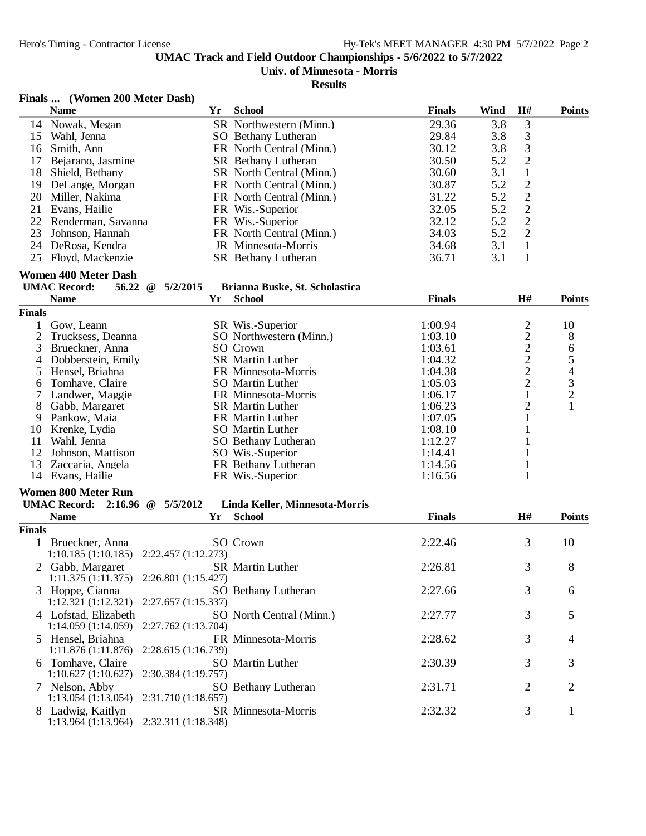# **Univ. of Minnesota - Morris**

|               | Finals  (Women 200 Meter Dash)                       |           |                                |               |      |                                            |                                                 |
|---------------|------------------------------------------------------|-----------|--------------------------------|---------------|------|--------------------------------------------|-------------------------------------------------|
|               | <b>Name</b>                                          | Yr        | <b>School</b>                  | <b>Finals</b> | Wind | H#                                         | <b>Points</b>                                   |
| 14            | Nowak, Megan                                         |           | SR Northwestern (Minn.)        | 29.36         | 3.8  | $\mathfrak{Z}$                             |                                                 |
| 15            | Wahl, Jenna                                          |           | SO Bethany Lutheran            | 29.84         | 3.8  | $\mathfrak 3$                              |                                                 |
| 16            | Smith, Ann                                           |           | FR North Central (Minn.)       | 30.12         | 3.8  | $\mathfrak{Z}$                             |                                                 |
| 17            | Bejarano, Jasmine                                    |           | SR Bethany Lutheran            | 30.50         | 5.2  | $\overline{2}$                             |                                                 |
|               | 18 Shield, Bethany                                   |           | SR North Central (Minn.)       | 30.60         | 3.1  | $\mathbf{1}$                               |                                                 |
|               | 19 DeLange, Morgan                                   |           | FR North Central (Minn.)       | 30.87         | 5.2  | $\sqrt{2}$                                 |                                                 |
| 20            | Miller, Nakima                                       |           | FR North Central (Minn.)       | 31.22         | 5.2  | $\sqrt{2}$                                 |                                                 |
|               | 21 Evans, Hailie                                     |           | FR Wis.-Superior               | 32.05         | 5.2  |                                            |                                                 |
|               | 22 Renderman, Savanna                                |           | FR Wis.-Superior               | 32.12         | 5.2  | $\frac{2}{2}$                              |                                                 |
|               | 23 Johnson, Hannah                                   |           | FR North Central (Minn.)       | 34.03         | 5.2  | $\overline{2}$                             |                                                 |
|               | 24 DeRosa, Kendra                                    |           | JR Minnesota-Morris            | 34.68         | 3.1  | $\mathbf{1}$                               |                                                 |
| 25            | Floyd, Mackenzie                                     |           | SR Bethany Lutheran            | 36.71         | 3.1  | $\mathbf{1}$                               |                                                 |
|               | <b>Women 400 Meter Dash</b>                          |           |                                |               |      |                                            |                                                 |
|               | <b>UMAC Record:</b><br>56.22<br>5/2/2015<br>$\omega$ |           | Brianna Buske, St. Scholastica |               |      |                                            |                                                 |
|               | <b>Name</b>                                          | <b>Yr</b> | <b>School</b>                  | <b>Finals</b> |      | H#                                         | <b>Points</b>                                   |
| <b>Finals</b> |                                                      |           |                                |               |      |                                            |                                                 |
| 1             | Gow, Leann                                           |           | SR Wis.-Superior               | 1:00.94       |      | $\overline{c}$                             | 10                                              |
| 2             | Trucksess, Deanna                                    |           | SO Northwestern (Minn.)        | 1:03.10       |      | $\overline{\mathbf{c}}$                    | 8                                               |
| 3             | Brueckner, Anna                                      |           | SO Crown                       | 1:03.61       |      |                                            | 6                                               |
| 4             | Dobberstein, Emily                                   |           | SR Martin Luther               | 1:04.32       |      |                                            |                                                 |
| 5             | Hensel, Briahna                                      |           | FR Minnesota-Morris            | 1:04.38       |      | $\begin{array}{c} 2 \\ 2 \\ 2 \end{array}$ | $\begin{array}{c} 5 \\ 4 \\ 3 \\ 2 \end{array}$ |
| 6             | Tomhave, Claire                                      |           | <b>SO</b> Martin Luther        | 1:05.03       |      |                                            |                                                 |
| 7             | Landwer, Maggie                                      |           | FR Minnesota-Morris            | 1:06.17       |      | $\mathbf{1}$                               |                                                 |
| 8             | Gabb, Margaret                                       |           | <b>SR</b> Martin Luther        | 1:06.23       |      | 2                                          | $\mathbf{1}$                                    |
| 9             | Pankow, Maia                                         |           | FR Martin Luther               | 1:07.05       |      | 1                                          |                                                 |
| 10            | Krenke, Lydia                                        |           | <b>SO</b> Martin Luther        | 1:08.10       |      | 1                                          |                                                 |
| 11            | Wahl, Jenna                                          |           | SO Bethany Lutheran            | 1:12.27       |      | 1                                          |                                                 |
| 12            | Johnson, Mattison                                    |           | SO Wis.-Superior               | 1:14.41       |      | 1                                          |                                                 |
| 13            | Zaccaria, Angela                                     |           | FR Bethany Lutheran            | 1:14.56       |      | 1                                          |                                                 |
|               | 14 Evans, Hailie                                     |           | FR Wis.-Superior               | 1:16.56       |      | 1                                          |                                                 |
|               | <b>Women 800 Meter Run</b>                           |           |                                |               |      |                                            |                                                 |
|               | UMAC Record: 2:16.96 @ 5/5/2012                      |           | Linda Keller, Minnesota-Morris |               |      |                                            |                                                 |
|               | <b>Name</b>                                          | Yr        | <b>School</b>                  | <b>Finals</b> |      | H#                                         | <b>Points</b>                                   |
| <b>Finals</b> |                                                      |           |                                |               |      |                                            |                                                 |
|               | 1 Brueckner, Anna                                    |           | SO Crown                       | 2:22.46       |      | 3                                          | 10                                              |
|               | $1:10.185(1:10.185)$ $2:22.457(1:12.273)$            |           |                                |               |      |                                            |                                                 |
|               | Gabb, Margaret                                       |           | SR Martin Luther               | 2:26.81       |      | $\mathfrak{Z}$                             | 8                                               |
|               | 1:11.375(1:11.375)<br>2:26.801 (1:15.427)            |           |                                |               |      |                                            |                                                 |
|               | 3 Hoppe, Cianna                                      |           | SO Bethany Lutheran            | 2:27.66       |      | 3                                          | 6                                               |
|               | 1:12.321(1:12.321)<br>2:27.657 (1:15.337)            |           |                                |               |      |                                            |                                                 |
|               | 4 Lofstad, Elizabeth                                 |           | SO North Central (Minn.)       | 2:27.77       |      | 3                                          | 5                                               |
|               | 1:14.059(1:14.059)<br>2:27.762 (1:13.704)            |           |                                |               |      |                                            |                                                 |
|               | 5 Hensel, Briahna                                    |           | FR Minnesota-Morris            | 2:28.62       |      | 3                                          | 4                                               |
|               | 2:28.615 (1:16.739)<br>1:11.876(1:11.876)            |           |                                |               |      |                                            |                                                 |
|               | 6 Tomhave, Claire                                    |           | SO Martin Luther               | 2:30.39       |      | 3                                          | 3                                               |
|               | 1:10.627(1:10.627)<br>2:30.384 (1:19.757)            |           |                                |               |      |                                            |                                                 |
|               | 7 Nelson, Abby                                       |           | SO Bethany Lutheran            | 2:31.71       |      | $\overline{2}$                             | $\overline{2}$                                  |
|               | 1:13.054(1:13.054)<br>2:31.710 (1:18.657)            |           |                                |               |      |                                            |                                                 |
|               | 8 Ladwig, Kaitlyn                                    |           | SR Minnesota-Morris            | 2:32.32       |      | 3                                          | $\mathbf{1}$                                    |
|               | 2:32.311 (1:18.348)<br>1:13.964(1:13.964)            |           |                                |               |      |                                            |                                                 |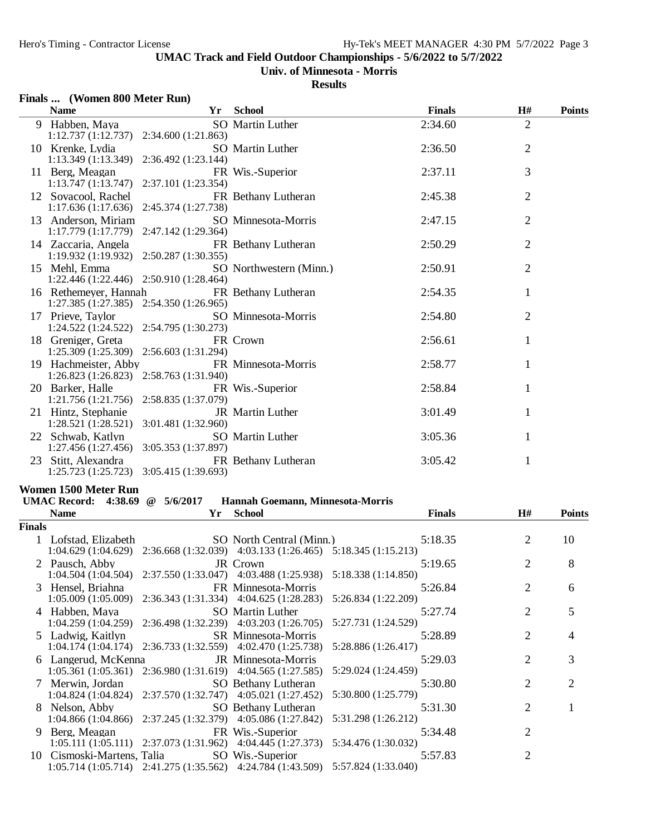## **Univ. of Minnesota - Morris**

|        | Finals  (Women 800 Meter Run)                                    |                     |                                                                                                             |               |                |               |
|--------|------------------------------------------------------------------|---------------------|-------------------------------------------------------------------------------------------------------------|---------------|----------------|---------------|
|        | <b>Name</b>                                                      | Yr                  | <b>School</b>                                                                                               | <b>Finals</b> | H#             | <b>Points</b> |
|        | 9 Habben, Maya<br>1:12.737 (1:12.737) 2:34.600 (1:21.863)        |                     | SO Martin Luther                                                                                            | 2:34.60       | $\overline{2}$ |               |
|        | 10 Krenke, Lydia<br>1:13.349(1:13.349)                           | 2:36.492 (1:23.144) | SO Martin Luther                                                                                            | 2:36.50       | $\overline{2}$ |               |
|        | 11 Berg, Meagan<br>1:13.747(1:13.747)                            | 2:37.101 (1:23.354) | FR Wis.-Superior                                                                                            | 2:37.11       | 3              |               |
|        | 12 Sovacool, Rachel<br>1:17.636(1:17.636)                        | 2:45.374 (1:27.738) | FR Bethany Lutheran                                                                                         | 2:45.38       | $\overline{2}$ |               |
|        | 13 Anderson, Miriam<br>1:17.779 (1:17.779) 2:47.142 (1:29.364)   |                     | SO Minnesota-Morris                                                                                         | 2:47.15       | $\overline{2}$ |               |
|        | 14 Zaccaria, Angela<br>1:19.932(1:19.932)                        | 2:50.287 (1:30.355) | FR Bethany Lutheran                                                                                         | 2:50.29       | $\overline{2}$ |               |
|        | 15 Mehl. Emma<br>1:22.446 (1:22.446) 2:50.910 (1:28.464)         |                     | SO Northwestern (Minn.)                                                                                     | 2:50.91       | $\overline{2}$ |               |
|        | 16 Rethemeyer, Hannah<br>1:27.385 (1:27.385) 2:54.350 (1:26.965) |                     | FR Bethany Lutheran                                                                                         | 2:54.35       | 1              |               |
|        | 17 Prieve, Taylor<br>1:24.522 (1:24.522) 2:54.795 (1:30.273)     |                     | SO Minnesota-Morris                                                                                         | 2:54.80       | $\overline{2}$ |               |
|        | 18 Greniger, Greta<br>1:25.309 (1:25.309) 2:56.603 (1:31.294)    |                     | FR Crown                                                                                                    | 2:56.61       | $\mathbf{1}$   |               |
|        | 19 Hachmeister, Abby<br>1:26.823 (1:26.823) 2:58.763 (1:31.940)  |                     | FR Minnesota-Morris                                                                                         | 2:58.77       | $\mathbf{1}$   |               |
|        | 20 Barker, Halle<br>1:21.756 (1:21.756) 2:58.835 (1:37.079)      |                     | FR Wis.-Superior                                                                                            | 2:58.84       | 1              |               |
|        | 21 Hintz, Stephanie<br>1:28.521 (1:28.521) 3:01.481 (1:32.960)   |                     | JR Martin Luther                                                                                            | 3:01.49       | 1              |               |
|        | 22 Schwab, Katlyn<br>1:27.456 (1:27.456) 3:05.353 (1:37.897)     |                     | <b>SO</b> Martin Luther                                                                                     | 3:05.36       | $\mathbf{1}$   |               |
|        | 23 Stitt, Alexandra<br>1:25.723 (1:25.723) 3:05.415 (1:39.693)   |                     | FR Bethany Lutheran                                                                                         | 3:05.42       | $\mathbf{1}$   |               |
|        | Women 1500 Meter Run                                             |                     |                                                                                                             |               |                |               |
|        | UMAC Record: 4:38.69 @ 5/6/2017                                  |                     | Hannah Goemann, Minnesota-Morris                                                                            |               |                |               |
|        | <b>Name</b>                                                      | Yr                  | <b>School</b>                                                                                               | <b>Finals</b> | H#             | <b>Points</b> |
| Finals |                                                                  |                     |                                                                                                             |               |                |               |
|        | 1 Lofstad, Elizabeth                                             |                     | SO North Central (Minn.)<br>1:04.629 (1:04.629) 2:36.668 (1:32.039) 4:03.133 (1:26.465) 5:18.345 (1:15.213) | 5:18.35       | 2              | 10            |
|        | 2 Pausch, Abby<br>1:04.504(1:04.504)                             |                     | JR Crown<br>2:37.550 (1:33.047) 4:03.488 (1:25.938) 5:18.338 (1:14.850)                                     | 5:19.65       | $\overline{2}$ | 8             |
|        | 3 Hensel, Briahna                                                |                     | FR Minnesota-Morris<br>1:05.009 (1:05.009) 2:36.343 (1:31.334) 4:04.625 (1:28.283) 5:26.834 (1:22.209)      | 5:26.84       | 2              | 6             |
|        | 4 Habben, Maya                                                   |                     | SO Martin Luther<br>1:04.259 (1:04.259) 2:36.498 (1:32.239) 4:03.203 (1:26.705) 5:27.731 (1:24.529)         | 5:27.74       | $\overline{2}$ | 5             |
|        | 5 Ladwig, Kaitlyn                                                |                     | SR Minnesota-Morris                                                                                         | 5:28.89       | 2              | 4             |

| 11000                                       |                                                                                 |         |   |                |
|---------------------------------------------|---------------------------------------------------------------------------------|---------|---|----------------|
|                                             | 1:04.259 (1:04.259) 2:36.498 (1:32.239) 4:03.203 (1:26.705) 5:27.731 (1:24.529) |         |   |                |
| 5 Ladwig, Kaitlyn SR Minnesota-Morris       |                                                                                 | 5:28.89 |   | $\overline{4}$ |
|                                             | 1:04.174 (1:04.174) 2:36.733 (1:32.559) 4:02.470 (1:25.738) 5:28.886 (1:26.417) |         |   |                |
| 6 Langerud, McKenna JR Minnesota-Morris     |                                                                                 | 5:29.03 | 2 | 3              |
|                                             | 1:05.361 (1:05.361) 2:36.980 (1:31.619) 4:04.565 (1:27.585) 5:29.024 (1:24.459) |         |   |                |
|                                             | 7 Merwin, Jordan SO Bethany Lutheran                                            | 5:30.80 | 2 | $\overline{2}$ |
|                                             | 1:04.824 (1:04.824) 2:37.570 (1:32.747) 4:05.021 (1:27.452) 5:30.800 (1:25.779) |         |   |                |
|                                             | 8 Nelson, Abby SO Bethany Lutheran                                              | 5:31.30 | 2 |                |
|                                             | 1:04.866 (1:04.866) 2:37.245 (1:32.379) 4:05.086 (1:27.842) 5:31.298 (1:26.212) |         |   |                |
| 9 Berg, Meagan FR Wis.-Superior             |                                                                                 | 5:34.48 |   |                |
|                                             | 1:05.111 (1:05.111) 2:37.073 (1:31.962) 4:04.445 (1:27.373) 5:34.476 (1:30.032) |         |   |                |
| 10 Cismoski-Martens, Talia SO Wis.-Superior |                                                                                 | 5:57.83 |   |                |
|                                             | 1:05.714 (1:05.714) 2:41.275 (1:35.562) 4:24.784 (1:43.509) 5:57.824 (1:33.040) |         |   |                |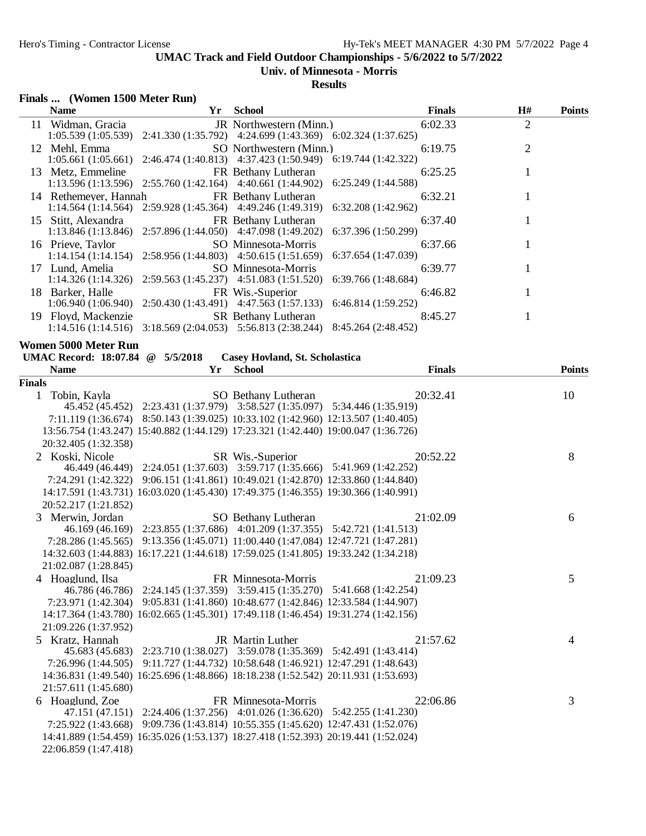#### **Univ. of Minnesota - Morris**

|               | Finals  (Women 1500 Meter Run)             |    |                                                                                                                       |                    |               |                |               |
|---------------|--------------------------------------------|----|-----------------------------------------------------------------------------------------------------------------------|--------------------|---------------|----------------|---------------|
|               | <b>Name</b>                                | Yr | School                                                                                                                |                    | <b>Finals</b> | H#             | <b>Points</b> |
|               | 11 Widman, Gracia                          |    | JR Northwestern (Minn.)<br>1:05.539 (1:05.539) 2:41.330 (1:35.792) 4:24.699 (1:43.369) 6:02.324 (1:37.625)            |                    | 6:02.33       | $\overline{2}$ |               |
|               | 12 Mehl, Emma                              |    | SO Northwestern (Minn.)<br>1:05.661 (1:05.661) 2:46.474 (1:40.813) 4:37.423 (1:50.949) 6:19.744 (1:42.322)            |                    | 6:19.75       | $\overline{2}$ |               |
|               | 13 Metz, Emmeline                          |    | FR Bethany Lutheran<br>1:13.596 (1:13.596) 2:55.760 (1:42.164) 4:40.661 (1:44.902) 6:25.249 (1:44.588)                |                    | 6:25.25       |                |               |
|               | 14 Rethemeyer, Hannah                      |    | FR Bethany Lutheran<br>1:14.564 (1:14.564) 2:59.928 (1:45.364) 4:49.246 (1:49.319) 6:32.208 (1:42.962)                |                    | 6:32.21       |                |               |
|               | 15 Stitt, Alexandra                        |    | FR Bethany Lutheran<br>$1:13.846(1:13.846)$ $2:57.896(1:44.050)$ $4:47.098(1:49.202)$                                 | 6:37.396(1:50.299) | 6:37.40       |                |               |
|               | 16 Prieve, Taylor                          |    | SO Minnesota-Morris<br>1:14.154 (1:14.154) 2:58.956 (1:44.803) 4:50.615 (1:51.659) 6:37.654 (1:47.039)                |                    | 6:37.66       |                |               |
|               | 17 Lund, Amelia                            |    | SO Minnesota-Morris<br>1:14.326 (1:14.326) 2:59.563 (1:45.237) 4:51.083 (1:51.520) 6:39.766 (1:48.684)                |                    | 6:39.77       | 1              |               |
|               | 18 Barker, Halle                           |    | FR Wis.-Superior<br>$1:06.940(1:06.940)$ $2:50.430(1:43.491)$ $4:47.563(1:57.133)$ $6:46.814(1:59.252)$               |                    | 6:46.82       | 1              |               |
|               | 19 Floyd, Mackenzie                        |    | <b>SR</b> Bethany Lutheran<br>$1:14.516 (1:14.516)$ $3:18.569 (2:04.053)$ $5:56.813 (2:38.244)$ $8:45.264 (2:48.452)$ |                    | 8:45.27       |                |               |
|               | Women 5000 Meter Run                       |    |                                                                                                                       |                    |               |                |               |
|               | UMAC Record: 18:07.84 @ 5/5/2018           |    | Casey Hovland, St. Scholastica                                                                                        |                    |               |                |               |
|               | <b>Name</b>                                | Yr | <b>School</b>                                                                                                         |                    | <b>Finals</b> |                | <b>Points</b> |
| <b>Finals</b> | $1$ Tobin $V$ <sub>0</sub> yl <sub>0</sub> |    | $\Omega$ Rothany Luthoran                                                                                             |                    | 20.3241       |                | $10^{-7}$     |

| Tobin, Kayla         | SO Bethany Lutheran<br>45.452 (45.452) 2:23.431 (1:37.979) 3:58.527 (1:35.097) 5:34.446 (1:35.919) | 20:32.41 | 10 |
|----------------------|----------------------------------------------------------------------------------------------------|----------|----|
|                      |                                                                                                    |          |    |
|                      | 7:11.119 (1:36.674) 8:50.143 (1:39.025) 10:33.102 (1:42.960) 12:13.507 (1:40.405)                  |          |    |
|                      | 13:56.754 (1:43.247) 15:40.882 (1:44.129) 17:23.321 (1:42.440) 19:00.047 (1:36.726)                |          |    |
| 20:32.405 (1:32.358) |                                                                                                    |          |    |
| 2 Koski, Nicole      | SR Wis.-Superior                                                                                   | 20:52.22 | 8  |
|                      | 46.449 (46.449) 2:24.051 (1:37.603) 3:59.717 (1:35.666) 5:41.969 (1:42.252)                        |          |    |
|                      | 7:24.291 (1:42.322) 9:06.151 (1:41.861) 10:49.021 (1:42.870) 12:33.860 (1:44.840)                  |          |    |
|                      | 14:17.591 (1:43.731) 16:03.020 (1:45.430) 17:49.375 (1:46.355) 19:30.366 (1:40.991)                |          |    |
| 20:52.217 (1:21.852) |                                                                                                    |          |    |
| 3 Merwin, Jordan     | SO Bethany Lutheran                                                                                | 21:02.09 | 6  |
|                      | 46.169 (46.169) 2:23.855 (1:37.686) 4:01.209 (1:37.355) 5:42.721 (1:41.513)                        |          |    |
|                      | 7:28.286 (1:45.565) 9:13.356 (1:45.071) 11:00.440 (1:47.084) 12:47.721 (1:47.281)                  |          |    |
|                      | 14:32.603 (1:44.883) 16:17.221 (1:44.618) 17:59.025 (1:41.805) 19:33.242 (1:34.218)                |          |    |
| 21:02.087 (1:28.845) |                                                                                                    |          |    |
| 4 Hoaglund, Ilsa     | FR Minnesota-Morris                                                                                | 21:09.23 | 5  |
|                      | 46.786 (46.786) 2:24.145 (1:37.359) 3:59.415 (1:35.270) 5:41.668 (1:42.254)                        |          |    |
|                      | 7:23.971 (1:42.304) 9:05.831 (1:41.860) 10:48.677 (1:42.846) 12:33.584 (1:44.907)                  |          |    |
|                      | 14:17.364 (1:43.780) 16:02.665 (1:45.301) 17:49.118 (1:46.454) 19:31.274 (1:42.156)                |          |    |
| 21:09.226 (1:37.952) |                                                                                                    |          |    |
| 5 Kratz, Hannah      | <b>JR</b> Martin Luther                                                                            | 21:57.62 | 4  |
|                      | 45.683 (45.683) 2:23.710 (1:38.027) 3:59.078 (1:35.369) 5:42.491 (1:43.414)                        |          |    |
| 7:26.996 (1:44.505)  | 9:11.727 (1:44.732) 10:58.648 (1:46.921) 12:47.291 (1:48.643)                                      |          |    |
|                      | 14:36.831 (1:49.540) 16:25.696 (1:48.866) 18:18.238 (1:52.542) 20:11.931 (1:53.693)                |          |    |
| 21:57.611 (1:45.680) |                                                                                                    |          |    |
| 6 Hoaglund, Zoe      | FR Minnesota-Morris                                                                                | 22:06.86 | 3  |
|                      | 47.151 (47.151) 2:24.406 (1:37.256) 4:01.026 (1:36.620) 5:42.255 (1:41.230)                        |          |    |
|                      | 7:25.922 (1:43.668) 9:09.736 (1:43.814) 10:55.355 (1:45.620) 12:47.431 (1:52.076)                  |          |    |
|                      | 14:41.889 (1:54.459) 16:35.026 (1:53.137) 18:27.418 (1:52.393) 20:19.441 (1:52.024)                |          |    |
| 22:06.859 (1:47.418) |                                                                                                    |          |    |
|                      |                                                                                                    |          |    |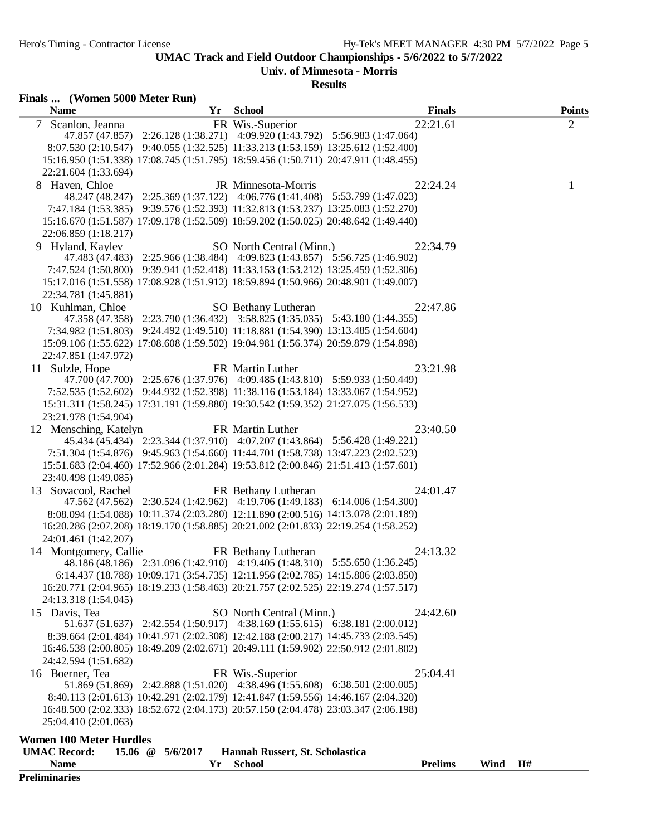**Univ. of Minnesota - Morris**

| Finals  (Women 5000 Meter Run) |                       |                                                                                                                                                                          |                |      |                   |
|--------------------------------|-----------------------|--------------------------------------------------------------------------------------------------------------------------------------------------------------------------|----------------|------|-------------------|
| <b>Name</b>                    | Yr                    | <b>School</b>                                                                                                                                                            | <b>Finals</b>  |      | <b>Points</b>     |
| Scanlon, Jeanna<br>$\tau$      |                       | FR Wis.-Superior                                                                                                                                                         | 22:21.61       |      | $\overline{2}$    |
|                                |                       | 47.857 (47.857) 2:26.128 (1:38.271) 4:09.920 (1:43.792) 5:56.983 (1:47.064)                                                                                              |                |      |                   |
|                                |                       | 8:07.530 (2:10.547) 9:40.055 (1:32.525) 11:33.213 (1:53.159) 13:25.612 (1:52.400)                                                                                        |                |      |                   |
|                                |                       | 15:16.950 (1:51.338) 17:08.745 (1:51.795) 18:59.456 (1:50.711) 20:47.911 (1:48.455)                                                                                      |                |      |                   |
| 22:21.604 (1:33.694)           |                       |                                                                                                                                                                          |                |      |                   |
| 8 Haven, Chloe                 |                       | JR Minnesota-Morris<br>48.247 (48.247) 2:25.369 (1:37.122) 4:06.776 (1:41.408) 5:53.799 (1:47.023)                                                                       | 22:24.24       |      | 1                 |
|                                |                       | 7:47.184 (1:53.385) 9:39.576 (1:52.393) 11:32.813 (1:53.237) 13:25.083 (1:52.270)                                                                                        |                |      |                   |
|                                |                       | 15:16.670 (1:51.587) 17:09.178 (1:52.509) 18:59.202 (1:50.025) 20:48.642 (1:49.440)                                                                                      |                |      |                   |
| 22:06.859 (1:18.217)           |                       |                                                                                                                                                                          |                |      |                   |
| 9 Hyland, Kayley               |                       | SO North Central (Minn.)                                                                                                                                                 | 22:34.79       |      |                   |
|                                |                       | 47.483 (47.483) 2:25.966 (1:38.484) 4:09.823 (1:43.857) 5:56.725 (1:46.902)                                                                                              |                |      |                   |
|                                |                       | 7:47.524 (1:50.800) 9:39.941 (1:52.418) 11:33.153 (1:53.212) 13:25.459 (1:52.306)                                                                                        |                |      |                   |
|                                |                       | 15:17.016 (1:51.558) 17:08.928 (1:51.912) 18:59.894 (1:50.966) 20:48.901 (1:49.007)                                                                                      |                |      |                   |
| 22:34.781 (1:45.881)           |                       |                                                                                                                                                                          |                |      |                   |
| 10 Kuhlman, Chloe              |                       | SO Bethany Lutheran                                                                                                                                                      | 22:47.86       |      |                   |
|                                |                       | 47.358 (47.358) 2:23.790 (1:36.432) 3:58.825 (1:35.035) 5:43.180 (1:44.355)                                                                                              |                |      |                   |
|                                |                       | 7:34.982 (1:51.803) 9:24.492 (1:49.510) 11:18.881 (1:54.390) 13:13.485 (1:54.604)                                                                                        |                |      |                   |
|                                |                       | 15:09.106 (1:55.622) 17:08.608 (1:59.502) 19:04.981 (1:56.374) 20:59.879 (1:54.898)                                                                                      |                |      |                   |
| 22:47.851 (1:47.972)           |                       |                                                                                                                                                                          |                |      |                   |
| 11 Sulzle, Hope                |                       | FR Martin Luther                                                                                                                                                         | 23:21.98       |      |                   |
|                                |                       | 47.700 (47.700) 2:25.676 (1:37.976) 4:09.485 (1:43.810) 5:59.933 (1:50.449)                                                                                              |                |      |                   |
|                                |                       | 7:52.535 (1:52.602) 9:44.932 (1:52.398) 11:38.116 (1:53.184) 13:33.067 (1:54.952)<br>15:31.311 (1:58.245) 17:31.191 (1:59.880) 19:30.542 (1:59.352) 21:27.075 (1:56.533) |                |      |                   |
| 23:21.978 (1:54.904)           |                       |                                                                                                                                                                          |                |      |                   |
| 12 Mensching, Katelyn          |                       | FR Martin Luther                                                                                                                                                         | 23:40.50       |      |                   |
|                                |                       | 45.434 (45.434) 2:23.344 (1:37.910) 4:07.207 (1:43.864) 5:56.428 (1:49.221)                                                                                              |                |      |                   |
|                                |                       | 7:51.304 (1:54.876) 9:45.963 (1:54.660) 11:44.701 (1:58.738) 13:47.223 (2:02.523)                                                                                        |                |      |                   |
|                                |                       | 15:51.683 (2:04.460) 17:52.966 (2:01.284) 19:53.812 (2:00.846) 21:51.413 (1:57.601)                                                                                      |                |      |                   |
| 23:40.498 (1:49.085)           |                       |                                                                                                                                                                          |                |      |                   |
| 13 Sovacool, Rachel            |                       | FR Bethany Lutheran                                                                                                                                                      | 24:01.47       |      |                   |
|                                |                       | 47.562 (47.562) 2:30.524 (1:42.962) 4:19.706 (1:49.183) 6:14.006 (1:54.300)                                                                                              |                |      |                   |
|                                |                       | 8:08.094 (1:54.088) 10:11.374 (2:03.280) 12:11.890 (2:00.516) 14:13.078 (2:01.189)                                                                                       |                |      |                   |
|                                |                       | 16:20.286 (2:07.208) 18:19.170 (1:58.885) 20:21.002 (2:01.833) 22:19.254 (1:58.252)                                                                                      |                |      |                   |
| 24:01.461 (1:42.207)           |                       |                                                                                                                                                                          |                |      |                   |
| 14 Montgomery, Callie          |                       | FR Bethany Lutheran                                                                                                                                                      | 24:13.32       |      |                   |
|                                |                       | 48.186 (48.186) 2:31.096 (1:42.910) 4:19.405 (1:48.310) 5:55.650 (1:36.245)                                                                                              |                |      |                   |
|                                |                       | 6:14.437 (18.788) 10:09.171 (3:54.735) 12:11.956 (2:02.785) 14:15.806 (2:03.850)                                                                                         |                |      |                   |
| 24:13.318 (1:54.045)           |                       | 16:20.771 (2:04.965) 18:19.233 (1:58.463) 20:21.757 (2:02.525) 22:19.274 (1:57.517)                                                                                      |                |      |                   |
| 15 Davis, Tea                  |                       | SO North Central (Minn.)                                                                                                                                                 | 24:42.60       |      |                   |
|                                |                       | 51.637 (51.637) 2:42.554 (1:50.917) 4:38.169 (1:55.615) 6:38.181 (2:00.012)                                                                                              |                |      |                   |
|                                |                       | 8:39.664 (2:01.484) 10:41.971 (2:02.308) 12:42.188 (2:00.217) 14:45.733 (2:03.545)                                                                                       |                |      |                   |
|                                |                       | 16:46.538 (2:00.805) 18:49.209 (2:02.671) 20:49.111 (1:59.902) 22:50.912 (2:01.802)                                                                                      |                |      |                   |
| 24:42.594 (1:51.682)           |                       |                                                                                                                                                                          |                |      |                   |
| 16 Boerner, Tea                |                       | FR Wis.-Superior                                                                                                                                                         | 25:04.41       |      |                   |
|                                |                       | 51.869 (51.869) 2:42.888 (1:51.020) 4:38.496 (1:55.608) 6:38.501 (2:00.005)                                                                                              |                |      |                   |
|                                |                       | 8:40.113 (2:01.613) 10:42.291 (2:02.179) 12:41.847 (1:59.556) 14:46.167 (2:04.320)                                                                                       |                |      |                   |
|                                |                       | 16:48.500 (2:02.333) 18:52.672 (2:04.173) 20:57.150 (2:04.478) 23:03.347 (2:06.198)                                                                                      |                |      |                   |
| 25:04.410 (2:01.063)           |                       |                                                                                                                                                                          |                |      |                   |
| <b>Women 100 Meter Hurdles</b> |                       |                                                                                                                                                                          |                |      |                   |
| <b>UMAC Record:</b>            | 15.06 $@$<br>5/6/2017 | Hannah Russert, St. Scholastica                                                                                                                                          |                |      |                   |
| <b>Name</b>                    | Yr                    | <b>School</b>                                                                                                                                                            | <b>Prelims</b> | Wind | $\mathbf{H}^{\#}$ |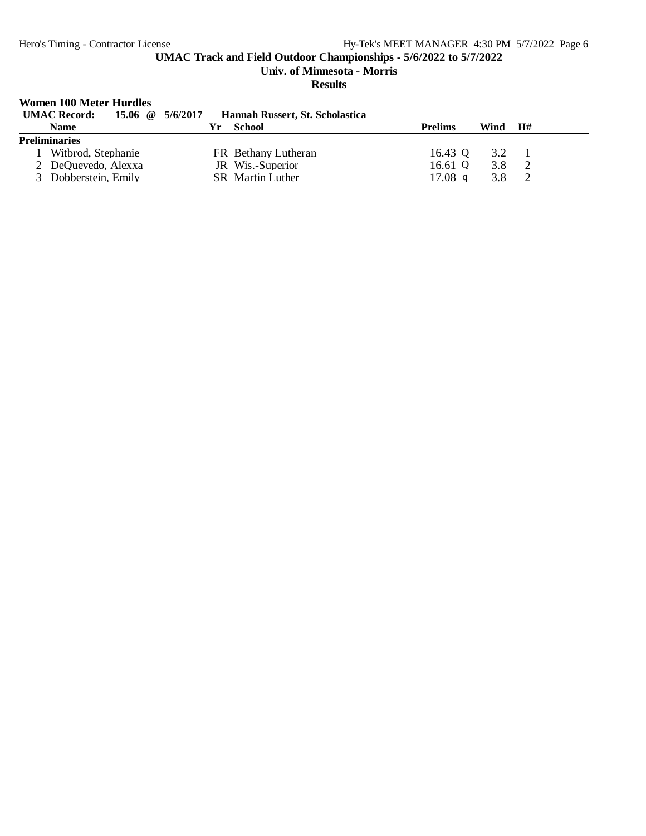**Univ. of Minnesota - Morris**

**Results**

# **Women 100 Meter Hurdles**

| <b>UMAC Record:</b>  | 15.06 $\omega$ 5/6/2017 | Hannah Russert, St. Scholastica |                |               |    |  |
|----------------------|-------------------------|---------------------------------|----------------|---------------|----|--|
| <b>Name</b>          | Yг                      | School                          | <b>Prelims</b> | Wind          | H# |  |
| <b>Preliminaries</b> |                         |                                 |                |               |    |  |
| Witbrod, Stephanie   |                         | FR Bethany Lutheran             | 16.43 Q        | $3.2^{\circ}$ |    |  |
| 2 DeQuevedo, Alexxa  |                         | JR Wis.-Superior                | 16.61 $Q$      | 3.8           |    |  |
| 3 Dobberstein, Emily |                         | <b>SR</b> Martin Luther         | 17.08 q        |               |    |  |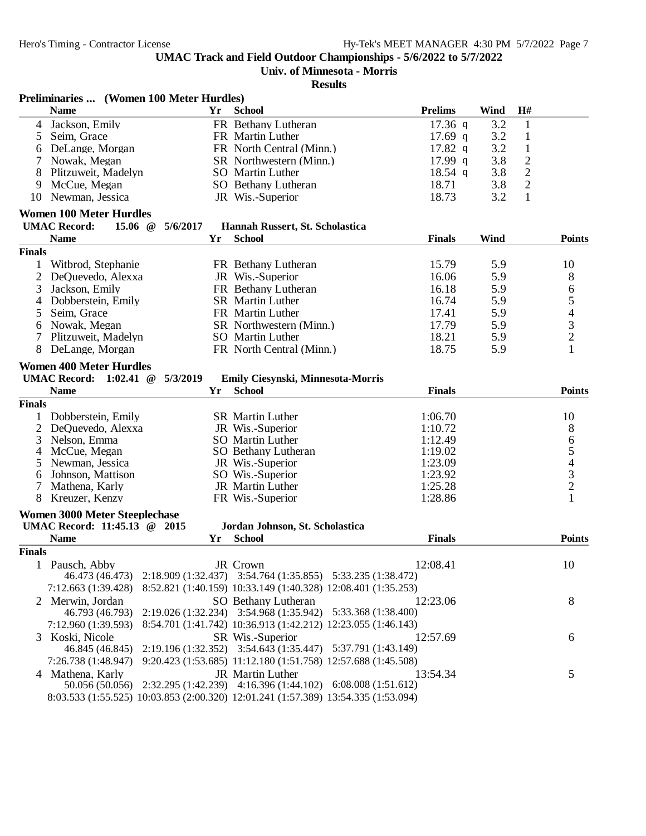**Preliminaries ... (Women 100 Meter Hurdles)**

**UMAC Track and Field Outdoor Championships - 5/6/2022 to 5/7/2022**

# **Univ. of Minnesota - Morris**

|                | <b>Name</b>                                                                        | Yr       | <b>School</b>                                                 | <b>Prelims</b> | Wind | H#             |                                |
|----------------|------------------------------------------------------------------------------------|----------|---------------------------------------------------------------|----------------|------|----------------|--------------------------------|
| 4              | Jackson, Emily                                                                     |          | FR Bethany Lutheran                                           | $17.36$ q      | 3.2  | $\mathbf{1}$   |                                |
| 5              | Seim, Grace                                                                        |          | FR Martin Luther                                              | $17.69$ q      | 3.2  | $\mathbf{1}$   |                                |
| 6              | DeLange, Morgan                                                                    |          | FR North Central (Minn.)                                      | 17.82 $q$      | 3.2  | $\mathbf{1}$   |                                |
| 7              | Nowak, Megan                                                                       |          | SR Northwestern (Minn.)                                       | $17.99$ q      | 3.8  | $\overline{c}$ |                                |
| 8              | Plitzuweit, Madelyn                                                                |          | SO Martin Luther                                              | $18.54$ q      | 3.8  | $\sqrt{2}$     |                                |
| 9              | McCue, Megan                                                                       |          | SO Bethany Lutheran                                           | 18.71          | 3.8  | $\overline{c}$ |                                |
| 10             | Newman, Jessica                                                                    |          | JR Wis.-Superior                                              | 18.73          | 3.2  | $\mathbf{1}$   |                                |
|                |                                                                                    |          |                                                               |                |      |                |                                |
|                | <b>Women 100 Meter Hurdles</b>                                                     |          |                                                               |                |      |                |                                |
|                | <b>UMAC Record:</b><br>15.06 $@$                                                   | 5/6/2017 | Hannah Russert, St. Scholastica                               |                |      |                |                                |
|                | <b>Name</b>                                                                        | Yr       | <b>School</b>                                                 | <b>Finals</b>  | Wind |                | <b>Points</b>                  |
| <b>Finals</b>  |                                                                                    |          |                                                               |                |      |                |                                |
| 1              | Witbrod, Stephanie                                                                 |          | FR Bethany Lutheran                                           | 15.79          | 5.9  |                | 10                             |
| 2              | DeQuevedo, Alexxa                                                                  |          | JR Wis.-Superior                                              | 16.06          | 5.9  |                | 8                              |
| 3              | Jackson, Emily                                                                     |          | FR Bethany Lutheran                                           | 16.18          | 5.9  |                | 6                              |
| 4              | Dobberstein, Emily                                                                 |          | SR Martin Luther                                              | 16.74          | 5.9  |                |                                |
| 5              | Seim, Grace                                                                        |          | FR Martin Luther                                              | 17.41          | 5.9  |                | $\frac{5}{4}$<br>$\frac{3}{2}$ |
| 6              | Nowak, Megan                                                                       |          | SR Northwestern (Minn.)                                       | 17.79          | 5.9  |                |                                |
| 7              | Plitzuweit, Madelyn                                                                |          | SO Martin Luther                                              | 18.21          | 5.9  |                |                                |
| 8              | DeLange, Morgan                                                                    |          | FR North Central (Minn.)                                      | 18.75          | 5.9  |                | $\mathbf{1}$                   |
|                |                                                                                    |          |                                                               |                |      |                |                                |
|                | <b>Women 400 Meter Hurdles</b>                                                     |          |                                                               |                |      |                |                                |
|                | <b>UMAC Record:</b> 1:02.41 @                                                      | 5/3/2019 | Emily Ciesynski, Minnesota-Morris                             |                |      |                |                                |
|                | <b>Name</b>                                                                        | Yr       | <b>School</b>                                                 | <b>Finals</b>  |      |                | <b>Points</b>                  |
| <b>Finals</b>  |                                                                                    |          |                                                               |                |      |                |                                |
|                | Dobberstein, Emily                                                                 |          | <b>SR</b> Martin Luther                                       | 1:06.70        |      |                | 10                             |
| $\overline{2}$ | DeQuevedo, Alexxa                                                                  |          | JR Wis.-Superior                                              | 1:10.72        |      |                |                                |
| 3              | Nelson, Emma                                                                       |          | <b>SO</b> Martin Luther                                       | 1:12.49        |      |                | 865432                         |
| 4              | McCue, Megan                                                                       |          | SO Bethany Lutheran                                           | 1:19.02        |      |                |                                |
| 5              | Newman, Jessica                                                                    |          | JR Wis.-Superior                                              | 1:23.09        |      |                |                                |
| 6              | Johnson, Mattison                                                                  |          | SO Wis.-Superior                                              | 1:23.92        |      |                |                                |
| 7              | Mathena, Karly                                                                     |          | JR Martin Luther                                              | 1:25.28        |      |                |                                |
| 8              | Kreuzer, Kenzy                                                                     |          | FR Wis.-Superior                                              | 1:28.86        |      |                | $\mathbf{1}$                   |
|                | <b>Women 3000 Meter Steeplechase</b>                                               |          |                                                               |                |      |                |                                |
|                | UMAC Record: 11:45.13 @ 2015                                                       |          | Jordan Johnson, St. Scholastica                               |                |      |                |                                |
|                | <b>Name</b>                                                                        | Yr       | <b>School</b>                                                 | <b>Finals</b>  |      |                | <b>Points</b>                  |
| <b>Finals</b>  |                                                                                    |          |                                                               |                |      |                |                                |
| 1              | Pausch, Abby                                                                       |          | JR Crown                                                      | 12:08.41       |      |                | 10                             |
|                | 46.473 (46.473) 2:18.909 (1:32.437) 3:54.764 (1:35.855) 5:33.235 (1:38.472)        |          |                                                               |                |      |                |                                |
|                | 7:12.663 (1:39.428)                                                                |          | 8:52.821 (1:40.159) 10:33.149 (1:40.328) 12:08.401 (1:35.253) |                |      |                |                                |
|                | 2 Merwin, Jordan                                                                   |          |                                                               |                |      |                |                                |
|                | 46.793 (46.793) 2:19.026 (1:32.234) 3:54.968 (1:35.942) 5:33.368 (1:38.400)        |          | SO Bethany Lutheran                                           | 12:23.06       |      |                | 8                              |
|                |                                                                                    |          |                                                               |                |      |                |                                |
|                | 7:12.960 (1:39.593)                                                                |          | 8:54.701 (1:41.742) 10:36.913 (1:42.212) 12:23.055 (1:46.143) |                |      |                |                                |
|                | 3 Koski, Nicole                                                                    |          | SR Wis.-Superior                                              | 12:57.69       |      |                | 6                              |
|                | 46.845 (46.845) 2:19.196 (1:32.352) 3:54.643 (1:35.447) 5:37.791 (1:43.149)        |          |                                                               |                |      |                |                                |
|                | 7:26.738 (1:48.947)                                                                |          | 9:20.423 (1:53.685) 11:12.180 (1:51.758) 12:57.688 (1:45.508) |                |      |                |                                |
|                | 4 Mathena, Karly                                                                   |          | JR Martin Luther                                              | 13:54.34       |      |                | 5                              |
|                | 50.056 (50.056) 2:32.295 (1:42.239) 4:16.396 (1:44.102) 6:08.008 (1:51.612)        |          |                                                               |                |      |                |                                |
|                | 8:03.533 (1:55.525) 10:03.853 (2:00.320) 12:01.241 (1:57.389) 13:54.335 (1:53.094) |          |                                                               |                |      |                |                                |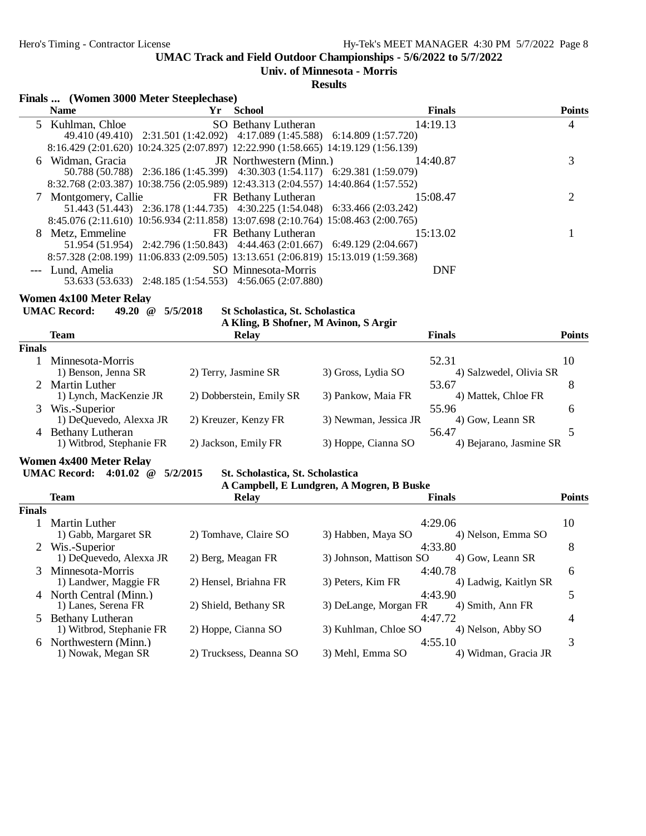**Univ. of Minnesota - Morris**

**Results**

#### **Finals ... (Women 3000 Meter Steeplechase)**

| <b>Name</b> |                                      | Yr School                                                                          |                                                          | <b>Finals</b> | <b>Points</b> |
|-------------|--------------------------------------|------------------------------------------------------------------------------------|----------------------------------------------------------|---------------|---------------|
|             |                                      |                                                                                    | 5 Kuhlman, Chloe SO Bethany Lutheran 14:19.13            |               | 4             |
|             |                                      | 49.410 (49.410) 2:31.501 (1:42.092) 4:17.089 (1:45.588) 6:14.809 (1:57.720)        |                                                          |               |               |
|             |                                      | 8:16.429 (2:01.620) 10:24.325 (2:07.897) 12:22.990 (1:58.665) 14:19.129 (1:56.139) |                                                          |               |               |
|             |                                      |                                                                                    | 6 Widman, Gracia <b>IR</b> Northwestern (Minn.) 14:40.87 |               | 3             |
|             |                                      | 50.788 (50.788) 2:36.186 (1:45.399) 4:30.303 (1:54.117) 6:29.381 (1:59.079)        |                                                          |               |               |
|             |                                      | 8:32.768 (2:03.387) 10:38.756 (2:05.989) 12:43.313 (2:04.557) 14:40.864 (1:57.552) |                                                          |               |               |
|             |                                      | 7 Montgomery, Callie FR Bethany Lutheran                                           | 15:08.47                                                 |               |               |
|             |                                      | 51.443 (51.443) 2:36.178 (1:44.735) 4:30.225 (1:54.048) 6:33.466 (2:03.242)        |                                                          |               |               |
|             |                                      | 8:45.076 (2:11.610) 10:56.934 (2:11.858) 13:07.698 (2:10.764) 15:08.463 (2:00.765) |                                                          |               |               |
|             |                                      | 8 Metz, Emmeline FR Bethany Lutheran                                               | 15:13.02                                                 |               |               |
|             |                                      | 51.954 (51.954) 2:42.796 (1:50.843) 4:44.463 (2:01.667) 6:49.129 (2:04.667)        |                                                          |               |               |
|             |                                      | 8:57.328 (2:08.199) 11:06.833 (2:09.505) 13:13.651 (2:06.819) 15:13.019 (1:59.368) |                                                          |               |               |
|             | --- Lund, Amelia SO Minnesota-Morris |                                                                                    |                                                          | <b>DNF</b>    |               |
|             |                                      | 53.633 (53.633) 2:48.185 (1:54.553) 4:56.065 (2:07.880)                            |                                                          |               |               |

**Women 4x100 Meter Relay<br>UMAC Record:** 49.20 @ 5/5/2018

St Scholastica, St. Scholastica

|        | A Kling, B Shofner, M Avinon, S Argir               |                          |                       |                                  |               |  |  |  |  |
|--------|-----------------------------------------------------|--------------------------|-----------------------|----------------------------------|---------------|--|--|--|--|
|        | <b>Team</b>                                         | <b>Relay</b>             |                       | <b>Finals</b>                    | <b>Points</b> |  |  |  |  |
| Finals |                                                     |                          |                       |                                  |               |  |  |  |  |
|        | Minnesota-Morris<br>1) Benson, Jenna SR             | 2) Terry, Jasmine SR     | 3) Gross, Lydia SO    | 52.31<br>4) Salzwedel, Olivia SR | 10            |  |  |  |  |
|        | 2 Martin Luther<br>1) Lynch, MacKenzie JR           | 2) Dobberstein, Emily SR | 3) Pankow, Maia FR    | 53.67<br>4) Mattek, Chloe FR     | 8             |  |  |  |  |
| 3      | Wis.-Superior<br>1) DeQuevedo, Alexxa JR            | 2) Kreuzer, Kenzy FR     | 3) Newman, Jessica JR | 55.96<br>4) Gow, Leann SR        | 6             |  |  |  |  |
| 4      | <b>Bethany Lutheran</b><br>1) Witbrod, Stephanie FR | 2) Jackson, Emily FR     | 3) Hoppe, Cianna SO   | 56.47<br>4) Bejarano, Jasmine SR |               |  |  |  |  |

**Women 4x400 Meter Relay**

#### **UMAC Record: 4:01.02 @ 5/2/2015 St. Scholastica, St. Scholastica**

**A Campbell, E Lundgren, A Mogren, B Buske**

|        | <b>Team</b>              | <b>Relay</b>            | <b>Finals</b>           |                       | <b>Points</b> |
|--------|--------------------------|-------------------------|-------------------------|-----------------------|---------------|
| Finals |                          |                         |                         |                       |               |
|        | Martin Luther            |                         | 4:29.06                 |                       | 10            |
|        | 1) Gabb, Margaret SR     | 2) Tomhave, Claire SO   | 3) Habben, Maya SO      | 4) Nelson, Emma SO    |               |
|        | 2 Wis.-Superior          |                         | 4:33.80                 |                       | 8             |
|        | 1) DeQuevedo, Alexxa JR  | 2) Berg, Meagan FR      | 3) Johnson, Mattison SO | 4) Gow, Leann SR      |               |
|        | Minnesota-Morris         |                         | 4:40.78                 |                       | 6             |
|        | 1) Landwer, Maggie FR    | 2) Hensel, Briahna FR   | 3) Peters, Kim FR       | 4) Ladwig, Kaitlyn SR |               |
| 4      | North Central (Minn.)    |                         | 4:43.90                 |                       | 5             |
|        | 1) Lanes, Serena FR      | 2) Shield, Bethany SR   | 3) DeLange, Morgan FR   | 4) Smith, Ann FR      |               |
|        | Bethany Lutheran         |                         | 4:47.72                 |                       | 4             |
|        | 1) Witbrod, Stephanie FR | 2) Hoppe, Cianna SO     | 3) Kuhlman, Chloe SO    | 4) Nelson, Abby SO    |               |
| 6      | Northwestern (Minn.)     |                         | 4:55.10                 |                       | 3             |
|        | 1) Nowak, Megan SR       | 2) Trucksess, Deanna SO | 3) Mehl, Emma SO        | 4) Widman, Gracia JR  |               |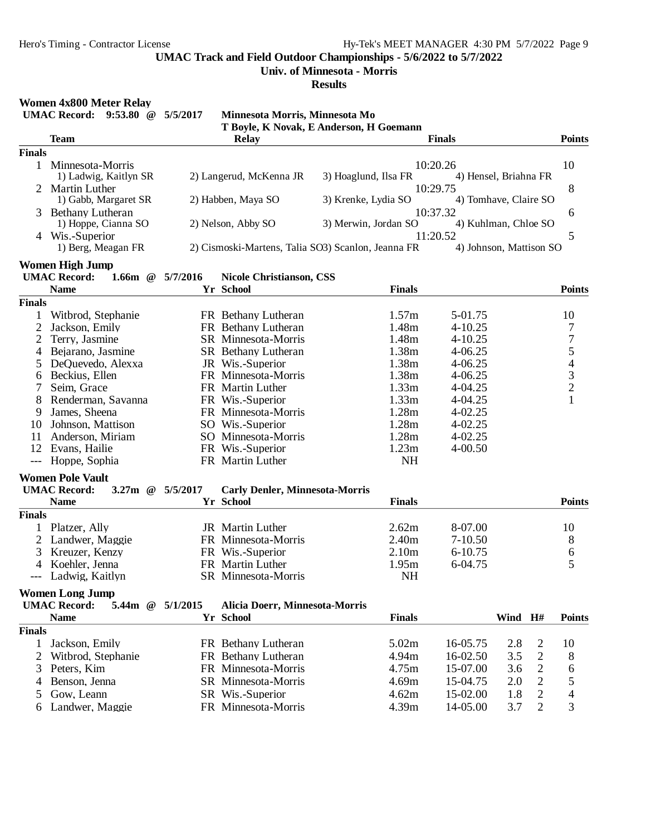**Univ. of Minnesota - Morris**

**Results**

# **Women 4x800 Meter Relay**

**UMAC Record: 9:53.80 @ 5/5/2017 Minnesota Morris, Minnesota Mo**

|                |                                                       |          |                                       | T Boyle, K Novak, E Anderson, H Goemann            |               |                         |                          |
|----------------|-------------------------------------------------------|----------|---------------------------------------|----------------------------------------------------|---------------|-------------------------|--------------------------|
|                | <b>Team</b>                                           |          | <b>Relay</b>                          |                                                    | <b>Finals</b> |                         | <b>Points</b>            |
| <b>Finals</b>  |                                                       |          |                                       |                                                    |               |                         |                          |
| 1              | Minnesota-Morris                                      |          |                                       |                                                    | 10:20.26      |                         | 10                       |
|                | 1) Ladwig, Kaitlyn SR                                 |          | 2) Langerud, McKenna JR               | 3) Hoaglund, Ilsa FR                               |               | 4) Hensel, Briahna FR   |                          |
|                | 2 Martin Luther                                       |          |                                       |                                                    | 10:29.75      |                         | 8                        |
|                | 1) Gabb, Margaret SR                                  |          | 2) Habben, Maya SO                    | 3) Krenke, Lydia SO                                |               | 4) Tomhave, Claire SO   |                          |
| 3              | <b>Bethany Lutheran</b>                               |          |                                       |                                                    | 10:37.32      |                         | 6                        |
|                | 1) Hoppe, Cianna SO                                   |          | 2) Nelson, Abby SO                    | 3) Merwin, Jordan SO                               |               | 4) Kuhlman, Chloe SO    |                          |
|                | 4 Wis.-Superior                                       |          |                                       |                                                    | 11:20.52      |                         | 5                        |
|                | 1) Berg, Meagan FR                                    |          |                                       | 2) Cismoski-Martens, Talia SO3) Scanlon, Jeanna FR |               | 4) Johnson, Mattison SO |                          |
|                | <b>Women High Jump</b>                                |          |                                       |                                                    |               |                         |                          |
|                | <b>UMAC Record:</b><br>1.66 $m \quad @$               | 5/7/2016 | <b>Nicole Christianson, CSS</b>       |                                                    |               |                         |                          |
|                | <b>Name</b>                                           |          | Yr School                             | <b>Finals</b>                                      |               |                         | <b>Points</b>            |
| <b>Finals</b>  |                                                       |          |                                       |                                                    |               |                         |                          |
| 1              | Witbrod, Stephanie                                    |          | FR Bethany Lutheran                   | 1.57m                                              | 5-01.75       |                         | 10                       |
| $\overline{c}$ | Jackson, Emily                                        |          | FR Bethany Lutheran                   | 1.48m                                              | 4-10.25       |                         | 7                        |
| 2              | Terry, Jasmine                                        |          | SR Minnesota-Morris                   | 1.48m                                              | 4-10.25       |                         | $\boldsymbol{7}$         |
| 4              | Bejarano, Jasmine                                     |          | <b>SR</b> Bethany Lutheran            | 1.38m                                              | $4 - 06.25$   |                         |                          |
| 5              | DeQuevedo, Alexxa                                     |          | JR Wis.-Superior                      | 1.38m                                              | $4 - 06.25$   |                         |                          |
| 6              | Beckius, Ellen                                        |          | FR Minnesota-Morris                   | 1.38m                                              | $4 - 06.25$   |                         |                          |
| 7              | Seim, Grace                                           |          | FR Martin Luther                      | 1.33m                                              | 4-04.25       |                         |                          |
| 8              | Renderman, Savanna                                    |          | FR Wis.-Superior                      | 1.33m                                              | 4-04.25       |                         | 54321                    |
| 9              | James, Sheena                                         |          | FR Minnesota-Morris                   | 1.28m                                              | 4-02.25       |                         |                          |
| 10             | Johnson, Mattison                                     |          | SO Wis.-Superior                      | 1.28m                                              | 4-02.25       |                         |                          |
| 11             | Anderson, Miriam                                      |          | SO Minnesota-Morris                   | 1.28m                                              | $4 - 02.25$   |                         |                          |
|                | 12 Evans, Hailie                                      |          | FR Wis.-Superior                      | 1.23m                                              | $4 - 00.50$   |                         |                          |
| $---$          | Hoppe, Sophia                                         |          | FR Martin Luther                      | <b>NH</b>                                          |               |                         |                          |
|                |                                                       |          |                                       |                                                    |               |                         |                          |
|                | <b>Women Pole Vault</b>                               |          |                                       |                                                    |               |                         |                          |
|                | <b>UMAC Record:</b><br>3.27 $m \quad \textcircled{a}$ | 5/5/2017 | <b>Carly Denler, Minnesota-Morris</b> |                                                    |               |                         |                          |
|                | <b>Name</b>                                           |          | Yr School                             | <b>Finals</b>                                      |               |                         | <b>Points</b>            |
| <b>Finals</b>  |                                                       |          |                                       |                                                    |               |                         |                          |
| $\mathbf 1$    | Platzer, Ally                                         |          | JR Martin Luther                      | 2.62m                                              | 8-07.00       |                         | 10                       |
| 2              | Landwer, Maggie                                       |          | FR Minnesota-Morris                   | 2.40m                                              | $7 - 10.50$   |                         | 8                        |
| 3              | Kreuzer, Kenzy                                        |          | FR Wis.-Superior                      | 2.10 <sub>m</sub>                                  | 6-10.75       |                         | $\sqrt{6}$               |
| 4              | Koehler, Jenna                                        |          | FR Martin Luther                      | 1.95m                                              | 6-04.75       |                         | 5                        |
| ---            | Ladwig, Kaitlyn                                       |          | SR Minnesota-Morris                   | <b>NH</b>                                          |               |                         |                          |
|                | <b>Women Long Jump</b>                                |          |                                       |                                                    |               |                         |                          |
|                | <b>UMAC Record:</b><br>5.44m @ 5/1/2015               |          | Alicia Doerr, Minnesota-Morris        |                                                    |               |                         |                          |
|                | <b>Name</b>                                           |          | Yr School                             | <b>Finals</b>                                      |               | Wind H#                 | <b>Points</b>            |
| <b>Finals</b>  |                                                       |          |                                       |                                                    |               |                         |                          |
| 1              | Jackson, Emily                                        |          | FR Bethany Lutheran                   | 5.02m                                              | 16-05.75      | 2.8<br>2                | 10                       |
| 2              | Witbrod, Stephanie                                    |          | FR Bethany Lutheran                   | 4.94m                                              | 16-02.50      | $\sqrt{2}$<br>3.5       | 8                        |
| 3              | Peters, Kim                                           |          | FR Minnesota-Morris                   | 4.75m                                              | 15-07.00      | $\mathfrak{2}$<br>3.6   | 6                        |
| 4              | Benson, Jenna                                         |          | SR Minnesota-Morris                   | 4.69m                                              | 15-04.75      | $\overline{2}$<br>2.0   | 5                        |
| 5              | Gow, Leann                                            |          | SR Wis.-Superior                      | 4.62m                                              | 15-02.00      | $\overline{c}$<br>1.8   | $\overline{\mathcal{A}}$ |
| 6              | Landwer, Maggie                                       |          | FR Minnesota-Morris                   | 4.39m                                              | 14-05.00      | $\overline{2}$<br>3.7   | 3                        |
|                |                                                       |          |                                       |                                                    |               |                         |                          |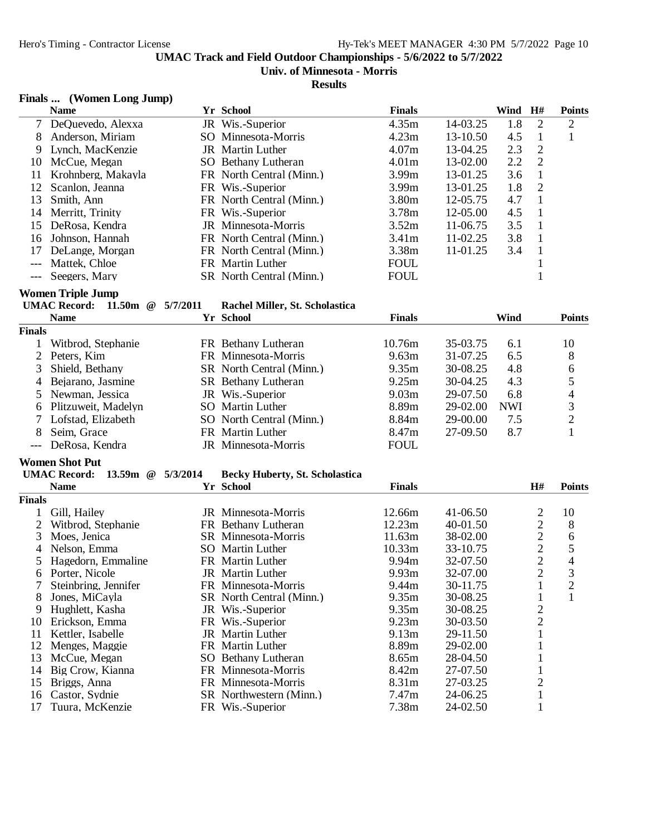## **Univ. of Minnesota - Morris**

#### **Results**

#### **Finals ... (Women Long Jump)**

|     | <b>Name</b>         | Yr School                | <b>Finals</b>     |              | Wind | H# | <b>Points</b> |
|-----|---------------------|--------------------------|-------------------|--------------|------|----|---------------|
|     | 7 DeQuevedo, Alexxa | JR Wis.-Superior         | 4.35m             | 14-03.25     | 1.8  | 2  | 2             |
| 8   | Anderson, Miriam    | SO Minnesota-Morris      | 4.23m             | $13 - 10.50$ | 4.5  |    |               |
| 9   | Lynch, MacKenzie    | JR Martin Luther         | 4.07m             | 13-04.25     | 2.3  | 2  |               |
| 10  | McCue, Megan        | SO Bethany Lutheran      | 4.01 <sub>m</sub> | $13-02.00$   | 2.2  | 2  |               |
| 11  | Krohnberg, Makayla  | FR North Central (Minn.) | 3.99 <sub>m</sub> | 13-01.25     | 3.6  |    |               |
| 12. | Scanlon, Jeanna     | FR Wis.-Superior         | 3.99 <sub>m</sub> | 13-01.25     | 1.8  | 2  |               |
| 13  | Smith, Ann          | FR North Central (Minn.) | 3.80m             | $12 - 05.75$ | 4.7  |    |               |
| 14  | Merritt, Trinity    | FR Wis.-Superior         | 3.78m             | $12 - 05.00$ | 4.5  |    |               |
| 15  | DeRosa, Kendra      | JR Minnesota-Morris      | 3.52m             | $11-06.75$   | 3.5  |    |               |
| 16  | Johnson, Hannah     | FR North Central (Minn.) | 3.41 <sub>m</sub> | 11-02.25     | 3.8  |    |               |
| 17  | DeLange, Morgan     | FR North Central (Minn.) | 3.38 <sub>m</sub> | $11-01.25$   | 3.4  |    |               |
|     | Mattek, Chloe       | FR Martin Luther         | <b>FOUL</b>       |              |      |    |               |
|     | --- Seegers, Mary   | SR North Central (Minn.) | <b>FOUL</b>       |              |      |    |               |

#### **Women Triple Jump**

| UMAC Record: 11.50m @ 5/7/2011 |  | Rachel Miller, St. Scholastica |
|--------------------------------|--|--------------------------------|
| Nome                           |  | Vr School                      |

|               | <b>Name</b>           | Yr School                  | <b>Finals</b>     |          | Wind       | <b>Points</b>  |
|---------------|-----------------------|----------------------------|-------------------|----------|------------|----------------|
| <b>Finals</b> |                       |                            |                   |          |            |                |
|               | Witbrod, Stephanie    | FR Bethany Lutheran        | 10.76m            | 35-03.75 | 6.1        | 10             |
|               | 2 Peters. Kim         | FR Minnesota-Morris        | 9.63m             | 31-07.25 | 6.5        | 8              |
|               | 3 Shield, Bethany     | SR North Central (Minn.)   | 9.35m             | 30-08.25 | 4.8        | 6              |
|               | 4 Bejarano, Jasmine   | <b>SR</b> Bethany Lutheran | 9.25m             | 30-04.25 | 4.3        |                |
|               | 5 Newman, Jessica     | JR Wis.-Superior           | 9.03 <sub>m</sub> | 29-07.50 | 6.8        | 4              |
|               | 6 Plitzuweit, Madelyn | SO Martin Luther           | 8.89m             | 29-02.00 | <b>NWI</b> | 3              |
|               | Lofstad, Elizabeth    | SO North Central (Minn.)   | 8.84m             | 29-00.00 | 7.5        | $\overline{2}$ |
| 8             | Seim. Grace           | FR Martin Luther           | 8.47m             | 27-09.50 | 8.7        |                |
|               | DeRosa, Kendra        | JR Minnesota-Morris        | <b>FOUL</b>       |          |            |                |

|               | Women Shot Put                    |          |                                       |                   |          |                |                |
|---------------|-----------------------------------|----------|---------------------------------------|-------------------|----------|----------------|----------------|
|               | <b>UMAC Record:</b><br>13.59m $@$ | 5/3/2014 | <b>Becky Huberty, St. Scholastica</b> |                   |          |                |                |
|               | <b>Name</b>                       |          | Yr School                             | <b>Finals</b>     |          | H#             | <b>Points</b>  |
| <b>Finals</b> |                                   |          |                                       |                   |          |                |                |
|               | Gill, Hailey                      |          | JR Minnesota-Morris                   | 12.66m            | 41-06.50 | 2              | 10             |
| 2             | Witbrod, Stephanie                |          | FR Bethany Lutheran                   | 12.23m            | 40-01.50 | $\overline{2}$ | 8              |
| 3             | Moes, Jenica                      |          | SR Minnesota-Morris                   | 11.63m            | 38-02.00 | $\overline{2}$ | 6              |
| 4             | Nelson, Emma                      |          | <b>SO</b> Martin Luther               | 10.33m            | 33-10.75 | $\overline{2}$ | 5              |
| 5.            | Hagedorn, Emmaline                |          | FR Martin Luther                      | 9.94m             | 32-07.50 | $\overline{2}$ | 4              |
| 6             | Porter, Nicole                    |          | <b>JR</b> Martin Luther               | 9.93 <sub>m</sub> | 32-07.00 | $\overline{2}$ | 3              |
|               | Steinbring, Jennifer              |          | FR Minnesota-Morris                   | 9.44m             | 30-11.75 |                | $\overline{2}$ |
| 8             | Jones, MiCayla                    |          | SR North Central (Minn.)              | 9.35m             | 30-08.25 |                |                |
| 9             | Hughlett, Kasha                   |          | JR Wis.-Superior                      | 9.35m             | 30-08.25 | $\overline{2}$ |                |
| 10            | Erickson, Emma                    |          | FR Wis.-Superior                      | 9.23m             | 30-03.50 | $\overline{2}$ |                |
| 11            | Kettler, Isabelle                 |          | <b>JR</b> Martin Luther               | 9.13 <sub>m</sub> | 29-11.50 |                |                |
| 12            | Menges, Maggie                    |          | FR Martin Luther                      | 8.89m             | 29-02.00 |                |                |
| 13            | McCue, Megan                      |          | SO Bethany Lutheran                   | 8.65m             | 28-04.50 |                |                |
| 14            | Big Crow, Kianna                  |          | FR Minnesota-Morris                   | 8.42m             | 27-07.50 |                |                |
| 15            | Briggs, Anna                      |          | FR Minnesota-Morris                   | 8.31m             | 27-03.25 | 2              |                |
| 16            | Castor, Sydnie                    |          | SR Northwestern (Minn.)               | 7.47m             | 24-06.25 |                |                |
| 17            | Tuura, McKenzie                   |          | FR Wis.-Superior                      | 7.38m             | 24-02.50 |                |                |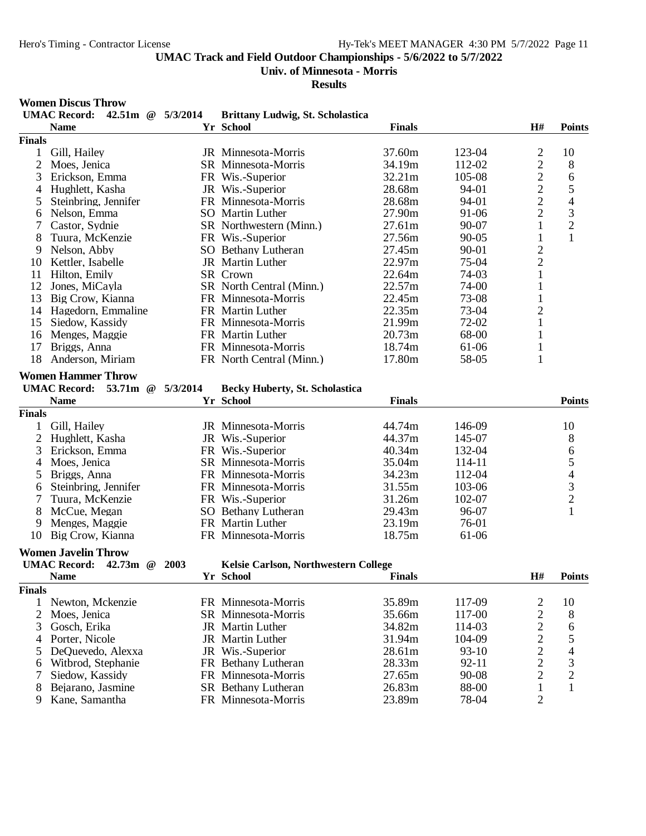**Univ. of Minnesota - Morris**

**Results**

# **Women Discus Throw**

|                | <b>UMAC Record:</b>             | 42.51m $\omega$ 5/3/2014 | <b>Brittany Ludwig, St. Scholastica</b> |               |           |                         |                                            |
|----------------|---------------------------------|--------------------------|-----------------------------------------|---------------|-----------|-------------------------|--------------------------------------------|
|                | <b>Name</b>                     |                          | Yr School                               | <b>Finals</b> |           | H#                      | <b>Points</b>                              |
| <b>Finals</b>  |                                 |                          |                                         |               |           |                         |                                            |
| 1              | Gill, Hailey                    |                          | JR Minnesota-Morris                     | 37.60m        | 123-04    | $\overline{c}$          | 10                                         |
| $\mathfrak{2}$ | Moes, Jenica                    |                          | SR Minnesota-Morris                     | 34.19m        | 112-02    | $\overline{c}$          | 8                                          |
| 3              | Erickson, Emma                  |                          | FR Wis.-Superior                        | 32.21m        | 105-08    | $\overline{c}$          | 6                                          |
| 4              | Hughlett, Kasha                 |                          | JR Wis.-Superior                        | 28.68m        | 94-01     | $\overline{c}$          | 5                                          |
| 5              | Steinbring, Jennifer            |                          | FR Minnesota-Morris                     | 28.68m        | 94-01     | $\overline{2}$          | $\overline{4}$                             |
| 6              | Nelson, Emma                    |                          | SO Martin Luther                        | 27.90m        | 91-06     | $\overline{2}$          | $\overline{3}$                             |
| $\overline{7}$ | Castor, Sydnie                  |                          | SR Northwestern (Minn.)                 | 27.61m        | $90 - 07$ | $\mathbf{1}$            | $\overline{c}$                             |
| 8              | Tuura, McKenzie                 |                          | FR Wis.-Superior                        | 27.56m        | $90 - 05$ | $\mathbf{1}$            | $\mathbf{1}$                               |
| 9              | Nelson, Abby                    |                          | SO Bethany Lutheran                     | 27.45m        | 90-01     | $\overline{2}$          |                                            |
| 10             | Kettler, Isabelle               |                          | JR Martin Luther                        | 22.97m        | 75-04     | $\overline{c}$          |                                            |
| 11             | Hilton, Emily                   |                          | SR Crown                                | 22.64m        | 74-03     | $\,1$                   |                                            |
| 12             | Jones, MiCayla                  |                          | SR North Central (Minn.)                | 22.57m        | 74-00     | $\mathbf 1$             |                                            |
| 13             | Big Crow, Kianna                |                          | FR Minnesota-Morris                     | 22.45m        | 73-08     | $\,1\,$                 |                                            |
| 14             | Hagedorn, Emmaline              |                          | FR Martin Luther                        | 22.35m        | 73-04     | $\overline{c}$          |                                            |
| 15             | Siedow, Kassidy                 |                          | FR Minnesota-Morris                     | 21.99m        | 72-02     | $\mathbf{1}$            |                                            |
| 16             | Menges, Maggie                  |                          | FR Martin Luther                        | 20.73m        | 68-00     | $\mathbf{1}$            |                                            |
| 17             | Briggs, Anna                    |                          | FR Minnesota-Morris                     | 18.74m        | 61-06     | $\mathbf{1}$            |                                            |
| 18             | Anderson, Miriam                |                          | FR North Central (Minn.)                | 17.80m        | 58-05     | $\mathbf{1}$            |                                            |
|                |                                 |                          |                                         |               |           |                         |                                            |
|                | <b>Women Hammer Throw</b>       |                          |                                         |               |           |                         |                                            |
|                | <b>UMAC Record:</b><br>53.71m @ | 5/3/2014                 | <b>Becky Huberty, St. Scholastica</b>   |               |           |                         |                                            |
|                | <b>Name</b>                     |                          | Yr School                               | <b>Finals</b> |           |                         | <b>Points</b>                              |
| <b>Finals</b>  |                                 |                          |                                         |               |           |                         |                                            |
| 1              | Gill, Hailey                    |                          | JR Minnesota-Morris                     | 44.74m        | 146-09    |                         | 10                                         |
| $\mathbf{2}$   | Hughlett, Kasha                 |                          | JR Wis.-Superior                        | 44.37m        | 145-07    |                         | 8                                          |
| 3              | Erickson, Emma                  |                          | FR Wis.-Superior                        | 40.34m        | 132-04    |                         |                                            |
| 4              | Moes, Jenica                    |                          | SR Minnesota-Morris                     | 35.04m        | 114-11    |                         | 65432                                      |
| 5              | Briggs, Anna                    |                          | FR Minnesota-Morris                     | 34.23m        | 112-04    |                         |                                            |
| 6              | Steinbring, Jennifer            |                          | FR Minnesota-Morris                     | 31.55m        | 103-06    |                         |                                            |
| 7              | Tuura, McKenzie                 |                          | FR Wis.-Superior                        | 31.26m        | 102-07    |                         |                                            |
| 8              | McCue, Megan                    |                          | SO Bethany Lutheran                     | 29.43m        | 96-07     |                         | $\mathbf{1}$                               |
| 9              | Menges, Maggie                  |                          | FR Martin Luther                        | 23.19m        | 76-01     |                         |                                            |
| 10             | Big Crow, Kianna                |                          | FR Minnesota-Morris                     | 18.75m        | 61-06     |                         |                                            |
|                |                                 |                          |                                         |               |           |                         |                                            |
|                | <b>Women Javelin Throw</b>      |                          |                                         |               |           |                         |                                            |
|                | <b>UMAC Record:</b><br>42.73m @ | 2003                     | Kelsie Carlson, Northwestern College    |               |           |                         |                                            |
|                | <b>Name</b>                     |                          | Yr School                               | <b>Finals</b> |           | H#                      | <b>Points</b>                              |
| <b>Finals</b>  |                                 |                          |                                         |               |           |                         |                                            |
| 1              | Newton, Mckenzie                |                          | FR Minnesota-Morris                     | 35.89m        | 117-09    | $\overline{\mathbf{c}}$ | 10                                         |
| $\mathbf{2}$   | Moes, Jenica                    |                          | SR Minnesota-Morris                     | 35.66m        | 117-00    | $\overline{c}$          | 8                                          |
| 3              | Gosch, Erika                    |                          | JR Martin Luther                        | 34.82m        | 114-03    | $\overline{c}$          | 6                                          |
| 4              | Porter, Nicole                  |                          | JR Martin Luther                        | 31.94m        | 104-09    | $\overline{c}$          | 5                                          |
| 5              | DeQuevedo, Alexxa               |                          | JR Wis.-Superior                        | 28.61m        | $93-10$   | $\overline{c}$          | $\begin{array}{c} 4 \\ 3 \\ 2 \end{array}$ |
| 6              | Witbrod, Stephanie              |                          | FR Bethany Lutheran                     | 28.33m        | 92-11     | $\overline{c}$          |                                            |
| 7              | Siedow, Kassidy                 |                          | FR Minnesota-Morris                     | 27.65m        | 90-08     | $\overline{c}$          |                                            |
| 8              | Bejarano, Jasmine               |                          | <b>SR</b> Bethany Lutheran              | 26.83m        | 88-00     | $\mathbf{1}$            | $\mathbf{1}$                               |
| 9              | Kane, Samantha                  |                          | FR Minnesota-Morris                     | 23.89m        | 78-04     | $\sqrt{2}$              |                                            |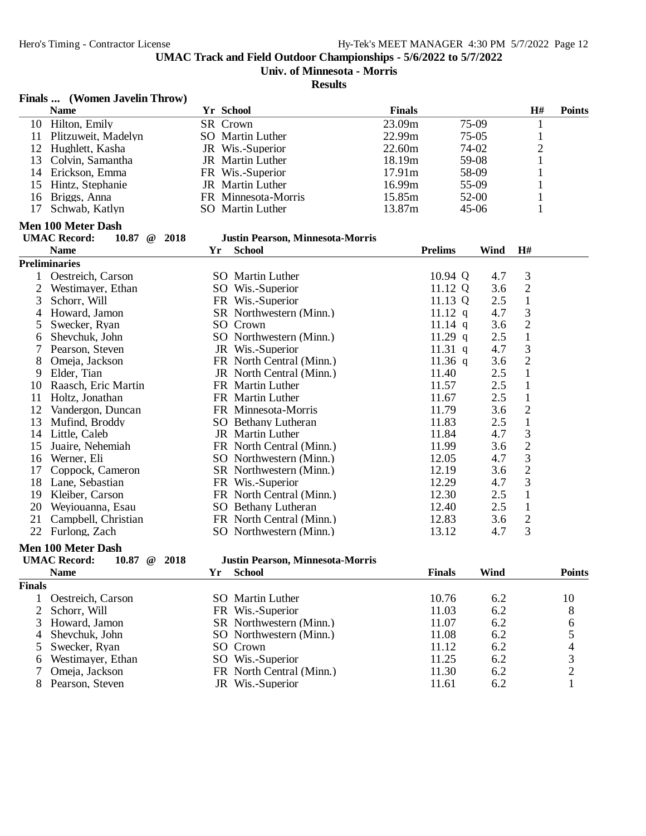#### **Univ. of Minnesota - Morris**

#### **Results**

#### **Finals ... (Women Javelin Throw)**

| <b>Name</b>            | Yr School               | <b>Finals</b>      |         | Н# | <b>Points</b> |
|------------------------|-------------------------|--------------------|---------|----|---------------|
| 10 Hilton, Emily       | SR Crown                | 23.09m             | 75-09   |    |               |
| 11 Plitzuweit, Madelyn | SO Martin Luther        | 22.99m             | $75-05$ |    |               |
| 12 Hughlett, Kasha     | JR Wis.-Superior        | 22.60 <sub>m</sub> | 74-02   |    |               |
| 13 Colvin, Samantha    | <b>JR</b> Martin Luther | 18.19m             | 59-08   |    |               |
| 14 Erickson, Emma      | FR Wis.-Superior        | 17.91m             | 58-09   |    |               |
| 15 Hintz, Stephanie    | <b>JR</b> Martin Luther | 16.99m             | $55-09$ |    |               |
| 16 Briggs, Anna        | FR Minnesota-Morris     | 15.85m             | $52-00$ |    |               |
| 17 Schwab, Katlyn      | SO Martin Luther        | 13.87m             | $45-06$ |    |               |

#### **Men 100 Meter Dash**

| <b>UMAC Record:</b> | $10.87 \quad @ \quad 2018$ |
|---------------------|----------------------------|
|---------------------|----------------------------|

# **WAG UMAC BEAM**<br> **WAGE REFORM: WAGE REFORM**<br> **WAGE REFORM**<br> **PEAR**<br> **PEAR**<br> **PEAR**<br> **PEAR**<br> **PEAR**<br> **PEAR**<br> **PEAR**<br> **PEAR**

|                | <b>Name</b>          | Yr | <b>School</b>            | <b>Prelims</b> | Wind | H#             |  |
|----------------|----------------------|----|--------------------------|----------------|------|----------------|--|
|                | <b>Preliminaries</b> |    |                          |                |      |                |  |
|                | Oestreich, Carson    |    | <b>SO</b> Martin Luther  | 10.94 Q        | 4.7  | 3              |  |
| 2              | Westimayer, Ethan    |    | SO Wis.-Superior         | 11.12 $Q$      | 3.6  | $\overline{2}$ |  |
| 3              | Schorr, Will         |    | FR Wis.-Superior         | 11.13 $Q$      | 2.5  | 1              |  |
| $\overline{4}$ | Howard, Jamon        |    | SR Northwestern (Minn.)  | $11.12$ q      | 4.7  | 3              |  |
| 5.             | Swecker, Ryan        |    | SO Crown                 | 11.14 $q$      | 3.6  | $\overline{2}$ |  |
| 6              | Shevchuk, John       |    | SO Northwestern (Minn.)  | 11.29 q        | 2.5  |                |  |
| 7              | Pearson, Steven      |    | JR Wis.-Superior         | 11.31 q        | 4.7  | 3              |  |
| 8              | Omeja, Jackson       |    | FR North Central (Minn.) | $11.36$ q      | 3.6  | $\overline{c}$ |  |
| 9              | Elder, Tian          |    | JR North Central (Minn.) | 11.40          | 2.5  | 1              |  |
| 10             | Raasch, Eric Martin  |    | FR Martin Luther         | 11.57          | 2.5  |                |  |
| 11             | Holtz, Jonathan      |    | FR Martin Luther         | 11.67          | 2.5  | 1              |  |
| 12             | Vandergon, Duncan    |    | FR Minnesota-Morris      | 11.79          | 3.6  | $\overline{c}$ |  |
| 13             | Mufind, Broddy       |    | SO Bethany Lutheran      | 11.83          | 2.5  |                |  |
| 14             | Little, Caleb        |    | <b>JR</b> Martin Luther  | 11.84          | 4.7  | 3              |  |
| 15             | Juaire, Nehemiah     |    | FR North Central (Minn.) | 11.99          | 3.6  | $\overline{c}$ |  |
| 16             | Werner, Eli          |    | SO Northwestern (Minn.)  | 12.05          | 4.7  | 3              |  |
| 17             | Coppock, Cameron     |    | SR Northwestern (Minn.)  | 12.19          | 3.6  | $\overline{2}$ |  |
| 18             | Lane, Sebastian      |    | FR Wis.-Superior         | 12.29          | 4.7  | 3              |  |
| 19             | Kleiber, Carson      |    | FR North Central (Minn.) | 12.30          | 2.5  |                |  |
| 20             | Weyiouanna, Esau     |    | SO Bethany Lutheran      | 12.40          | 2.5  |                |  |
| 21             | Campbell, Christian  |    | FR North Central (Minn.) | 12.83          | 3.6  | $\overline{2}$ |  |
| 22             | Furlong, Zach        |    | SO Northwestern (Minn.)  | 13.12          | 4.7  | 3              |  |

#### **Men 100 Meter Dash**

| <b>UMAC Record:</b> | 10.87 $@$ 2018 |  |
|---------------------|----------------|--|
| $\mathbf{M}$ and a  |                |  |

# **UMAC Record: 10.87 @ 2018 Justin Pearson, Minnesota-Morris**

|               | <b>Name</b>         | Үr | <b>School</b>            | <b>Finals</b> | Wind | <b>Points</b> |
|---------------|---------------------|----|--------------------------|---------------|------|---------------|
| <b>Finals</b> |                     |    |                          |               |      |               |
|               | Oestreich, Carson   |    | SO Martin Luther         | 10.76         | 6.2  | 10            |
|               | 2 Schorr, Will      |    | FR Wis.-Superior         | 11.03         | 6.2  | 8             |
|               | 3 Howard, Jamon     |    | SR Northwestern (Minn.)  | 11.07         | 6.2  | 6             |
|               | 4 Shevchuk, John    |    | SO Northwestern (Minn.)  | 11.08         | 6.2  |               |
|               | 5 Swecker, Ryan     |    | SO Crown                 | 11.12         | 6.2  | 4             |
|               | 6 Westimayer, Ethan |    | SO Wis.-Superior         | 11.25         | 6.2  | 3             |
|               | Omeja, Jackson      |    | FR North Central (Minn.) | 11.30         | 6.2  |               |
|               | Pearson, Steven     |    | JR Wis.-Superior         | 11.61         | 6.2  |               |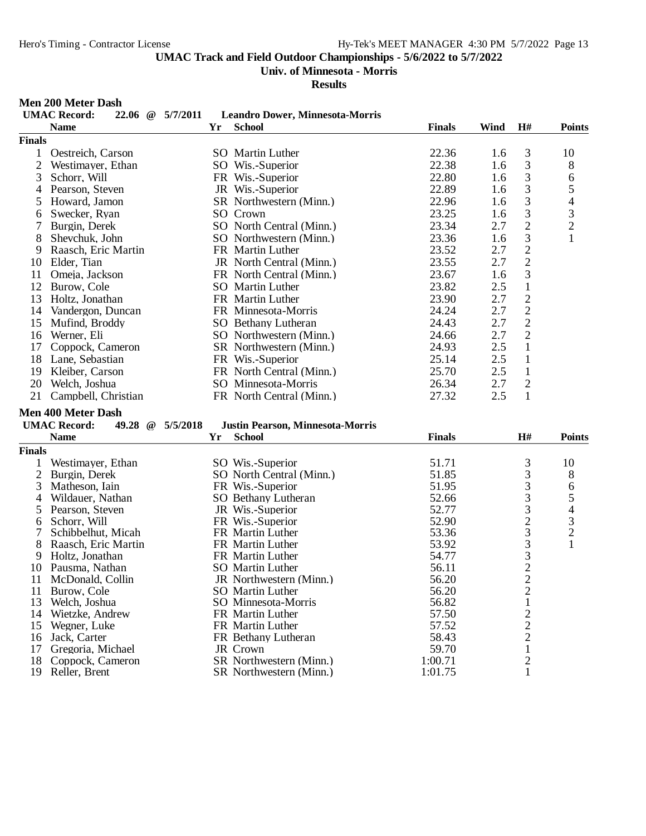**Univ. of Minnesota - Morris**

**Results**

#### **Men 200 Meter Dash**

|               | <b>UMAC Record:</b><br>22.06 $@$       | 5/7/2011 | <b>Leandro Dower, Minnesota-Morris</b>  |                  |                                                 |                                            |
|---------------|----------------------------------------|----------|-----------------------------------------|------------------|-------------------------------------------------|--------------------------------------------|
|               | <b>Name</b>                            | Yr       | <b>School</b>                           | <b>Finals</b>    | Wind<br>H#                                      | <b>Points</b>                              |
| <b>Finals</b> |                                        |          |                                         |                  |                                                 |                                            |
| 1             | Oestreich, Carson                      |          | SO Martin Luther                        | 22.36            | 3<br>1.6                                        | 10                                         |
| 2             | Westimayer, Ethan                      |          | SO Wis.-Superior                        | 22.38            | 3<br>1.6                                        | 8                                          |
| 3             | Schorr, Will                           |          | FR Wis.-Superior                        | 22.80            | $\mathfrak{Z}$<br>1.6                           | 6                                          |
| 4             | Pearson, Steven                        |          | JR Wis.-Superior                        | 22.89            | 3<br>1.6                                        | 5                                          |
| 5             | Howard, Jamon                          |          | SR Northwestern (Minn.)                 | 22.96            | 3<br>1.6                                        | $\overline{\mathcal{L}}$                   |
| 6             | Swecker, Ryan                          |          | SO Crown                                | 23.25            | 3<br>1.6                                        |                                            |
| 7             | Burgin, Derek                          |          | SO North Central (Minn.)                | 23.34            | $\overline{c}$<br>2.7                           | $\frac{3}{2}$                              |
| 8             | Shevchuk, John                         |          | SO Northwestern (Minn.)                 | 23.36            | 3<br>1.6                                        | $\mathbf{1}$                               |
| 9             | Raasch, Eric Martin                    |          | FR Martin Luther                        | 23.52            | $\overline{2}$<br>2.7                           |                                            |
| 10            | Elder, Tian                            |          | JR North Central (Minn.)                | 23.55            | $\overline{2}$<br>2.7                           |                                            |
| 11            | Omeja, Jackson                         |          | FR North Central (Minn.)                | 23.67            | $\mathfrak 3$<br>1.6                            |                                            |
| 12            | Burow, Cole                            |          | SO Martin Luther                        | 23.82            | 2.5<br>$\mathbf{1}$                             |                                            |
| 13            | Holtz, Jonathan                        |          | FR Martin Luther                        | 23.90            | 2.7                                             |                                            |
|               | 14 Vandergon, Duncan                   |          | FR Minnesota-Morris                     | 24.24            | $\frac{2}{2}$<br>2.7                            |                                            |
| 15            | Mufind, Broddy                         |          | SO Bethany Lutheran                     | 24.43            | $\overline{2}$<br>2.7                           |                                            |
| 16            | Werner, Eli                            |          | SO Northwestern (Minn.)                 | 24.66            | $\overline{2}$<br>2.7                           |                                            |
| 17            | Coppock, Cameron                       |          | SR Northwestern (Minn.)                 | 24.93            | 2.5<br>$\mathbf{1}$                             |                                            |
| 18            | Lane, Sebastian                        |          | FR Wis.-Superior                        | 25.14            | $\mathbf{1}$<br>2.5                             |                                            |
| 19            | Kleiber, Carson                        |          | FR North Central (Minn.)                | 25.70            | $\mathbf{1}$<br>2.5                             |                                            |
| 20            | Welch, Joshua                          |          | SO Minnesota-Morris                     | 26.34            | $\mathbf{2}$<br>2.7                             |                                            |
| 21            | Campbell, Christian                    |          | FR North Central (Minn.)                | 27.32            | $\mathbf{1}$<br>2.5                             |                                            |
|               |                                        |          |                                         |                  |                                                 |                                            |
|               | <b>Men 400 Meter Dash</b>              |          |                                         |                  |                                                 |                                            |
|               | <b>UMAC Record:</b><br>49.28 @         | 5/5/2018 | <b>Justin Pearson, Minnesota-Morris</b> |                  |                                                 |                                            |
|               | <b>Name</b>                            | Yr       | <b>School</b>                           | <b>Finals</b>    | H#                                              | <b>Points</b>                              |
| <b>Finals</b> |                                        |          |                                         |                  |                                                 |                                            |
| 1             | Westimayer, Ethan                      |          | SO Wis.-Superior                        | 51.71            |                                                 | 10                                         |
| $\mathbf{2}$  | Burgin, Derek                          |          | SO North Central (Minn.)                | 51.85            |                                                 | 8                                          |
| 3             | Matheson, Iain                         |          | FR Wis.-Superior                        | 51.95            | $\begin{array}{c} 3 \\ 3 \\ 3 \\ 3 \end{array}$ | 6                                          |
| 4             | Wildauer, Nathan                       |          | SO Bethany Lutheran                     | 52.66            |                                                 | $\mathfrak s$                              |
| 5             | Pearson, Steven                        |          | JR Wis.-Superior                        | 52.77            |                                                 | $\overline{\mathcal{L}}$                   |
| 6<br>7        | Schorr, Will                           |          | FR Wis.-Superior                        | 52.90            | $\begin{array}{c}\n23 \\ 33 \\ 22\n\end{array}$ | $\begin{array}{c} 3 \\ 2 \\ 1 \end{array}$ |
| 8             | Schibbelhut, Micah                     |          | FR Martin Luther<br>FR Martin Luther    | 53.36<br>53.92   |                                                 |                                            |
| 9             | Raasch, Eric Martin<br>Holtz, Jonathan |          | FR Martin Luther                        | 54.77            |                                                 |                                            |
| 10            | Pausma, Nathan                         |          | SO Martin Luther                        | 56.11            |                                                 |                                            |
| 11            | McDonald, Collin                       |          | JR Northwestern (Minn.)                 | 56.20            |                                                 |                                            |
| 11            | Burow, Cole                            |          | <b>SO</b> Martin Luther                 | 56.20            | $\overline{\mathbf{c}}$                         |                                            |
| 13            | Welch, Joshua                          |          | SO Minnesota-Morris                     | 56.82            | 1                                               |                                            |
| 14            | Wietzke, Andrew                        |          | FR Martin Luther                        | 57.50            |                                                 |                                            |
| 15            | Wegner, Luke                           |          | FR Martin Luther                        | 57.52            | $\begin{array}{c} 2 \\ 2 \\ 2 \\ 1 \end{array}$ |                                            |
| 16            | Jack, Carter                           |          | FR Bethany Lutheran                     | 58.43            |                                                 |                                            |
| 17            |                                        |          |                                         |                  |                                                 |                                            |
|               |                                        |          |                                         |                  |                                                 |                                            |
| 18            | Gregoria, Michael<br>Coppock, Cameron  |          | JR Crown<br>SR Northwestern (Minn.)     | 59.70<br>1:00.71 | $\overline{c}$                                  |                                            |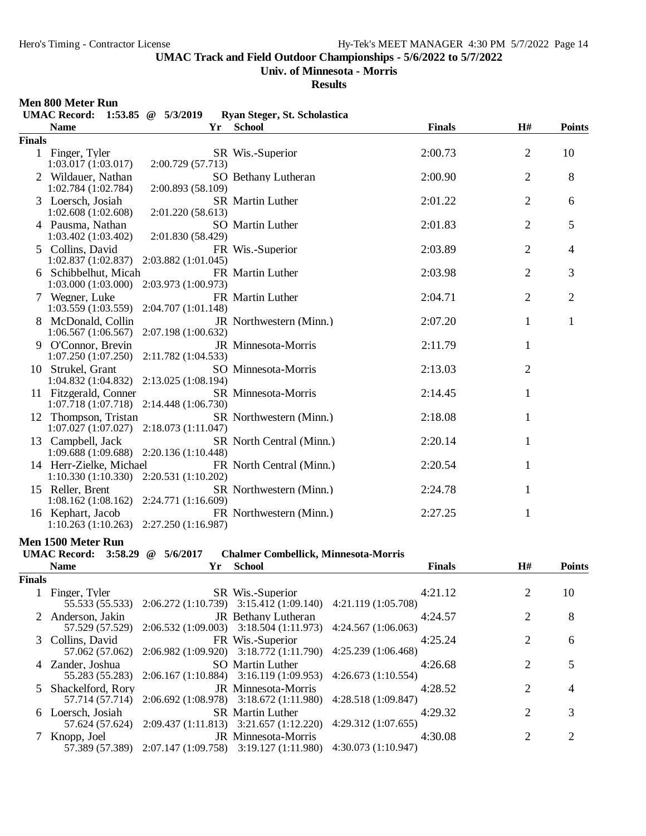#### **Univ. of Minnesota - Morris**

**Results**

#### **Men 800 Meter Run**

|               | Men suu meter kun<br><b>UMAC Record:</b>                             | 1:53.85 $\omega$ 5/3/2019 | Ryan Steger, St. Scholastica |               |                |                |
|---------------|----------------------------------------------------------------------|---------------------------|------------------------------|---------------|----------------|----------------|
|               | <b>Name</b>                                                          | Yr                        | <b>School</b>                | <b>Finals</b> | H#             | <b>Points</b>  |
| <b>Finals</b> |                                                                      |                           |                              |               |                |                |
|               | 1 Finger, Tyler<br>1:03.017(1:03.017)                                | 2:00.729 (57.713)         | SR Wis.-Superior             | 2:00.73       | 2              | 10             |
|               | 2 Wildauer, Nathan<br>1:02.784(1:02.784)                             | 2:00.893 (58.109)         | SO Bethany Lutheran          | 2:00.90       | $\overline{2}$ | 8              |
|               | 3 Loersch, Josiah<br>1:02.608(1:02.608)                              | 2:01.220(58.613)          | SR Martin Luther             | 2:01.22       | $\overline{2}$ | 6              |
|               | 4 Pausma, Nathan<br>1:03.402(1:03.402)                               | 2:01.830 (58.429)         | <b>SO</b> Martin Luther      | 2:01.83       | $\overline{2}$ | 5              |
|               | 5 Collins, David<br>1:02.837(1:02.837)                               | 2:03.882 (1:01.045)       | FR Wis.-Superior             | 2:03.89       | $\overline{2}$ | 4              |
|               | 6 Schibbelhut, Micah<br>$1:03.000(1:03.000)$ $2:03.973(1:00.973)$    |                           | FR Martin Luther             | 2:03.98       | $\overline{2}$ | 3              |
|               | 7 Wegner, Luke<br>$1:03.559(1:03.559)$ $2:04.707(1:01.148)$          |                           | FR Martin Luther             | 2:04.71       | $\overline{2}$ | $\overline{2}$ |
|               | 8 McDonald, Collin<br>$1:06.567(1:06.567)$ $2:07.198(1:00.632)$      |                           | JR Northwestern (Minn.)      | 2:07.20       | 1              | 1              |
|               | 9 O'Connor, Brevin<br>1:07.250 (1:07.250) 2:11.782 (1:04.533)        |                           | JR Minnesota-Morris          | 2:11.79       | 1              |                |
|               | 10 Strukel. Grant<br>1:04.832 (1:04.832) 2:13.025 (1:08.194)         |                           | SO Minnesota-Morris          | 2:13.03       | 2              |                |
|               | 11 Fitzgerald, Conner<br>1:07.718 (1:07.718) 2:14.448 (1:06.730)     |                           | SR Minnesota-Morris          | 2:14.45       | 1              |                |
|               | 12 Thompson, Tristan<br>$1:07.027(1:07.027)$ $2:18.073(1:11.047)$    |                           | SR Northwestern (Minn.)      | 2:18.08       | 1              |                |
|               | 13 Campbell, Jack<br>1:09.688 (1:09.688) 2:20.136 (1:10.448)         |                           | SR North Central (Minn.)     | 2:20.14       | 1              |                |
|               | 14 Herr-Zielke, Michael<br>$1:10.330(1:10.330)$ $2:20.531(1:10.202)$ |                           | FR North Central (Minn.)     | 2:20.54       | 1              |                |
|               | 15 Reller, Brent<br>1:08.162 (1:08.162) 2:24.771 (1:16.609)          |                           | SR Northwestern (Minn.)      | 2:24.78       | 1              |                |
|               | 16 Kephart, Jacob<br>$1:10.263(1:10.263)$ $2:27.250(1:16.987)$       |                           | FR Northwestern (Minn.)      | 2:27.25       | $\mathbf 1$    |                |

**Men 1500 Meter Run<br>
UMAC Record:** 3:58.29 @ 5/6/2017

#### **UMAC Record: 3:58.29 @ 5/6/2017 Chalmer Combellick, Minnesota-Morris**

|               | <b>Name</b>         | Yr | School                                                                                                    |                    | <b>Finals</b> | H#                    | <b>Points</b>               |
|---------------|---------------------|----|-----------------------------------------------------------------------------------------------------------|--------------------|---------------|-----------------------|-----------------------------|
| <b>Finals</b> |                     |    |                                                                                                           |                    |               |                       |                             |
|               | 1 Finger, Tyler     |    | SR Wis.-Superior<br>55.533 (55.533) 2:06.272 (1:10.739) 3:15.412 (1:09.140) 4:21.119 (1:05.708)           |                    | 4:21.12       |                       | 10                          |
|               | 2 Anderson, Jakin   |    | <b>JR</b> Bethany Lutheran<br>$57.529(57.529)$ $2:06.532(1:09.003)$ $3:18.504(1:11.973)$                  | 4:24.567(1:06.063) | 4:24.57       |                       | 8                           |
|               | 3 Collins, David    |    | FR Wis.-Superior<br>57.062 (57.062) 2:06.982 (1:09.920) 3:18.772 (1:11.790) 4:25.239 (1:06.468)           |                    | 4:25.24       | 2                     | 6                           |
|               | 4 Zander, Joshua    |    | SO Martin Luther<br>55.283 (55.283) 2:06.167 (1:10.884) 3:16.119 (1:09.953) 4:26.673 (1:10.554)           |                    | 4:26.68       | 2                     | 5                           |
|               | 5 Shackelford, Rory |    | <b>JR</b> Minnesota-Morris<br>57.714 (57.714) 2:06.692 (1:08.978) 3:18.672 (1:11.980) 4:28.518 (1:09.847) |                    | 4:28.52       | 2                     | 4                           |
|               | 6 Loersch, Josiah   |    | <b>SR</b> Martin Luther<br>57.624 (57.624) 2:09.437 (1:11.813) 3:21.657 (1:12.220) 4:29.312 (1:07.655)    |                    | 4:29.32       | $\mathcal{D}_{\cdot}$ | 3                           |
|               | Knopp. Joel         |    | <b>JR</b> Minnesota-Morris<br>57.389 (57.389) 2:07.147 (1:09.758) 3:19.127 (1:11.980) 4:30.073 (1:10.947) |                    | 4:30.08       | 2                     | $\mathcal{D}_{\mathcal{L}}$ |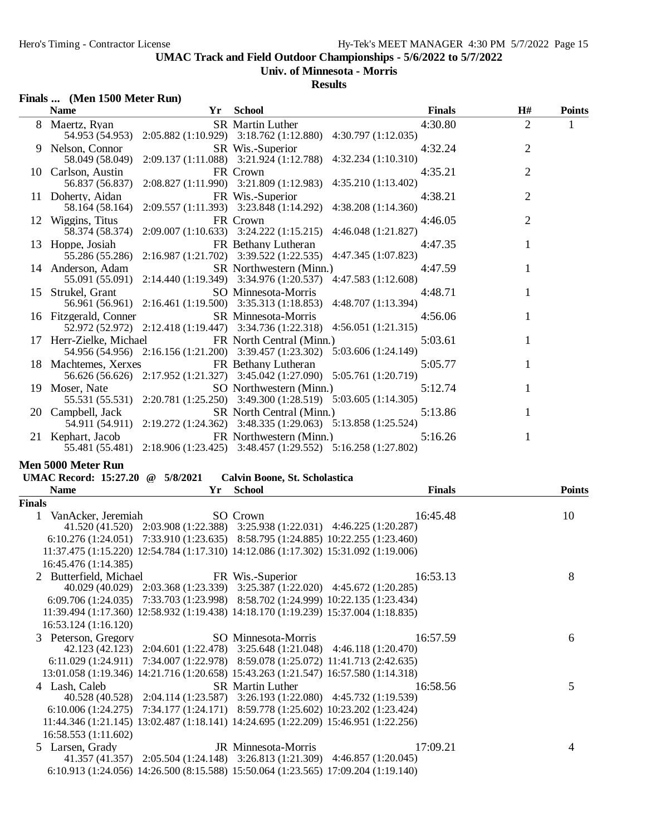## **Univ. of Minnesota - Morris**

**Results**

| Finals  (Men 1500 Meter Run)             |                                                                                                                                 |               |                |               |
|------------------------------------------|---------------------------------------------------------------------------------------------------------------------------------|---------------|----------------|---------------|
| <b>Name</b>                              | Yr School                                                                                                                       | <b>Finals</b> | H#             | <b>Points</b> |
| 8 Maertz, Ryan                           | <b>SR</b> Martin Luther<br>54.953 (54.953) 2:05.882 (1:10.929) 3:18.762 (1:12.880) 4:30.797 (1:12.035)                          | 4:30.80       | 2              | 1             |
| 9 Nelson, Connor                         | SR Wis.-Superior<br>58.049 (58.049) 2:09.137 (1:11.088) 3:21.924 (1:12.788) 4:32.234 (1:10.310)                                 | 4:32.24       | $\overline{2}$ |               |
| 10 Carlson, Austin                       | FR Crown<br>56.837 (56.837) 2:08.827 (1:11.990) 3:21.809 (1:12.983) 4:35.210 (1:13.402)                                         | 4:35.21       | 2              |               |
| 11 Doherty, Aidan                        | FR Wis.-Superior<br>58.164 (58.164) 2:09.557 (1:11.393) 3:23.848 (1:14.292) 4:38.208 (1:14.360)                                 | 4:38.21       | $\overline{2}$ |               |
| 12 Wiggins, Titus                        | FR Crown<br>58.374 (58.374) 2:09.007 (1:10.633) 3:24.222 (1:15.215) 4:46.048 (1:21.827)                                         | 4:46.05       | $\overline{2}$ |               |
| 13 Hoppe, Josiah                         | FR Bethany Lutheran<br>55.286 (55.286) 2:16.987 (1:21.702) 3:39.522 (1:22.535) 4:47.345 (1:07.823)                              | 4:47.35       | 1              |               |
| 14 Anderson, Adam                        | SR Northwestern (Minn.)<br>55.091 (55.091) 2:14.440 (1:19.349) 3:34.976 (1:20.537) 4:47.583 (1:12.608)                          | 4:47.59       |                |               |
| 15 Strukel, Grant                        | SO Minnesota-Morris<br>56.961 (56.961) 2:16.461 (1:19.500) 3:35.313 (1:18.853) 4:48.707 (1:13.394)                              | 4:48.71       | 1              |               |
|                                          | 16 Fitzgerald, Conner SR Minnesota-Morris<br>52.972 (52.972) 2:12.418 (1:19.447) 3:34.736 (1:22.318) 4:56.051 (1:21.315)        | 4:56.06       |                |               |
|                                          | 17 Herr-Zielke, Michael FR North Central (Minn.)<br>54.956 (54.956) 2:16.156 (1:21.200) 3:39.457 (1:23.302) 5:03.606 (1:24.149) | 5:03.61       | 1              |               |
| 18 Machtemes, Xerxes FR Bethany Lutheran | 56.626 (56.626) 2:17.952 (1:21.327) 3:45.042 (1:27.090) 5:05.761 (1:20.719)                                                     | 5:05.77       |                |               |
| 19 Moser, Nate                           | SO Northwestern (Minn.)<br>55.531 (55.531) 2:20.781 (1:25.250) 3:49.300 (1:28.519) 5:03.605 (1:14.305)                          | 5:12.74       | 1              |               |
| 20 Campbell, Jack                        | SR North Central (Minn.)<br>54.911 (54.911) 2:19.272 (1:24.362) 3:48.335 (1:29.063) 5:13.858 (1:25.524)                         | 5:13.86       | 1              |               |
| 21 Kephart, Jacob                        | FR Northwestern (Minn.)<br>55.481 (55.481) 2:18.906 (1:23.425) 3:48.457 (1:29.552) 5:16.258 (1:27.802)                          | 5:16.26       | 1              |               |

#### **Men 5000 Meter Run**

| UMAC Record: 15:27.20 @ 5/8/2021                                                     |    | Calvin Boone, St. Scholastica |               |               |
|--------------------------------------------------------------------------------------|----|-------------------------------|---------------|---------------|
| <b>Name</b>                                                                          | Yr | <b>School</b>                 | <b>Finals</b> | <b>Points</b> |
| <b>Finals</b>                                                                        |    |                               |               |               |
| VanAcker, Jeremiah<br>$\mathbf{1}$                                                   |    | SO Crown                      | 16:45.48      | 10            |
| 41.520 (41.520) 2:03.908 (1:22.388) 3:25.938 (1:22.031) 4:46.225 (1:20.287)          |    |                               |               |               |
| 6:10.276 (1:24.051) 7:33.910 (1:23.635) 8:58.795 (1:24.885) 10:22.255 (1:23.460)     |    |                               |               |               |
| 11:37.475 (1:15.220) 12:54.784 (1:17.310) 14:12.086 (1:17.302) 15:31.092 (1:19.006)  |    |                               |               |               |
| 16:45.476 (1:14.385)                                                                 |    |                               |               |               |
| 2 Butterfield, Michael                                                               |    | FR Wis.-Superior              | 16:53.13      | 8             |
| 40.029 (40.029) 2:03.368 (1:23.339) 3:25.387 (1:22.020) 4:45.672 (1:20.285)          |    |                               |               |               |
| 6:09.706 (1:24.035) 7:33.703 (1:23.998) 8:58.702 (1:24.999) 10:22.135 (1:23.434)     |    |                               |               |               |
| 11:39.494 (1:17.360) 12:58.932 (1:19.438) 14:18.170 (1:19.239) 15:37.004 (1:18.835)  |    |                               |               |               |
| 16:53.124(1:16.120)                                                                  |    |                               |               |               |
| 3 Peterson, Gregory                                                                  |    | SO Minnesota-Morris           | 16:57.59      | 6             |
| 42.123 (42.123) 2:04.601 (1:22.478) 3:25.648 (1:21.048) 4:46.118 (1:20.470)          |    |                               |               |               |
| 6:11.029 (1:24.911) 7:34.007 (1:22.978) 8:59.078 (1:25.072) 11:41.713 (2:42.635)     |    |                               |               |               |
| 13:01.058 (1:19.346) 14:21.716 (1:20.658) 15:43.263 (1:21.547) 16:57.580 (1:14.318)  |    |                               |               |               |
| 4 Lash, Caleb                                                                        |    | SR Martin Luther              | 16:58.56      | 5             |
| 40.528 (40.528) 2:04.114 (1:23.587) 3:26.193 (1:22.080) 4:45.732 (1:19.539)          |    |                               |               |               |
| $6:10.006(1:24.275)$ $7:34.177(1:24.171)$ $8:59.778(1:25.602)$ $10:23.202(1:23.424)$ |    |                               |               |               |
| 11:44.346 (1:21.145) 13:02.487 (1:18.141) 14:24.695 (1:22.209) 15:46.951 (1:22.256)  |    |                               |               |               |
| 16:58.553 (1:11.602)                                                                 |    |                               |               |               |
| 5 Larsen, Grady                                                                      |    | JR Minnesota-Morris           | 17:09.21      | 4             |
| 41.357 (41.357) 2:05.504 (1:24.148) 3:26.813 (1:21.309) 4:46.857 (1:20.045)          |    |                               |               |               |
| 6:10.913 (1:24.056) 14:26.500 (8:15.588) 15:50.064 (1:23.565) 17:09.204 (1:19.140)   |    |                               |               |               |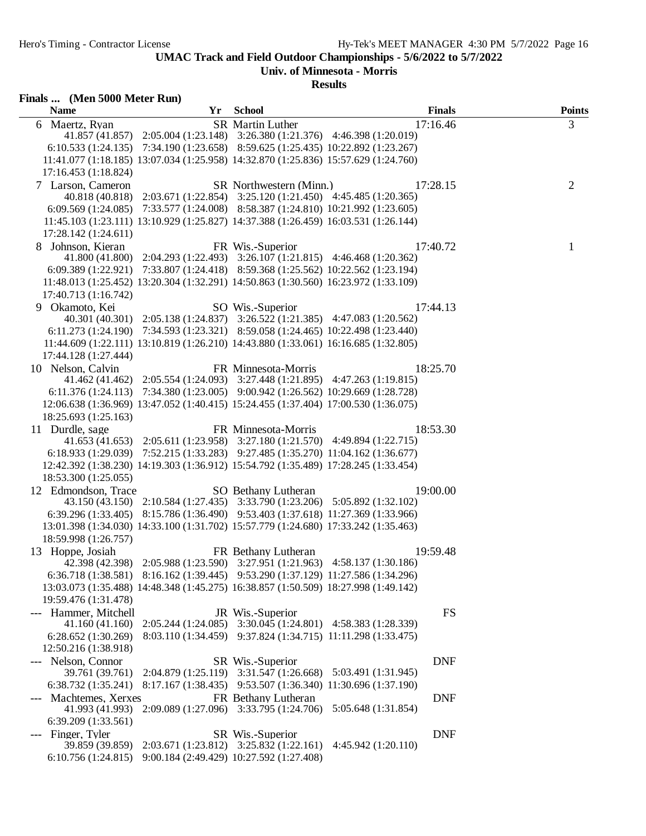**Univ. of Minnesota - Morris**

| Finals  (Men 5000 Meter Run)<br><b>Name</b> |                                                                                     |                                                              |                                                              | <b>Finals</b> |                    |
|---------------------------------------------|-------------------------------------------------------------------------------------|--------------------------------------------------------------|--------------------------------------------------------------|---------------|--------------------|
| 6 Maertz, Ryan                              | Yr                                                                                  | <b>School</b><br><b>SR</b> Martin Luther                     |                                                              | 17:16.46      | <b>Points</b><br>3 |
|                                             | 41.857 (41.857) 2:05.004 (1:23.148) 3:26.380 (1:21.376) 4:46.398 (1:20.019)         |                                                              |                                                              |               |                    |
|                                             | 6:10.533 (1:24.135) 7:34.190 (1:23.658) 8:59.625 (1:25.435) 10:22.892 (1:23.267)    |                                                              |                                                              |               |                    |
|                                             | 11:41.077 (1:18.185) 13:07.034 (1:25.958) 14:32.870 (1:25.836) 15:57.629 (1:24.760) |                                                              |                                                              |               |                    |
| 17:16.453 (1:18.824)                        |                                                                                     |                                                              |                                                              |               |                    |
| 7 Larson, Cameron                           |                                                                                     | SR Northwestern (Minn.)                                      |                                                              | 17:28.15      | $\overline{2}$     |
|                                             | 40.818 (40.818) 2:03.671 (1:22.854) 3:25.120 (1:21.450) 4:45.485 (1:20.365)         |                                                              |                                                              |               |                    |
|                                             | 6:09.569 (1:24.085) 7:33.577 (1:24.008) 8:58.387 (1:24.810) 10:21.992 (1:23.605)    |                                                              |                                                              |               |                    |
|                                             | 11:45.103 (1:23.111) 13:10.929 (1:25.827) 14:37.388 (1:26.459) 16:03.531 (1:26.144) |                                                              |                                                              |               |                    |
| 17:28.142 (1:24.611)                        |                                                                                     |                                                              |                                                              |               |                    |
| 8 Johnson, Kieran                           |                                                                                     | FR Wis.-Superior                                             |                                                              | 17:40.72      | 1                  |
|                                             | 41.800 (41.800) 2:04.293 (1:22.493) 3:26.107 (1:21.815) 4:46.468 (1:20.362)         |                                                              |                                                              |               |                    |
|                                             | 6:09.389 (1:22.921) 7:33.807 (1:24.418) 8:59.368 (1:25.562) 10:22.562 (1:23.194)    |                                                              |                                                              |               |                    |
|                                             | 11:48.013 (1:25.452) 13:20.304 (1:32.291) 14:50.863 (1:30.560) 16:23.972 (1:33.109) |                                                              |                                                              |               |                    |
| 17:40.713 (1:16.742)                        |                                                                                     |                                                              |                                                              |               |                    |
| 9 Okamoto, Kei                              |                                                                                     | SO Wis.-Superior                                             |                                                              | 17:44.13      |                    |
|                                             | 40.301 (40.301) 2:05.138 (1:24.837) 3:26.522 (1:21.385) 4:47.083 (1:20.562)         |                                                              |                                                              |               |                    |
|                                             | 6:11.273 (1:24.190) 7:34.593 (1:23.321) 8:59.058 (1:24.465) 10:22.498 (1:23.440)    |                                                              |                                                              |               |                    |
|                                             | 11:44.609 (1:22.111) 13:10.819 (1:26.210) 14:43.880 (1:33.061) 16:16.685 (1:32.805) |                                                              |                                                              |               |                    |
| 17:44.128 (1:27.444)                        |                                                                                     |                                                              |                                                              |               |                    |
| 10 Nelson, Calvin                           |                                                                                     | FR Minnesota-Morris                                          |                                                              | 18:25.70      |                    |
|                                             | 41.462 (41.462) 2:05.554 (1:24.093) 3:27.448 (1:21.895) 4:47.263 (1:19.815)         |                                                              |                                                              |               |                    |
|                                             | 6:11.376 (1:24.113) 7:34.380 (1:23.005) 9:00.942 (1:26.562) 10:29.669 (1:28.728)    |                                                              |                                                              |               |                    |
|                                             | 12:06.638 (1:36.969) 13:47.052 (1:40.415) 15:24.455 (1:37.404) 17:00.530 (1:36.075) |                                                              |                                                              |               |                    |
| 18:25.693 (1:25.163)                        |                                                                                     |                                                              |                                                              |               |                    |
| 11 Durdle, sage                             | 41.653 (41.653) 2:05.611 (1:23.958) 3:27.180 (1:21.570) 4:49.894 (1:22.715)         | FR Minnesota-Morris                                          |                                                              | 18:53.30      |                    |
|                                             | 6:18.933 (1:29.039) 7:52.215 (1:33.283) 9:27.485 (1:35.270) 11:04.162 (1:36.677)    |                                                              |                                                              |               |                    |
|                                             | 12:42.392 (1:38.230) 14:19.303 (1:36.912) 15:54.792 (1:35.489) 17:28.245 (1:33.454) |                                                              |                                                              |               |                    |
| 18:53.300 (1:25.055)                        |                                                                                     |                                                              |                                                              |               |                    |
| 12 Edmondson, Trace                         |                                                                                     | SO Bethany Lutheran                                          |                                                              | 19:00.00      |                    |
|                                             | 43.150 (43.150) 2:10.584 (1:27.435) 3:33.790 (1:23.206) 5:05.892 (1:32.102)         |                                                              |                                                              |               |                    |
|                                             | 6:39.296 (1:33.405) 8:15.786 (1:36.490) 9:53.403 (1:37.618) 11:27.369 (1:33.966)    |                                                              |                                                              |               |                    |
|                                             | 13:01.398 (1:34.030) 14:33.100 (1:31.702) 15:57.779 (1:24.680) 17:33.242 (1:35.463) |                                                              |                                                              |               |                    |
| 18:59.998 (1:26.757)                        |                                                                                     |                                                              |                                                              |               |                    |
| 13 Hoppe, Josiah                            |                                                                                     | FR Bethany Lutheran                                          |                                                              | 19:59.48      |                    |
|                                             | 42.398 (42.398) 2:05.988 (1:23.590) 3:27.951 (1:21.963) 4:58.137 (1:30.186)         |                                                              |                                                              |               |                    |
|                                             | 6:36.718 (1:38.581) 8:16.162 (1:39.445) 9:53.290 (1:37.129) 11:27.586 (1:34.296)    |                                                              |                                                              |               |                    |
|                                             | 13:03.073 (1:35.488) 14:48.348 (1:45.275) 16:38.857 (1:50.509) 18:27.998 (1:49.142) |                                                              |                                                              |               |                    |
| 19:59.476 (1:31.478)                        |                                                                                     |                                                              |                                                              |               |                    |
| --- Hammer, Mitchell                        |                                                                                     | JR Wis.-Superior                                             |                                                              | FS            |                    |
| 41.160 (41.160)                             | 2:05.244(1:24.085)                                                                  |                                                              | 3:30.045 (1:24.801) 4:58.383 (1:28.339)                      |               |                    |
| 6:28.652 (1:30.269)                         |                                                                                     | 8:03.110 (1:34.459) 9:37.824 (1:34.715) 11:11.298 (1:33.475) |                                                              |               |                    |
| 12:50.216 (1:38.918)                        |                                                                                     |                                                              |                                                              |               |                    |
| Nelson, Connor                              |                                                                                     | SR Wis.-Superior                                             |                                                              | <b>DNF</b>    |                    |
| 39.761 (39.761)                             |                                                                                     | 2:04.879 (1:25.119) 3:31.547 (1:26.668)                      | 5:03.491 (1:31.945)                                          |               |                    |
| 6:38.732 (1:35.241)                         |                                                                                     |                                                              | 8:17.167 (1:38.435) 9:53.507 (1:36.340) 11:30.696 (1:37.190) |               |                    |
| Machtemes, Xerxes                           |                                                                                     | FR Bethany Lutheran                                          |                                                              | <b>DNF</b>    |                    |
| 41.993 (41.993)                             |                                                                                     | 2:09.089 (1:27.096) 3:33.795 (1:24.706)                      | 5:05.648 (1:31.854)                                          |               |                    |
| 6:39.209 (1:33.561)                         |                                                                                     |                                                              |                                                              |               |                    |
| --- Finger, Tyler                           |                                                                                     | SR Wis.-Superior                                             |                                                              | <b>DNF</b>    |                    |
| 39.859 (39.859)                             |                                                                                     | 2:03.671 (1:23.812) 3:25.832 (1:22.161)                      | 4:45.942 (1:20.110)                                          |               |                    |
|                                             | 6:10.756 (1:24.815) 9:00.184 (2:49.429) 10:27.592 (1:27.408)                        |                                                              |                                                              |               |                    |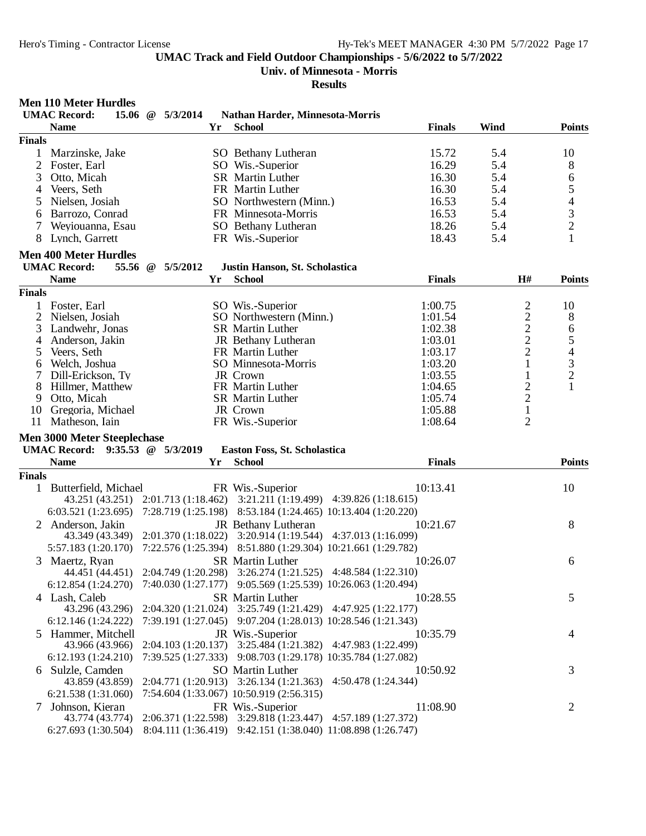**Univ. of Minnesota - Morris**

#### **Results Men 110 Meter Hurdles UMAC Record: 15.06 @ 5/3/2014 Nathan Harder, Minnesota-Morris Name Yr School Finals Wind Points Finals** 1 Marzinske, Jake SO Bethany Lutheran 15.72 5.4 10 2 Foster, Earl SO Wis.-Superior 16.29 5.4 8 3 Otto, Micah SR Martin Luther 16.30 5.4 6 4 Veers, Seth FR Martin Luther 16.30 5.4 5<br>5 Nielsen, Josiah SO Northwestern (Minn.) 16.53 5.4 4 5 Nielsen, Josiah SO Northwestern (Minn.) 16.53 5.4 4 6 Barrozo, Conrad FR Minnesota-Morris 16.53 5.4 3 7 Weviouanna, Esau SO Bethany Lutheran 8 Lynch, Garrett **FR** Wis.-Superior 18.43 5.4 1 **Men 400 Meter Hurdles UMAC Record: 55.56 @ 5/5/2012 Justin Hanson, St. Scholastica Name Yr School Finals H# Points Finals** 1 Foster, Earl SO Wis.-Superior 1:00.75 2 10 2 Nielsen, Josiah SO Northwestern (Minn.) 1:01.54 2 8<br>3 Landwehr. Jonas SR Martin Luther 1:02.38 2 6 3 Landwehr, Jonas SR Martin Luther 1:02.38 2 6<br>4 Anderson, Jakin JR Bethany Lutheran 1:03.01 2 5 4 Anderson, Jakin JR Bethany Lutheran 1:03.01 2 5 5 Veers, Seth FR Martin Luther 1:03.17 2 4 6 Welch, Joshua SO Minnesota-Morris 1:03.20 1 3 7 Dill-Erickson, Ty JR Crown 1:03.55 1 2 8 Hillmer, Matthew FR Martin Luther 1:04.65 2 1 9 Otto, Micah SR Martin Luther 1:05.74 10 Gregoria, Michael **IR Crown** 1:05.88 1<br>
11 Matheson Jain **1:08.64** 1:08.64 2 11 Matheson, Iain **FR** Wis.-Superior 1:08.64 **Men 3000 Meter Steeplechase UMAC Record: 9:35.53 @ 5/3/2019 Easton Foss, St. Scholastica Name Yr School Finals Points Finals** 1 Butterfield, Michael FR Wis.-Superior 10:13.41 10:13.41 10 43.251 (43.251) 2:01.713 (1:18.462) 3:21.211 (1:19.499) 4:39.826 (1:18.615) 6:03.521 (1:23.695) 7:28.719 (1:25.198) 8:53.184 (1:24.465) 10:13.404 (1:20.220) 2 Anderson, Jakin JR Bethany Lutheran 10:21.67 8 43.349 (43.349) 2:01.370 (1:18.022) 3:20.914 (1:19.544) 4:37.013 (1:16.099) 5:57.183 (1:20.170) 7:22.576 (1:25.394) 8:51.880 (1:29.304) 10:21.661 (1:29.782) 3 Maertz, Ryan SR Martin Luther 10:26.07 6 44.451 (44.451) 2:04.749 (1:20.298) 3:26.274 (1:21.525) 4:48.584 (1:22.310) 6:12.854 (1:24.270) 7:40.030 (1:27.177) 9:05.569 (1:25.539) 10:26.063 (1:20.494) 4 Lash, Caleb SR Martin Luther 10:28.55 5<br>43.296 (43.296) 2:04.320 (1:21.024) 3:25.749 (1:21.429) 4:47.925 (1:22.177) 43.296 (43.296) 2:04.320 (1:21.024) 3:25.749 (1:21.429) 4:47.925 (1:22.177) 6:12.146 (1:24.222) 7:39.191 (1:27.045) 9:07.204 (1:28.013) 10:28.546 (1:21.343) 5 Hammer, Mitchell JR Wis.-Superior 10:35.79 43.966 (43.966) 2:04.103 (1:20.137) 3:25.484 (1:21.382) 4:47.983 (1:22.499) 43.966 (43.966) 2:04.103 (1:20.137) 3:25.484 (1:21.382) 4:47.983 (1:22.499) 6:12.193 (1:24.210) 7:39.525 (1:27.333) 9:08.703 (1:29.178) 10:35.784 (1:27.082) 6 Sulzle, Camden SO Martin Luther 10:50.92 3 43.859 (43.859) 2:04.771 (1:20.913) 3:26.134 (1:21.363) 4:50.478 (1:24.344) 6:21.538 (1:31.060) 7:54.604 (1:33.067) 10:50.919 (2:56.315) 7 Johnson, Kieran FR Wis.-Superior 11:08.90 2 43.774 (43.774) 2:06.371 (1:22.598) 3:29.818 (1:23.447) 4:57.189 (1:27.372) 6:27.693 (1:30.504) 8:04.111 (1:36.419) 9:42.151 (1:38.040) 11:08.898 (1:26.747)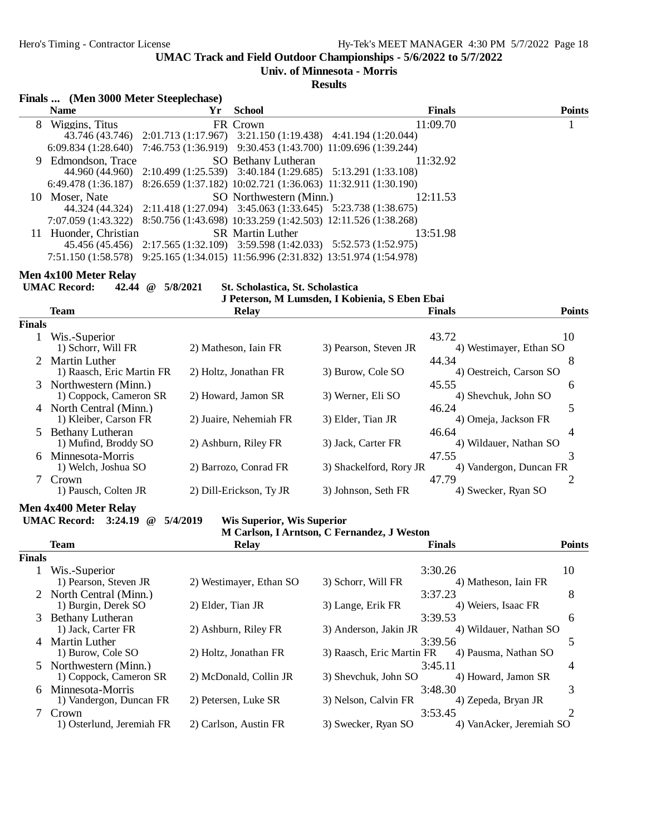**Univ. of Minnesota - Morris**

**Results**

|  | Finals  (Men 3000 Meter Steeplechase) |  |  |  |
|--|---------------------------------------|--|--|--|
|--|---------------------------------------|--|--|--|

| $\cdots$ $\cdots$ |    |                                                                                   |  |               |  |               |  |  |
|-------------------|----|-----------------------------------------------------------------------------------|--|---------------|--|---------------|--|--|
| <b>Name</b>       | Yr | School                                                                            |  | <b>Finals</b> |  | <b>Points</b> |  |  |
| 8 Wiggins, Titus  |    | FR Crown                                                                          |  | 11:09.70      |  |               |  |  |
|                   |    | 43.746 (43.746) 2:01.713 (1:17.967) 3:21.150 (1:19.438) 4:41.194 (1:20.044)       |  |               |  |               |  |  |
|                   |    | 6:09.834 (1:28.640) 7:46.753 (1:36.919) 9:30.453 (1:43.700) 11:09.696 (1:39.244)  |  |               |  |               |  |  |
|                   |    | 9 Edmondson, Trace SO Bethany Lutheran                                            |  | 11:32.92      |  |               |  |  |
|                   |    | 44.960 (44.960) 2:10.499 (1:25.539) 3:40.184 (1:29.685) 5:13.291 (1:33.108)       |  |               |  |               |  |  |
|                   |    | 6:49.478 (1:36.187) 8:26.659 (1:37.182) 10:02.721 (1:36.063) 11:32.911 (1:30.190) |  |               |  |               |  |  |
| 10 Moser, Nate    |    | SO Northwestern (Minn.) 12:11.53                                                  |  |               |  |               |  |  |
|                   |    | 44.324 (44.324) 2:11.418 (1:27.094) 3:45.063 (1:33.645) 5:23.738 (1:38.675)       |  |               |  |               |  |  |
|                   |    | 7:07.059 (1:43.322) 8:50.756 (1:43.698) 10:33.259 (1:42.503) 12:11.526 (1:38.268) |  |               |  |               |  |  |
|                   |    | 11 Huonder, Christian SR Martin Luther                                            |  | 13:51.98      |  |               |  |  |
|                   |    | 45.456 (45.456) 2:17.565 (1:32.109) 3:59.598 (1:42.033) 5:52.573 (1:52.975)       |  |               |  |               |  |  |
|                   |    | 7:51.150 (1:58.578) 9:25.165 (1:34.015) 11:56.996 (2:31.832) 13:51.974 (1:54.978) |  |               |  |               |  |  |

#### **Men 4x100 Meter Relay**

**UMAC Record: 42.44 @ 5/8/2021 St. Scholastica, St. Scholastica**

# **J Peterson, M Lumsden, I Kobienia, S Eben Ebai**

|        | <b>Team</b>                                       | <b>Relay</b>            |                         | <b>Finals</b>                    | <b>Points</b> |
|--------|---------------------------------------------------|-------------------------|-------------------------|----------------------------------|---------------|
| Finals |                                                   |                         |                         |                                  |               |
|        | Wis.-Superior<br>1) Schorr, Will FR               | 2) Matheson, Iain FR    | 3) Pearson, Steven JR   | 43.72<br>4) Westimayer, Ethan SO | 10            |
|        | <b>Martin Luther</b><br>1) Raasch, Eric Martin FR | 2) Holtz, Jonathan FR   | 3) Burow, Cole SO       | 44.34<br>4) Oestreich, Carson SO | 8             |
|        | 3 Northwestern (Minn.)<br>1) Coppock, Cameron SR  | 2) Howard, Jamon SR     | 3) Werner, Eli SO       | 45.55<br>4) Shevchuk, John SO    | 6             |
|        | 4 North Central (Minn.)<br>1) Kleiber, Carson FR  | 2) Juaire. Nehemiah FR  | 3) Elder, Tian JR       | 46.24<br>4) Omeja, Jackson FR    | 5             |
| 5.     | Bethany Lutheran<br>1) Mufind, Broddy SO          | 2) Ashburn, Riley FR    | 3) Jack, Carter FR      | 46.64<br>4) Wildauer, Nathan SO  | 4             |
| 6      | Minnesota-Morris<br>1) Welch, Joshua SO           | 2) Barrozo, Conrad FR   | 3) Shackelford, Rory JR | 47.55<br>4) Vandergon, Duncan FR | 3             |
|        | Crown<br>1) Pausch, Colten JR                     | 2) Dill-Erickson, Ty JR | 3) Johnson, Seth FR     | 47.79<br>4) Swecker, Ryan SO     |               |
|        |                                                   |                         |                         |                                  |               |

**Men 4x400 Meter Relay**

**UMAC Record: 3:24.19 @ 5/4/2019 Wis Superior, Wis Superior**

|  |  | M Carlson, I Arntson, C Fernandez, J Weston |  |
|--|--|---------------------------------------------|--|
|  |  |                                             |  |

#### **Team Relay Finals Points Finals** 1 Wis.-Superior 3:30.26 10 1) Pearson, Steven JR 2) Westimayer, Ethan SO 3) Schorr, Will FR 4) Matheson, Iain FR 2 North Central (Minn.) 3:37.23 8<br>
1) Burgin, Derek SO 2) Elder, Tian JR 3) Lange, Erik FR 4) Weiers, Isaac FR 1) Burgin, Derek SO 3 Bethany Lutheran 3:39.53 6<br>
1) Jack, Carter FR 2) Ashburn, Riley FR 3) Anderson, Jakin JR 4) Wildauer, Nathan SO 4) Wildauer, Nathan SO 4 Martin Luther 3:39.56 5<br>1) Burow, Cole SO 3) Holtz, Jonathan FR 3) Raasch, Eric Martin FR 4) Pausma, Nathan SO 3) Raasch, Eric Martin FR 5 Northwestern (Minn.)<br>
1) Coppock, Cameron SR 2) McDonald, Collin JR 3) Shevchuk, John SO 4) Howard, Jamon SR 4 1) Coppock, Cameron SR 6 Minnesota-Morris 3:48.30 3 1) Vandergon, Duncan FR

7 Crown 3:53.45 2 1) Osterlund, Jeremiah FR 2) Carlson, Austin FR 3) Swecker, Ryan SO 4) VanAcker, Jeremiah SO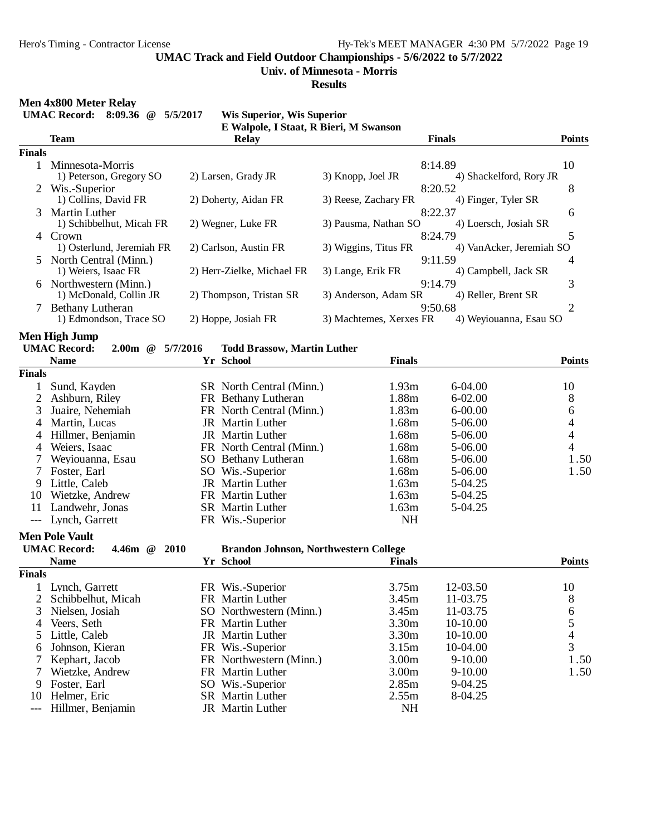**Univ. of Minnesota - Morris**

**Results**

# **Men 4x800 Meter Relay**<br>**HMAC Becaudy** 8:00.26

|                     | IVICII 48000 IVICICI INCIAY<br><b>UMAC Record:</b> 8:09.36 @<br>5/5/2017 | <b>Wis Superior, Wis Superior</b><br>E Walpole, I Staat, R Bieri, M Swanson |                         |                           |                |
|---------------------|--------------------------------------------------------------------------|-----------------------------------------------------------------------------|-------------------------|---------------------------|----------------|
|                     | <b>Team</b>                                                              | <b>Relay</b>                                                                |                         | <b>Finals</b>             | <b>Points</b>  |
| <b>Finals</b>       |                                                                          |                                                                             |                         |                           |                |
|                     | 1 Minnesota-Morris                                                       |                                                                             |                         | 8:14.89                   | 10             |
|                     | 1) Peterson, Gregory SO                                                  | 2) Larsen, Grady JR                                                         | 3) Knopp, Joel JR       | 4) Shackelford, Rory JR   |                |
|                     | Wis.-Superior                                                            |                                                                             |                         | 8:20.52                   | 8              |
|                     | 1) Collins, David FR                                                     | 2) Doherty, Aidan FR                                                        | 3) Reese, Zachary FR    | 4) Finger, Tyler SR       |                |
| 3                   | Martin Luther                                                            |                                                                             |                         | 8:22.37                   | 6              |
|                     | 1) Schibbelhut, Micah FR                                                 | 2) Wegner, Luke FR                                                          | 3) Pausma, Nathan SO    | 4) Loersch, Josiah SR     |                |
| 4                   | Crown                                                                    |                                                                             |                         | 8:24.79                   | 5              |
|                     | 1) Osterlund, Jeremiah FR                                                | 2) Carlson, Austin FR                                                       | 3) Wiggins, Titus FR    | 4) Van Acker, Jeremiah SO |                |
|                     | North Central (Minn.)                                                    |                                                                             |                         | 9:11.59                   | 4              |
|                     | 1) Weiers, Isaac FR                                                      | 2) Herr-Zielke, Michael FR                                                  | 3) Lange, Erik FR       | 4) Campbell, Jack SR      |                |
|                     | 6 Northwestern (Minn.)                                                   |                                                                             |                         | 9:14.79                   | 3              |
|                     | 1) McDonald, Collin JR                                                   | 2) Thompson, Tristan SR                                                     | 3) Anderson, Adam SR    | 4) Reller, Brent SR       |                |
|                     | 7 Bethany Lutheran                                                       |                                                                             |                         | 9:50.68                   | $\overline{2}$ |
|                     | 1) Edmondson, Trace SO                                                   | 2) Hoppe, Josiah FR                                                         | 3) Machtemes, Xerxes FR | 4) Weyiouanna, Esau SO    |                |
|                     | Men High Jump                                                            |                                                                             |                         |                           |                |
|                     | <b>UMAC Record:</b><br>$2.00m$ @<br>5/7/2016                             | <b>Todd Brassow, Martin Luther</b>                                          |                         |                           |                |
|                     | <b>Name</b>                                                              | Yr School                                                                   | <b>Finals</b>           |                           | <b>Points</b>  |
| <b>Finals</b>       |                                                                          |                                                                             |                         |                           |                |
| 1                   | Sund, Kayden                                                             | SR North Central (Minn.)                                                    | 1.93m                   | 6-04.00                   | 10             |
| 2                   | Ashburn, Riley                                                           | FR Bethany Lutheran                                                         | 1.88m                   | $6 - 02.00$               | 8              |
| 3                   | Juaire, Nehemiah                                                         | FR North Central (Minn.)                                                    | 1.83m                   | $6 - 00.00$               | 6              |
| 4                   | Martin, Lucas                                                            | JR Martin Luther                                                            | 1.68m                   | 5-06.00                   | 4              |
| 4                   | Hillmer, Benjamin                                                        | JR Martin Luther                                                            | 1.68m                   | 5-06.00                   | 4              |
| 4                   | Weiers, Isaac                                                            | FR North Central (Minn.)                                                    | 1.68m                   | 5-06.00                   | 4              |
| 7                   | Weyiouanna, Esau                                                         | SO Bethany Lutheran                                                         | 1.68m                   | 5-06.00                   | 1.50           |
| 7                   | Foster, Earl                                                             | SO Wis.-Superior                                                            | 1.68m                   | 5-06.00                   | 1.50           |
| 9                   | Little, Caleb                                                            | JR Martin Luther                                                            | 1.63m                   | 5-04.25                   |                |
| 10                  | Wietzke, Andrew                                                          | FR Martin Luther                                                            | 1.63m                   | 5-04.25                   |                |
| 11                  | Landwehr, Jonas                                                          | <b>SR</b> Martin Luther                                                     | 1.63m                   | 5-04.25                   |                |
| $\qquad \qquad - -$ | Lynch, Garrett                                                           | FR Wis.-Superior                                                            | <b>NH</b>               |                           |                |
|                     |                                                                          |                                                                             |                         |                           |                |
|                     | <b>Men Pole Vault</b>                                                    |                                                                             |                         |                           |                |
|                     | <b>UMAC Record:</b><br>4.46 $m \quad \textcircled{e}$<br><b>2010</b>     | <b>Brandon Johnson, Northwestern College</b>                                |                         |                           |                |
|                     | <b>Name</b>                                                              | Yr School                                                                   | <b>Finals</b>           |                           | <b>Points</b>  |
| <b>Finals</b>       |                                                                          |                                                                             |                         |                           |                |
| 1                   | Lynch, Garrett                                                           | FR Wis.-Superior                                                            | 3.75m                   | 12-03.50                  | 10             |
| $\overline{2}$      | Schibbelhut, Micah                                                       | FR Martin Luther                                                            | 3.45m                   | 11-03.75                  | 8              |
| 3                   | Nielsen, Josiah                                                          | SO Northwestern (Minn.)                                                     | 3.45m                   | 11-03.75                  | 6              |
| 4                   | Veers, Seth                                                              | FR Martin Luther                                                            | 3.30m                   | 10-10.00                  | 5              |
| 5                   | Little, Caleb                                                            | JR Martin Luther                                                            | 3.30m                   | 10-10.00                  | $\overline{4}$ |
| 6                   | Johnson, Kieran                                                          | FR Wis.-Superior                                                            | 3.15m                   | 10-04.00                  | 3              |
| 7                   | Kephart, Jacob                                                           | FR Northwestern (Minn.)                                                     | 3.00 <sub>m</sub>       | $9-10.00$                 | 1.50           |
| 7                   | Wietzke, Andrew                                                          | FR Martin Luther                                                            | 3.00 <sub>m</sub>       | $9-10.00$                 | 1.50           |
| 9                   | Foster, Earl                                                             | SO Wis.-Superior                                                            | 2.85m                   | 9-04.25                   |                |
| 10                  | Helmer, Eric                                                             | SR Martin Luther                                                            | 2.55m                   | 8-04.25                   |                |
| $---$               | Hillmer, Benjamin                                                        | JR Martin Luther                                                            | <b>NH</b>               |                           |                |
|                     |                                                                          |                                                                             |                         |                           |                |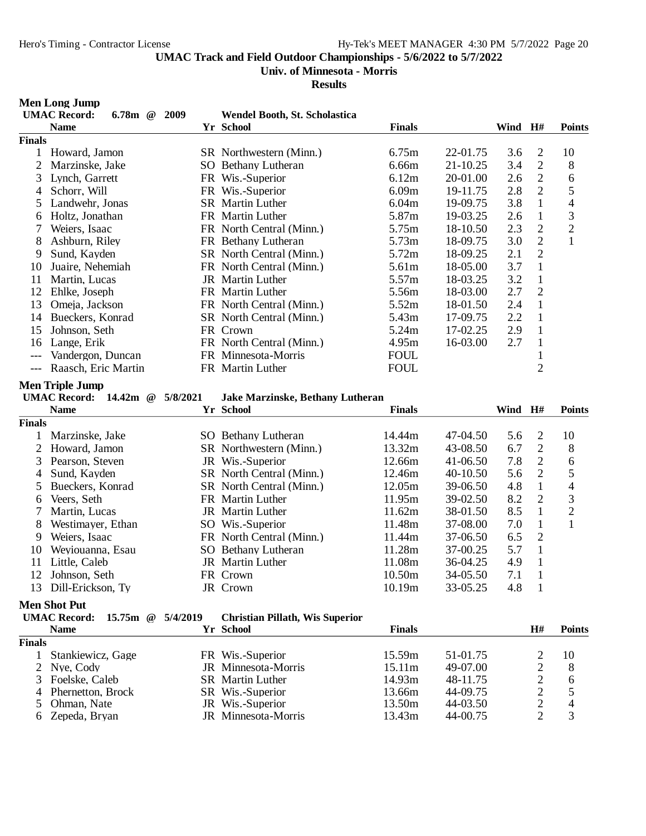### **Univ. of Minnesota - Morris**

|                | <b>Men Long Jump</b>                            |          |                                         |                  |                      |         |                                  |                               |
|----------------|-------------------------------------------------|----------|-----------------------------------------|------------------|----------------------|---------|----------------------------------|-------------------------------|
|                | <b>UMAC Record:</b><br>$6.78m$ @                | 2009     | Wendel Booth, St. Scholastica           |                  |                      |         |                                  |                               |
|                | <b>Name</b>                                     |          | Yr School                               | <b>Finals</b>    |                      | Wind    | $\mathbf{H}$ #                   | <b>Points</b>                 |
| <b>Finals</b>  |                                                 |          |                                         |                  |                      |         |                                  |                               |
| 1              | Howard, Jamon                                   |          | SR Northwestern (Minn.)                 | 6.75m            | 22-01.75             | 3.6     | $\overline{2}$                   | 10                            |
| $\overline{2}$ | Marzinske, Jake                                 |          | SO Bethany Lutheran                     | 6.66m            | 21-10.25             | 3.4     | $\overline{2}$                   | 8                             |
| 3              | Lynch, Garrett                                  |          | FR Wis.-Superior                        | 6.12m            | 20-01.00             | 2.6     | $\sqrt{2}$                       | 6                             |
| 4              | Schorr, Will                                    |          | FR Wis.-Superior                        | 6.09m            | 19-11.75             | 2.8     | $\overline{2}$                   | 5                             |
| 5              | Landwehr, Jonas                                 |          | <b>SR</b> Martin Luther                 | 6.04m            | 19-09.75             | 3.8     | $\mathbf{1}$                     | $\overline{\mathcal{L}}$      |
| 6              | Holtz, Jonathan                                 |          | FR Martin Luther                        | 5.87m            | 19-03.25             | 2.6     | $\mathbf{1}$                     | $\mathfrak{Z}$                |
| 7              | Weiers, Isaac                                   |          | FR North Central (Minn.)                | 5.75m            | 18-10.50             | 2.3     | $\overline{c}$                   | $\overline{2}$                |
| 8              | Ashburn, Riley                                  |          | FR Bethany Lutheran                     | 5.73m            | 18-09.75             | 3.0     | $\overline{c}$                   | $\mathbf{1}$                  |
| 9              | Sund, Kayden                                    |          | SR North Central (Minn.)                | 5.72m            | 18-09.25             | 2.1     | $\overline{2}$                   |                               |
| 10             | Juaire, Nehemiah                                |          | FR North Central (Minn.)                | 5.61m            | 18-05.00             | 3.7     | $\mathbf{1}$                     |                               |
| 11             | Martin, Lucas                                   |          | JR Martin Luther                        | 5.57m            | 18-03.25             | 3.2     | $\mathbf{1}$                     |                               |
| 12             | Ehlke, Joseph                                   |          | FR Martin Luther                        | 5.56m            | 18-03.00             | 2.7     | $\overline{2}$                   |                               |
| 13             | Omeja, Jackson                                  |          | FR North Central (Minn.)                | 5.52m            | 18-01.50             | 2.4     | $\mathbf{1}$                     |                               |
| 14             | Bueckers, Konrad                                |          | SR North Central (Minn.)                | 5.43m            | 17-09.75             | 2.2     | $\mathbf{1}$                     |                               |
| 15             | Johnson, Seth                                   |          | FR Crown                                | 5.24m            | 17-02.25             | 2.9     | $\mathbf{1}$                     |                               |
| 16             | Lange, Erik                                     |          | FR North Central (Minn.)                | 4.95m            | 16-03.00             | 2.7     | $\mathbf{1}$                     |                               |
|                | Vandergon, Duncan                               |          | FR Minnesota-Morris                     | <b>FOUL</b>      |                      |         | $\mathbf{1}$                     |                               |
| $---$          | Raasch, Eric Martin                             |          | FR Martin Luther                        | <b>FOUL</b>      |                      |         | $\overline{2}$                   |                               |
|                |                                                 |          |                                         |                  |                      |         |                                  |                               |
|                | <b>Men Triple Jump</b><br>UMAC Record: 14.42m @ | 5/8/2021 | <b>Jake Marzinske, Bethany Lutheran</b> |                  |                      |         |                                  |                               |
|                | <b>Name</b>                                     |          | Yr School                               | <b>Finals</b>    |                      | Wind H# |                                  | <b>Points</b>                 |
| <b>Finals</b>  |                                                 |          |                                         |                  |                      |         |                                  |                               |
| 1              | Marzinske, Jake                                 |          | SO Bethany Lutheran                     | 14.44m           | 47-04.50             | 5.6     | $\overline{2}$                   | 10                            |
| $\mathfrak{2}$ | Howard, Jamon                                   |          | SR Northwestern (Minn.)                 | 13.32m           | 43-08.50             | 6.7     | $\overline{2}$                   | 8                             |
| 3              | Pearson, Steven                                 |          | JR Wis.-Superior                        | 12.66m           | 41-06.50             | 7.8     | $\overline{2}$                   | 6                             |
| 4              | Sund, Kayden                                    |          | SR North Central (Minn.)                | 12.46m           | 40-10.50             | 5.6     | $\overline{2}$                   | 5                             |
| 5              | Bueckers, Konrad                                |          | SR North Central (Minn.)                | 12.05m           | 39-06.50             | 4.8     | $\mathbf{1}$                     | $\overline{4}$                |
| 6              | Veers, Seth                                     |          | FR Martin Luther                        | 11.95m           | 39-02.50             | 8.2     | $\overline{2}$                   | $\mathfrak{Z}$                |
| 7              | Martin, Lucas                                   |          | JR Martin Luther                        | 11.62m           | 38-01.50             | 8.5     | $\mathbf{1}$                     | $\overline{2}$                |
| 8              | Westimayer, Ethan                               |          | SO Wis.-Superior                        | 11.48m           | 37-08.00             | 7.0     | $\mathbf{1}$                     | $\mathbf{1}$                  |
| 9              | Weiers, Isaac                                   |          | FR North Central (Minn.)                | 11.44m           | 37-06.50             | 6.5     | $\overline{2}$                   |                               |
| 10             | Weyiouanna, Esau                                |          | SO Bethany Lutheran                     | 11.28m           | 37-00.25             | 5.7     | $\mathbf{1}$                     |                               |
| 11             | Little, Caleb                                   |          | JR Martin Luther                        | 11.08m           | 36-04.25             | 4.9     | $\mathbf{1}$                     |                               |
| 12             | Johnson, Seth                                   |          | FR Crown                                | 10.50m           | 34-05.50             | 7.1     | $\mathbf{1}$                     |                               |
| 13             | Dill-Erickson, Ty                               |          | JR Crown                                | 10.19m           | 33-05.25             | 4.8     | $\mathbf{1}$                     |                               |
|                |                                                 |          |                                         |                  |                      |         |                                  |                               |
|                | <b>Men Shot Put</b>                             |          |                                         |                  |                      |         |                                  |                               |
|                | <b>UMAC Record:</b>                             | 5/4/2019 | <b>Christian Pillath, Wis Superior</b>  |                  |                      |         |                                  |                               |
|                | <b>Name</b>                                     |          | Yr School                               | <b>Finals</b>    |                      |         | H#                               | <b>Points</b>                 |
| <b>Finals</b>  |                                                 |          |                                         |                  |                      |         |                                  |                               |
| 1              | Stankiewicz, Gage                               |          | FR Wis.-Superior                        | 15.59m           | 51-01.75             |         | $\overline{\mathbf{c}}$          | 10                            |
| 2              | Nye, Cody                                       |          | JR Minnesota-Morris                     | 15.11m           | 49-07.00             |         | $\overline{c}$                   | 8                             |
| 3              | Foelske, Caleb                                  |          | SR Martin Luther                        | 14.93m           | 48-11.75             |         | $\frac{2}{2}$                    | 6                             |
|                | Phernetton, Brock                               |          | SR Wis.-Superior                        | 13.66m           | 44-09.75             |         |                                  | 5                             |
| $\mathfrak{H}$ | Ohman, Nate                                     |          | JR Wis.-Superior<br>JR Minnesota-Morris | 13.50m<br>13.43m | 44-03.50<br>44-00.75 |         | $\overline{c}$<br>$\overline{2}$ | $\overline{\mathcal{L}}$<br>3 |
| 6              | Zepeda, Bryan                                   |          |                                         |                  |                      |         |                                  |                               |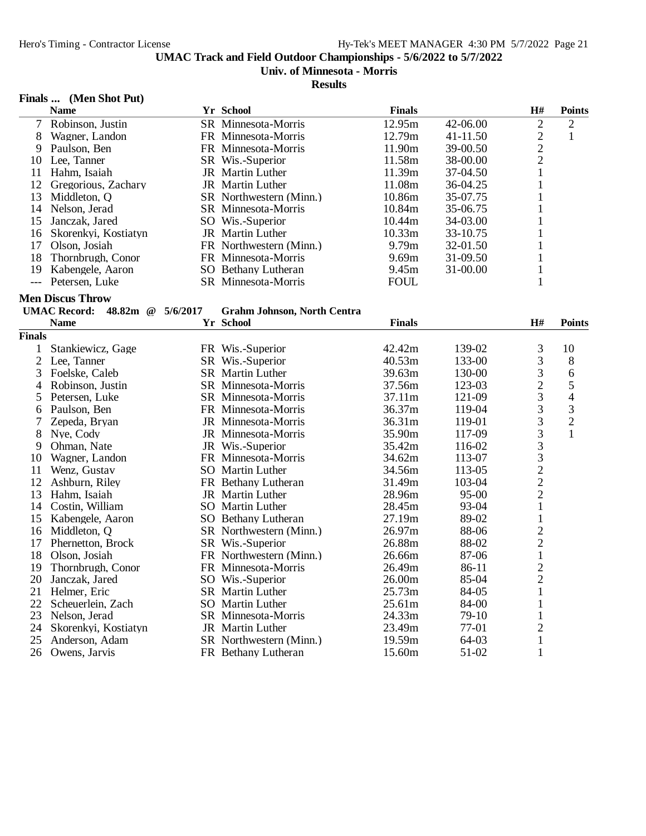# **Univ. of Minnesota - Morris**

#### **Results**

# **Finals ... (Men Shot Put)**

|                | <b>Name</b>                            |          | Yr School                            | <b>Finals</b> |          | H#                                         | <b>Points</b>  |
|----------------|----------------------------------------|----------|--------------------------------------|---------------|----------|--------------------------------------------|----------------|
| $\tau$         | Robinson, Justin                       |          | SR Minnesota-Morris                  | 12.95m        | 42-06.00 | $\overline{2}$                             | $\overline{2}$ |
| 8              | Wagner, Landon                         |          | FR Minnesota-Morris                  | 12.79m        | 41-11.50 | $\overline{c}$                             | $\mathbf{1}$   |
| 9              | Paulson, Ben                           |          | FR Minnesota-Morris                  | 11.90m        | 39-00.50 | $\frac{2}{2}$                              |                |
| 10             | Lee, Tanner                            |          | SR Wis.-Superior                     | 11.58m        | 38-00.00 |                                            |                |
| 11             | Hahm, Isaiah                           |          | JR Martin Luther                     | 11.39m        | 37-04.50 | 1                                          |                |
| 12             | Gregorious, Zachary                    |          | JR Martin Luther                     | 11.08m        | 36-04.25 | $\mathbf{1}$                               |                |
| 13             | Middleton, Q                           |          | SR Northwestern (Minn.)              | 10.86m        | 35-07.75 | 1                                          |                |
| 14             | Nelson, Jerad                          |          | SR Minnesota-Morris                  | 10.84m        | 35-06.75 | 1                                          |                |
| 15             | Janczak, Jared                         |          | SO Wis.-Superior                     | 10.44m        | 34-03.00 | 1                                          |                |
| 16             | Skorenkyi, Kostiatyn                   |          | JR Martin Luther                     | 10.33m        | 33-10.75 | 1                                          |                |
| 17             | Olson, Josiah                          |          | FR Northwestern (Minn.)              | 9.79m         | 32-01.50 | 1                                          |                |
| 18             | Thornbrugh, Conor                      |          | FR Minnesota-Morris                  | 9.69m         | 31-09.50 | 1                                          |                |
| 19             | Kabengele, Aaron                       |          | SO Bethany Lutheran                  | 9.45m         | 31-00.00 | $\mathbf{1}$                               |                |
|                | Petersen, Luke                         |          | SR Minnesota-Morris                  | <b>FOUL</b>   |          | 1                                          |                |
|                | <b>Men Discus Throw</b>                |          |                                      |               |          |                                            |                |
|                | <b>UMAC Record:</b><br>48.82m $\omega$ | 5/6/2017 | <b>Grahm Johnson, North Centra</b>   |               |          |                                            |                |
|                | <b>Name</b>                            |          | Yr School                            | <b>Finals</b> |          | H#                                         | <b>Points</b>  |
| <b>Finals</b>  |                                        |          |                                      |               |          |                                            |                |
| $\mathbf{1}$   |                                        |          |                                      | 42.42m        | 139-02   | 3                                          | 10             |
| $\overline{c}$ | Stankiewicz, Gage<br>Lee, Tanner       |          | FR Wis.-Superior<br>SR Wis.-Superior | 40.53m        | 133-00   | 3                                          |                |
| 3              |                                        |          |                                      | 39.63m        |          | 3                                          | 8<br>6         |
|                | Foelske, Caleb                         |          | <b>SR</b> Martin Luther              |               | 130-00   | $\overline{c}$                             | 5              |
| 4              | Robinson, Justin                       |          | SR Minnesota-Morris                  | 37.56m        | 123-03   | 3                                          |                |
| 5              | Petersen, Luke                         |          | <b>SR</b> Minnesota-Morris           | 37.11m        | 121-09   | 3                                          | $\overline{4}$ |
| 6              | Paulson, Ben                           |          | FR Minnesota-Morris                  | 36.37m        | 119-04   |                                            | 3              |
| 7              | Zepeda, Bryan                          |          | JR Minnesota-Morris                  | 36.31m        | 119-01   | 3                                          | $\overline{2}$ |
| 8              | Nye, Cody                              |          | JR Minnesota-Morris                  | 35.90m        | 117-09   | $\overline{3}$                             | $\mathbf{1}$   |
| 9              | Ohman, Nate                            |          | JR Wis.-Superior                     | 35.42m        | 116-02   | 3                                          |                |
| 10             | Wagner, Landon                         |          | FR Minnesota-Morris                  | 34.62m        | 113-07   | $\begin{array}{c} 3 \\ 2 \\ 2 \end{array}$ |                |
| 11             | Wenz, Gustav                           |          | SO Martin Luther                     | 34.56m        | 113-05   |                                            |                |
| 12             | Ashburn, Riley                         |          | FR Bethany Lutheran                  | 31.49m        | 103-04   |                                            |                |
| 13             | Hahm, Isaiah                           |          | JR Martin Luther                     | 28.96m        | 95-00    | $\overline{2}$                             |                |
| 14             | Costin, William                        |          | SO Martin Luther                     | 28.45m        | 93-04    | $\mathbf{1}$                               |                |
| 15             | Kabengele, Aaron                       |          | SO Bethany Lutheran                  | 27.19m        | 89-02    | $\mathbf{1}$                               |                |
| 16             | Middleton, Q                           |          | SR Northwestern (Minn.)              | 26.97m        | 88-06    | $\overline{c}$                             |                |
| 17             | Phernetton, Brock                      |          | SR Wis.-Superior                     | 26.88m        | 88-02    | $\overline{c}$                             |                |
| 18             | Olson, Josiah                          |          | FR Northwestern (Minn.)              | 26.66m        | 87-06    | $\mathbf{1}$                               |                |
| 19             | Thornbrugh, Conor                      |          | FR Minnesota-Morris                  | 26.49m        | 86-11    | $\overline{c}$                             |                |
| 20             | Janczak, Jared                         |          | SO Wis.-Superior                     | 26.00m        | 85-04    | $\overline{2}$                             |                |
| 21             | Helmer, Eric                           |          | <b>SR</b> Martin Luther              | 25.73m        | 84-05    | $\mathbf{1}$                               |                |
| 22             | Scheuerlein, Zach                      |          | <b>SO</b> Martin Luther              | 25.61m        | 84-00    | $\mathbf{1}$                               |                |
| 23             | Nelson, Jerad                          |          | SR Minnesota-Morris                  | 24.33m        | 79-10    | 1                                          |                |
| 24             | Skorenkyi, Kostiatyn                   |          | JR Martin Luther                     | 23.49m        | 77-01    | $\mathbf 2$                                |                |
| 25             | Anderson, Adam                         |          | SR Northwestern (Minn.)              | 19.59m        | 64-03    | $\mathbf{1}$                               |                |
| 26             | Owens, Jarvis                          |          | FR Bethany Lutheran                  | 15.60m        | 51-02    | 1                                          |                |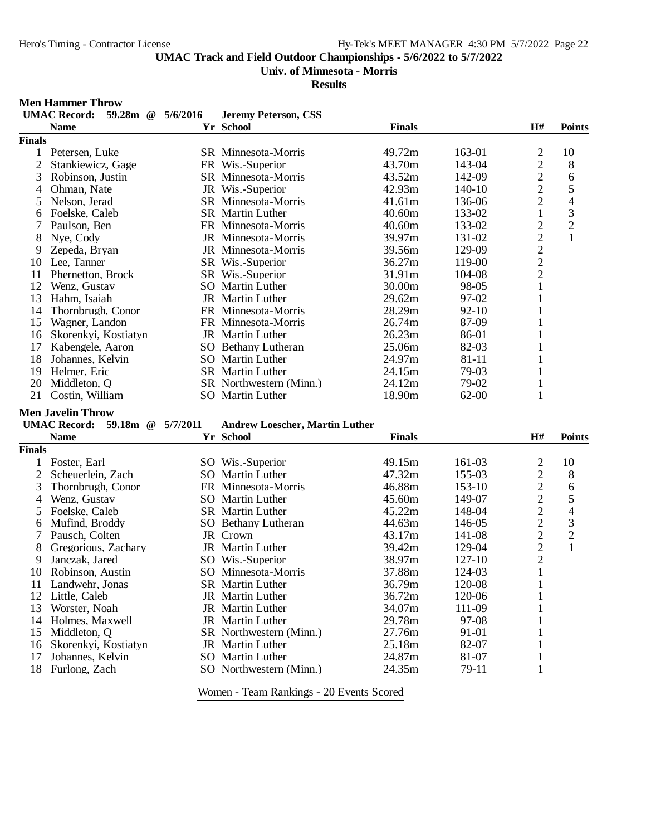**Univ. of Minnesota - Morris**

**Results**

#### **Men Hammer Throw**

|                | <b>UMAC Record:</b><br>59.28m @ | 5/6/2016 | <b>Jeremy Peterson, CSS</b>           |                  |           |                |                          |
|----------------|---------------------------------|----------|---------------------------------------|------------------|-----------|----------------|--------------------------|
|                | <b>Name</b>                     |          | Yr School                             | <b>Finals</b>    |           | H#             | <b>Points</b>            |
| <b>Finals</b>  |                                 |          |                                       |                  |           |                |                          |
| 1              | Petersen, Luke                  |          | SR Minnesota-Morris                   | 49.72m           | 163-01    | $\overline{c}$ | 10                       |
| $\overline{2}$ | Stankiewicz, Gage               |          | FR Wis.-Superior                      | 43.70m           | 143-04    | $\overline{2}$ | 8                        |
| 3              | Robinson, Justin                |          | SR Minnesota-Morris                   | 43.52m           | 142-09    | $\overline{c}$ | 6                        |
| 4              | Ohman, Nate                     |          | JR Wis.-Superior                      | 42.93m           | $140-10$  | $\overline{2}$ | 5                        |
| 5              | Nelson, Jerad                   |          | SR Minnesota-Morris                   | 41.61m           | 136-06    | $\overline{2}$ | $\overline{\mathcal{L}}$ |
| 6              | Foelske, Caleb                  |          | <b>SR</b> Martin Luther               | 40.60m           | 133-02    | $\mathbf{1}$   | 3                        |
| 7              | Paulson, Ben                    |          | FR Minnesota-Morris                   | 40.60m           | 133-02    | $\overline{c}$ | $\overline{2}$           |
| 8              | Nye, Cody                       |          | JR Minnesota-Morris                   | 39.97m           | 131-02    | $\overline{2}$ | $\mathbf{1}$             |
| 9              | Zepeda, Bryan                   |          | JR Minnesota-Morris                   | 39.56m           | 129-09    | $\overline{c}$ |                          |
| 10             | Lee, Tanner                     |          | SR Wis.-Superior                      | 36.27m           | 119-00    | $\overline{2}$ |                          |
| 11             | Phernetton, Brock               |          | SR Wis.-Superior                      | 31.91m           | 104-08    | $\overline{2}$ |                          |
| 12             | Wenz, Gustav                    |          | SO Martin Luther                      | 30.00m           | 98-05     | 1              |                          |
| 13             | Hahm, Isaiah                    |          | JR Martin Luther                      | 29.62m           | 97-02     | 1              |                          |
| 14             | Thornbrugh, Conor               |          | FR Minnesota-Morris                   | 28.29m           | $92 - 10$ |                |                          |
| 15             | Wagner, Landon                  |          | FR Minnesota-Morris                   | 26.74m           | 87-09     |                |                          |
|                |                                 |          | <b>JR</b> Martin Luther               | 26.23m           | 86-01     |                |                          |
| 16             | Skorenkyi, Kostiatyn            |          |                                       |                  |           | 1              |                          |
| 17             | Kabengele, Aaron                |          | SO Bethany Lutheran                   | 25.06m           | 82-03     |                |                          |
| 18             | Johannes, Kelvin                |          | SO Martin Luther                      | 24.97m           | 81-11     | 1              |                          |
| 19             | Helmer, Eric                    |          | <b>SR</b> Martin Luther               | 24.15m           | 79-03     | 1              |                          |
| 20             | Middleton, Q                    |          | SR Northwestern (Minn.)               | 24.12m           | 79-02     | $\mathbf{1}$   |                          |
| 21             | Costin, William                 |          | SO Martin Luther                      | 18.90m           | $62 - 00$ | 1              |                          |
|                | <b>Men Javelin Throw</b>        |          |                                       |                  |           |                |                          |
|                | UMAC Record: 59.18m @ 5/7/2011  |          | <b>Andrew Loescher, Martin Luther</b> |                  |           |                |                          |
|                | <b>Name</b>                     |          | Yr School                             | <b>Finals</b>    |           | H#             | <b>Points</b>            |
| <b>Finals</b>  |                                 |          |                                       |                  |           |                |                          |
| 1              | Foster, Earl                    |          | SO Wis.-Superior                      | 49.15m           | 161-03    | $\overline{2}$ | 10                       |
| $\overline{2}$ | Scheuerlein, Zach               |          | SO Martin Luther                      | 47.32m           | 155-03    | $\overline{c}$ | 8                        |
| 3              | Thornbrugh, Conor               |          | FR Minnesota-Morris                   | 46.88m           | 153-10    | $\overline{2}$ | 6                        |
| 4              | Wenz, Gustav                    |          | SO Martin Luther                      | 45.60m           | 149-07    | $\overline{c}$ | 5                        |
| 5              | Foelske, Caleb                  |          | <b>SR</b> Martin Luther               | 45.22m           | 148-04    | $\overline{c}$ | $\overline{\mathcal{L}}$ |
| 6              | Mufind, Broddy                  |          | SO Bethany Lutheran                   | 44.63m           | 146-05    | $\overline{c}$ | 3                        |
| 7              | Pausch, Colten                  |          | JR Crown                              | 43.17m           | 141-08    | $\overline{c}$ | $\overline{c}$           |
| 8              | Gregorious, Zachary             |          | JR Martin Luther                      | 39.42m           | 129-04    | $\overline{c}$ | $\mathbf{1}$             |
| 9              | Janczak, Jared                  |          | SO Wis.-Superior                      | 38.97m           | 127-10    | $\overline{2}$ |                          |
| 10             | Robinson, Austin                |          | SO Minnesota-Morris                   | 37.88m           | 124-03    | $\mathbf{1}$   |                          |
|                |                                 |          | SR Martin Luther                      | 36.79m           | 120-08    | $\mathbf{1}$   |                          |
| 12             | 11 Landwehr, Jonas              |          | <b>JR</b> Martin Luther               |                  | 120-06    | 1              |                          |
| 13             | Little, Caleb                   |          | JR Martin Luther                      | 36.72m<br>34.07m | 111-09    |                |                          |
|                | Worster, Noah                   |          |                                       |                  |           |                |                          |
| 14             | Holmes, Maxwell                 |          | JR Martin Luther                      | 29.78m           | 97-08     |                |                          |
| 15             | Middleton, Q                    |          | SR Northwestern (Minn.)               | 27.76m           | 91-01     |                |                          |
| 16             | Skorenkyi, Kostiatyn            |          | <b>JR</b> Martin Luther               | 25.18m           | 82-07     |                |                          |
| 17             | Johannes, Kelvin                |          | SO Martin Luther                      | 24.87m           | 81-07     | 1              |                          |
| 18             | Furlong, Zach                   |          | SO Northwestern (Minn.)               | 24.35m           | 79-11     | $\mathbf{1}$   |                          |
|                |                                 |          |                                       |                  |           |                |                          |

Women - Team Rankings - 20 Events Scored